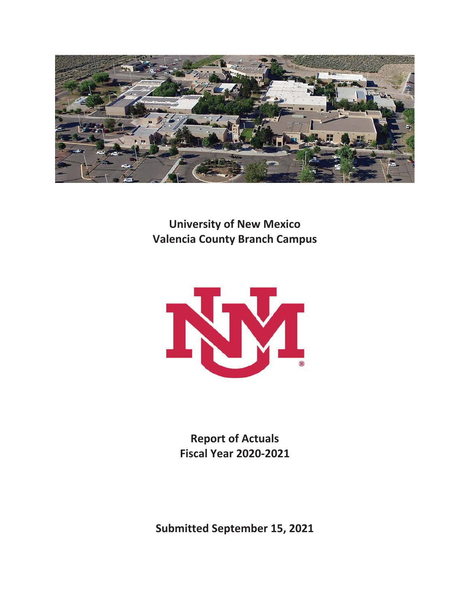

**University of New Mexico Valencia County Branch Campus** 



**Report of Actuals Fiscal Year 2020-2021** 

**Submitted September 15, 2021**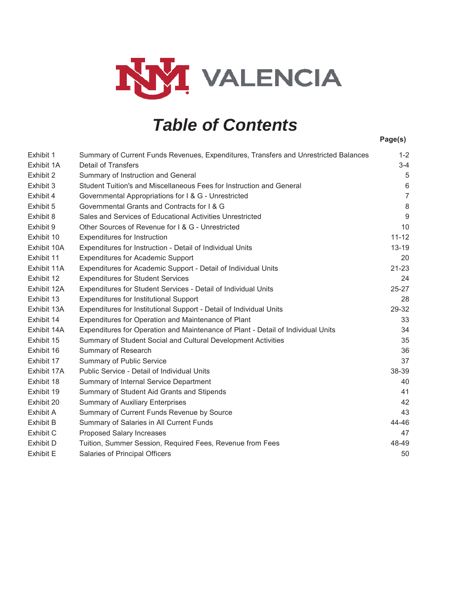

# *Table of Contents*

|                  |                                                                                      | Page(s)        |
|------------------|--------------------------------------------------------------------------------------|----------------|
| Exhibit 1        | Summary of Current Funds Revenues, Expenditures, Transfers and Unrestricted Balances | $1 - 2$        |
| Exhibit 1A       | <b>Detail of Transfers</b>                                                           | $3-4$          |
| Exhibit 2        | Summary of Instruction and General                                                   | 5              |
| Exhibit 3        | Student Tuition's and Miscellaneous Fees for Instruction and General                 | 6              |
| Exhibit 4        | Governmental Appropriations for I & G - Unrestricted                                 | $\overline{7}$ |
| Exhibit 5        | Governmental Grants and Contracts for I & G                                          | $\,8\,$        |
| Exhibit 8        | Sales and Services of Educational Activities Unrestricted                            | 9              |
| Exhibit 9        | Other Sources of Revenue for I & G - Unrestricted                                    | 10             |
| Exhibit 10       | <b>Expenditures for Instruction</b>                                                  | $11 - 12$      |
| Exhibit 10A      | Expenditures for Instruction - Detail of Individual Units                            | $13 - 19$      |
| Exhibit 11       | <b>Expenditures for Academic Support</b>                                             | 20             |
| Exhibit 11A      | Expenditures for Academic Support - Detail of Individual Units                       | $21 - 23$      |
| Exhibit 12       | <b>Expenditures for Student Services</b>                                             | 24             |
| Exhibit 12A      | Expenditures for Student Services - Detail of Individual Units                       | 25-27          |
| Exhibit 13       | Expenditures for Institutional Support                                               | 28             |
| Exhibit 13A      | Expenditures for Institutional Support - Detail of Individual Units                  | 29-32          |
| Exhibit 14       | Expenditures for Operation and Maintenance of Plant                                  | 33             |
| Exhibit 14A      | Expenditures for Operation and Maintenance of Plant - Detail of Individual Units     | 34             |
| Exhibit 15       | Summary of Student Social and Cultural Development Activities                        | 35             |
| Exhibit 16       | Summary of Research                                                                  | 36             |
| Exhibit 17       | <b>Summary of Public Service</b>                                                     | 37             |
| Exhibit 17A      | Public Service - Detail of Individual Units                                          | 38-39          |
| Exhibit 18       | Summary of Internal Service Department                                               | 40             |
| Exhibit 19       | Summary of Student Aid Grants and Stipends                                           | 41             |
| Exhibit 20       | <b>Summary of Auxiliary Enterprises</b>                                              | 42             |
| Exhibit A        | Summary of Current Funds Revenue by Source                                           | 43             |
| <b>Exhibit B</b> | Summary of Salaries in All Current Funds                                             | 44-46          |
| Exhibit C        | Proposed Salary Increases                                                            | 47             |
| <b>Exhibit D</b> | Tuition, Summer Session, Required Fees, Revenue from Fees                            | 48-49          |
| <b>Exhibit E</b> | Salaries of Principal Officers                                                       | 50             |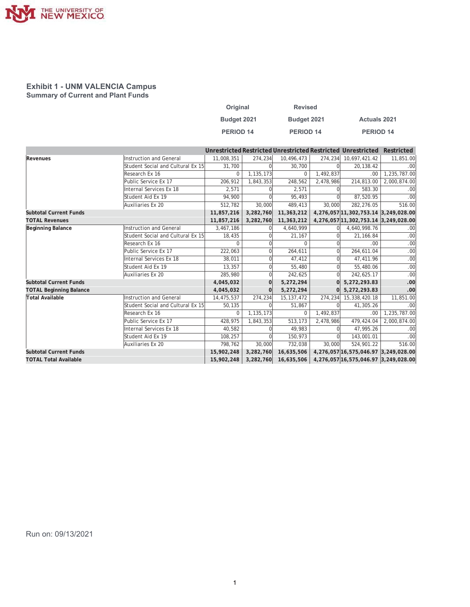

#### **Exhibit 1 - UNM VALENCIA Campus Summary of Current and Plant Funds**

| Original         | <b>Revised</b>   |                     |
|------------------|------------------|---------------------|
| Budget 2021      | Budget 2021      | <b>Actuals 2021</b> |
| <b>PERIOD 14</b> | <b>PERIOD 14</b> | <b>PERIOD 14</b>    |

|                                |                                   |             |             |              |           | Unrestricted Restricted Unrestricted Restricted Unrestricted | Restricted   |
|--------------------------------|-----------------------------------|-------------|-------------|--------------|-----------|--------------------------------------------------------------|--------------|
| Revenues                       | Instruction and General           | 11,008,351  | 274,234     | 10,496,473   | 274,234   | 10,697,421.42                                                | 11,851.00    |
|                                | Student Social and Cultural Ex 15 | 31.700      |             | 30,700       |           | 20.138.42                                                    | .00          |
|                                | Research Ex 16                    | $\Omega$    | 1, 135, 173 | $\Omega$     | 1,492,837 | .00.                                                         | 1,235,787.00 |
|                                | Public Service Ex 17              | 206.912     | 1,843,353   | 248.562      | 2,478,986 | 214,813.00                                                   | 2,000,874.00 |
|                                | Internal Services Ex 18           | 2,571       |             | 2,571        |           | 583.30                                                       | .00          |
|                                | Student Aid Ex 19                 | 94,900      |             | 95,493       |           | 87,520.95                                                    | .00          |
|                                | Auxiliaries Ex 20                 | 512,782     | 30,000      | 489,413      | 30,000    | 282,276.05                                                   | 516.00       |
| <b>Subtotal Current Funds</b>  |                                   | 11,857,216  | 3,282,760   | 11,363,212   |           | 4,276,057 11,302,753.14 3,249,028.00                         |              |
| <b>TOTAL Revenues</b>          |                                   | 11,857,216  | 3,282,760   | 11,363,212   |           | 4,276,057 11,302,753.14 3,249,028.00                         |              |
| <b>Beginning Balance</b>       | <b>Instruction and General</b>    | 3,467,186   |             | 4,640,999    |           | 4,640,998.76                                                 | .00          |
|                                | Student Social and Cultural Ex 15 | 18,435      |             | 21,167       |           | 21.166.84                                                    | .00          |
|                                | Research Ex 16                    | $\Omega$    |             | $\Omega$     |           | .00.                                                         | .00          |
|                                | Public Service Ex 17              | 222,063     |             | 264,611      |           | 264,611.04                                                   | .00          |
|                                | Internal Services Ex 18           | 38,011      |             | 47,412       |           | 47,411.96                                                    | .00          |
|                                | Student Aid Ex 19                 | 13,357      | $\Omega$    | 55,480       | Ωl        | 55,480.06                                                    | .00          |
|                                | Auxiliaries Ex 20                 | 285,980     | $\Omega$    | 242,625      | $\Omega$  | 242,625.17                                                   | .00          |
| <b>Subtotal Current Funds</b>  |                                   | 4,045,032   |             | 5,272,294    |           | 5,272,293.83                                                 | .00          |
| <b>TOTAL Beginning Balance</b> |                                   | 4,045,032   | $\Omega$    | 5,272,294    |           | 5,272,293.83                                                 | .00          |
| Total Available                | Instruction and General           | 14,475,537  | 274,234     | 15, 137, 472 | 274,234   | 15,338,420.18                                                | 11,851.00    |
|                                | Student Social and Cultural Ex 15 | 50,135      |             | 51,867       |           | 41,305.26                                                    | .00          |
|                                | Research Ex 16                    | $\mathbf 0$ | 1, 135, 173 | $\Omega$     | 1,492,837 | .00.                                                         | 1,235,787.00 |
|                                | Public Service Ex 17              | 428,975     | 1,843,353   | 513,173      | 2,478,986 | 479,424.04                                                   | 2,000,874.00 |
|                                | Internal Services Ex 18           | 40,582      |             | 49,983       |           | 47.995.26                                                    | .00          |
|                                | Student Aid Ex 19                 | 108,257     | $\Omega$    | 150,973      |           | 143,001.01                                                   | .00          |
|                                | Auxiliaries Ex 20                 | 798,762     | 30,000      | 732,038      | 30,000    | 524,901.22                                                   | 516.00       |
| <b>Subtotal Current Funds</b>  |                                   | 15,902,248  | 3,282,760   | 16,635,506   |           | 4,276,057 16,575,046.97 3,249,028.00                         |              |
| <b>TOTAL Total Available</b>   |                                   | 15,902,248  | 3,282,760   | 16,635,506   |           | 4,276,057 16,575,046.97 3,249,028.00                         |              |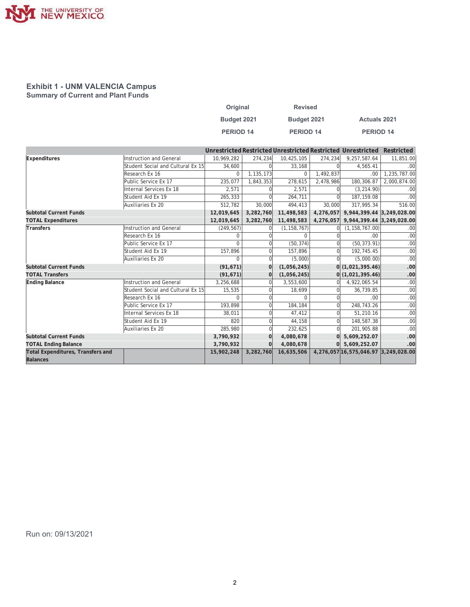

#### **Exhibit 1 - UNM VALENCIA Campus Summary of Current and Plant Funds**

| Original         | <b>Revised</b> |                     |
|------------------|----------------|---------------------|
| Budget 2021      | Budget 2021    | <b>Actuals 2021</b> |
| <b>PERIOD 14</b> | PERIOD 14      | PERIOD 14           |

|                                          |                                   |              |              |               |           | Unrestricted Restricted Unrestricted Restricted Unrestricted | Restricted   |
|------------------------------------------|-----------------------------------|--------------|--------------|---------------|-----------|--------------------------------------------------------------|--------------|
| Expenditures                             | Instruction and General           | 10,969,282   | 274,234      | 10,425,105    | 274,234   | 9,257,587.64                                                 | 11,851.00    |
|                                          | Student Social and Cultural Ex 15 | 34,600       |              | 33,168        |           | 4.565.41                                                     | .00          |
|                                          | Research Ex 16                    | $\Omega$     | 1,135,173    | $\Omega$      | 1,492,837 | .00.                                                         | 1,235,787.00 |
|                                          | Public Service Ex 17              | 235.077      | 1,843,353    | 278.615       | 2,478,986 | 180,306.87                                                   | 2,000,874.00 |
|                                          | Internal Services Ex 18           | 2,571        |              | 2,571         |           | (3, 214.90)                                                  | .00          |
|                                          | Student Aid Ex 19                 | 265,333      | $\Omega$     | 264,711       |           | 187, 159.08                                                  | .00          |
|                                          | Auxiliaries Ex 20                 | 512,782      | 30,000       | 494,413       | 30,000    | 317,995.34                                                   | 516.00       |
| <b>Subtotal Current Funds</b>            |                                   | 12,019,645   | 3,282,760    | 11,498,583    | 4,276,057 | 9,944,399.44 3,249,028.00                                    |              |
| <b>TOTAL Expenditures</b>                |                                   | 12,019,645   | 3,282,760    | 11,498,583    |           | 4,276,057 9,944,399.44 3,249,028.00                          |              |
| Transfers                                | Instruction and General           | (249, 567)   |              | (1, 158, 767) |           | (1, 158, 767.00)                                             | .00          |
|                                          | Research Ex 16                    | <sup>0</sup> |              |               |           | .00                                                          | .00          |
|                                          | Public Service Ex 17              | $\Omega$     | $\Omega$     | (50, 374)     |           | (50, 373.91)                                                 | .00          |
|                                          | Student Aid Ex 19                 | 157,896      | 0            | 157,896       |           | 192,745.45                                                   | .00          |
|                                          | Auxiliaries Ex 20                 | <sup>0</sup> | <sup>0</sup> | (5,000)       |           | (5,000.00)                                                   | .00          |
| <b>Subtotal Current Funds</b>            |                                   | (91, 671)    | $\Omega$     | (1,056,245)   |           | 0(1,021,395.46)                                              | .00          |
| <b>TOTAL Transfers</b>                   |                                   | (91, 671)    |              | (1,056,245)   |           | 0(1,021,395.46)                                              | .00          |
| <b>Ending Balance</b>                    | Instruction and General           | 3,256,688    |              | 3,553,600     |           | 4,922,065.54                                                 | .00          |
|                                          | Student Social and Cultural Ex 15 | 15,535       | $\Omega$     | 18,699        |           | 36,739.85                                                    | .00          |
|                                          | Research Ex 16                    | $\Omega$     |              | $\Omega$      |           | .00                                                          | .00          |
|                                          | Public Service Ex 17              | 193,898      |              | 184,184       |           | 248,743.26                                                   | .00          |
|                                          | Internal Services Ex 18           | 38,011       | $\Omega$     | 47,412        |           | 51,210.16                                                    | .00          |
|                                          | Student Aid Ex 19                 | 820          | $\Omega$     | 44,158        | $\Omega$  | 148,587.38                                                   | .00          |
|                                          | Auxiliaries Ex 20                 | 285,980      |              | 232,625       |           | 201,905.88                                                   | .00          |
| <b>Subtotal Current Funds</b>            |                                   | 3,790,932    | $\Omega$     | 4,080,678     |           | 5,609,252.07                                                 | .00          |
| <b>TOTAL Ending Balance</b>              |                                   | 3,790,932    | $\Omega$     | 4,080,678     |           | 5,609,252.07                                                 | .00          |
| <b>Total Expenditures, Transfers and</b> |                                   | 15,902,248   | 3,282,760    | 16,635,506    |           | 4,276,057 16,575,046.97 3,249,028.00                         |              |
| <b>Balances</b>                          |                                   |              |              |               |           |                                                              |              |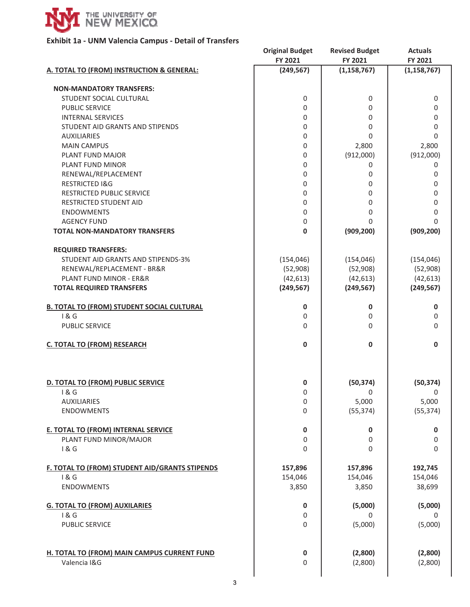

## **Exhibit 1a - UNM Valencia Campus - Detail of Transfers**

|                                                   | <b>Original Budget</b><br>FY 2021 | <b>Revised Budget</b><br>FY 2021 | <b>Actuals</b><br>FY 2021 |
|---------------------------------------------------|-----------------------------------|----------------------------------|---------------------------|
| A. TOTAL TO (FROM) INSTRUCTION & GENERAL:         | (249, 567)                        | (1, 158, 767)                    | (1, 158, 767)             |
| <b>NON-MANDATORY TRANSFERS:</b>                   |                                   |                                  |                           |
| STUDENT SOCIAL CULTURAL                           | 0                                 | 0                                | 0                         |
| <b>PUBLIC SERVICE</b>                             | 0                                 | 0                                | 0                         |
| <b>INTERNAL SERVICES</b>                          | 0                                 | 0                                | 0                         |
| STUDENT AID GRANTS AND STIPENDS                   | 0                                 | 0                                | 0                         |
| <b>AUXILIARIES</b>                                | 0                                 | 0                                | 0                         |
| <b>MAIN CAMPUS</b>                                | 0                                 | 2,800                            | 2,800                     |
| PLANT FUND MAJOR                                  | 0                                 | (912,000)                        | (912,000)                 |
| PLANT FUND MINOR                                  | 0                                 | 0                                | 0                         |
| RENEWAL/REPLACEMENT                               | $\mathbf 0$                       | 0                                | 0                         |
| <b>RESTRICTED I&amp;G</b>                         | $\mathbf 0$                       | 0                                | 0                         |
| RESTRICTED PUBLIC SERVICE                         | 0                                 | 0                                | 0                         |
| RESTRICTED STUDENT AID                            | $\mathbf 0$                       | 0                                | 0                         |
| <b>ENDOWMENTS</b>                                 | $\mathbf 0$                       | 0                                | 0                         |
| <b>AGENCY FUND</b>                                | $\mathbf 0$                       | 0                                | 0                         |
| <b>TOTAL NON-MANDATORY TRANSFERS</b>              | $\bf{0}$                          | (909, 200)                       | (909, 200)                |
| <b>REQUIRED TRANSFERS:</b>                        |                                   |                                  |                           |
| STUDENT AID GRANTS AND STIPENDS-3%                | (154, 046)                        | (154, 046)                       | (154, 046)                |
| RENEWAL/REPLACEMENT - BR&R                        | (52,908)                          | (52,908)                         | (52,908)                  |
| PLANT FUND MINOR - ER&R                           | (42, 613)                         | (42, 613)                        | (42, 613)                 |
| <b>TOTAL REQUIRED TRANSFERS</b>                   | (249, 567)                        | (249, 567)                       | (249, 567)                |
| <b>B. TOTAL TO (FROM) STUDENT SOCIAL CULTURAL</b> | 0                                 | 0                                | 0                         |
| 1&6                                               | 0                                 | 0                                | 0                         |
| <b>PUBLIC SERVICE</b>                             | $\Omega$                          | 0                                | 0                         |
| <b>C. TOTAL TO (FROM) RESEARCH</b>                | $\mathbf 0$                       | $\mathbf 0$                      | $\mathbf 0$               |
| D. TOTAL TO (FROM) PUBLIC SERVICE                 | 0                                 | (50, 374)                        | (50, 374)                 |
| 1 & G                                             | 0                                 | 0                                | 0                         |
| <b>AUXILIARIES</b>                                | 0                                 | 5,000                            | 5,000                     |
| <b>ENDOWMENTS</b>                                 | 0                                 | (55, 374)                        | (55, 374)                 |
| <b>E. TOTAL TO (FROM) INTERNAL SERVICE</b>        | $\pmb{0}$                         | 0                                | 0                         |
| PLANT FUND MINOR/MAJOR                            | 0                                 | 0                                | $\mathbf 0$               |
| 1&6                                               | 0                                 | 0                                | 0                         |
| F. TOTAL TO (FROM) STUDENT AID/GRANTS STIPENDS    | 157,896                           | 157,896                          | 192,745                   |
| 1&6                                               | 154,046                           | 154,046                          | 154,046                   |
| <b>ENDOWMENTS</b>                                 | 3,850                             | 3,850                            | 38,699                    |
| <b>G. TOTAL TO (FROM) AUXILARIES</b>              | 0                                 | (5,000)                          | (5,000)                   |
| 1&6                                               | $\mathsf{O}\xspace$               | 0                                | $\Omega$                  |
| <b>PUBLIC SERVICE</b>                             | 0                                 | (5,000)                          | (5,000)                   |
| H. TOTAL TO (FROM) MAIN CAMPUS CURRENT FUND       | 0                                 | (2,800)                          | (2,800)                   |
| Valencia I&G                                      | 0                                 | (2,800)                          | (2,800)                   |
|                                                   |                                   |                                  |                           |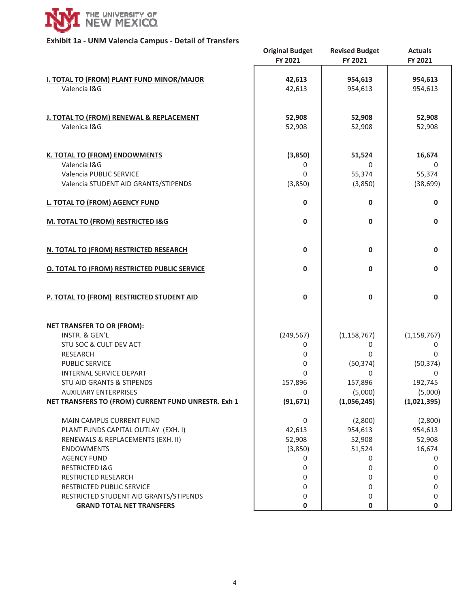

## **Exhibit 1a - UNM Valencia Campus - Detail of Transfers**

|                                                                  | <b>Original Budget</b> | <b>Revised Budget</b> | <b>Actuals</b>     |
|------------------------------------------------------------------|------------------------|-----------------------|--------------------|
|                                                                  | FY 2021                | FY 2021               | FY 2021            |
|                                                                  |                        |                       |                    |
| <b>I. TOTAL TO (FROM) PLANT FUND MINOR/MAJOR</b><br>Valencia I&G | 42,613<br>42,613       | 954,613<br>954,613    | 954,613<br>954,613 |
|                                                                  |                        |                       |                    |
|                                                                  |                        |                       |                    |
| J. TOTAL TO (FROM) RENEWAL & REPLACEMENT                         | 52,908                 | 52,908                | 52,908             |
| Valenica I&G                                                     | 52,908                 | 52,908                | 52,908             |
|                                                                  |                        |                       |                    |
|                                                                  |                        |                       |                    |
| <b>K. TOTAL TO (FROM) ENDOWMENTS</b><br>Valencia I&G             | (3,850)                | 51,524                | 16,674             |
| Valencia PUBLIC SERVICE                                          | 0<br>$\Omega$          | 0<br>55,374           | 0<br>55,374        |
| Valencia STUDENT AID GRANTS/STIPENDS                             |                        |                       |                    |
|                                                                  | (3,850)                | (3,850)               | (38, 699)          |
| <b>L. TOTAL TO (FROM) AGENCY FUND</b>                            | $\mathbf 0$            | $\mathbf 0$           | $\mathbf 0$        |
|                                                                  |                        |                       |                    |
| M. TOTAL TO (FROM) RESTRICTED I&G                                | $\mathbf{0}$           | $\mathbf{0}$          | 0                  |
|                                                                  |                        |                       |                    |
| N. TOTAL TO (FROM) RESTRICTED RESEARCH                           | $\mathbf 0$            | 0                     | 0                  |
|                                                                  |                        |                       |                    |
| <b>O. TOTAL TO (FROM) RESTRICTED PUBLIC SERVICE</b>              | $\mathbf{0}$           | $\mathbf{0}$          | 0                  |
|                                                                  |                        |                       |                    |
|                                                                  |                        |                       |                    |
| P. TOTAL TO (FROM) RESTRICTED STUDENT AID                        | $\mathbf 0$            | 0                     | $\mathbf 0$        |
|                                                                  |                        |                       |                    |
| <b>NET TRANSFER TO OR (FROM):</b>                                |                        |                       |                    |
| INSTR. & GEN'L                                                   | (249, 567)             | (1, 158, 767)         | (1, 158, 767)      |
| STU SOC & CULT DEV ACT                                           | 0                      | 0                     | 0                  |
| <b>RESEARCH</b>                                                  | 0                      | 0                     | 0                  |
| <b>PUBLIC SERVICE</b>                                            | 0                      | (50, 374)             | (50, 374)          |
| INTERNAL SERVICE DEPART                                          | $\Omega$               | 0                     | 0                  |
| <b>STU AID GRANTS &amp; STIPENDS</b>                             | 157,896                | 157,896               | 192,745            |
| <b>AUXILIARY ENTERPRISES</b>                                     | 0                      | (5,000)               | (5,000)            |
| NET TRANSFERS TO (FROM) CURRENT FUND UNRESTR. Exh 1              | (91, 671)              | (1,056,245)           | (1,021,395)        |
|                                                                  |                        |                       |                    |
| MAIN CAMPUS CURRENT FUND                                         | 0                      | (2,800)               | (2,800)            |
| PLANT FUNDS CAPITAL OUTLAY (EXH. I)                              | 42,613                 | 954,613               | 954,613            |
| RENEWALS & REPLACEMENTS (EXH. II)                                | 52,908                 | 52,908                | 52,908             |
| <b>ENDOWMENTS</b>                                                | (3,850)                | 51,524                | 16,674             |
| <b>AGENCY FUND</b>                                               | 0                      | 0                     | 0                  |
| <b>RESTRICTED I&amp;G</b>                                        | 0                      | 0                     | 0                  |
| RESTRICTED RESEARCH                                              | 0                      | 0                     | 0                  |
| RESTRICTED PUBLIC SERVICE                                        | 0                      | 0                     | 0                  |
| RESTRICTED STUDENT AID GRANTS/STIPENDS                           | 0                      | 0                     | 0                  |
| <b>GRAND TOTAL NET TRANSFERS</b>                                 | 0                      | 0                     | 0                  |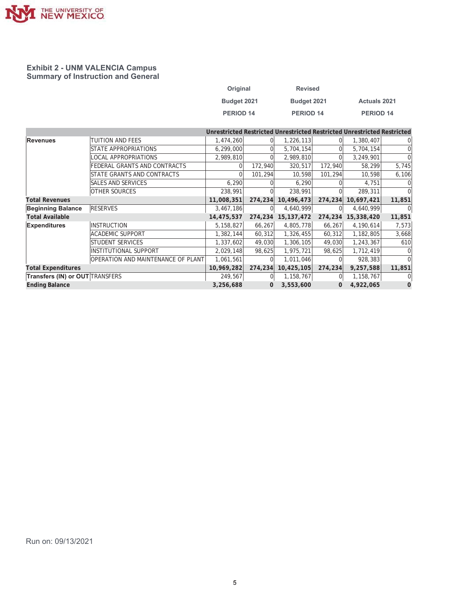

#### **Exhibit 2 - UNM VALENCIA Campus Summary of Instruction and General**

| Original         | <b>Revised</b> |                     |
|------------------|----------------|---------------------|
| Budget 2021      | Budget 2021    | <b>Actuals 2021</b> |
| <b>PERIOD 14</b> | PERIOD 14      | <b>PERIOD 14</b>    |

|                                        |                                    |            |          |              |          | Unrestricted Restricted Unrestricted Restricted Unrestricted Restricted |              |
|----------------------------------------|------------------------------------|------------|----------|--------------|----------|-------------------------------------------------------------------------|--------------|
| Revenues                               | TUITION AND FEES                   | 1,474,260  |          | 1,226,113    |          | 1,380,407                                                               |              |
|                                        | STATE APPROPRIATIONS               | 6,299,000  |          | 5,704,154    |          | 5,704,154                                                               | 0            |
|                                        | <b>LOCAL APPROPRIATIONS</b>        | 2,989,810  |          | 2,989,810    |          | 3,249,901                                                               |              |
|                                        | FEDERAL GRANTS AND CONTRACTS       |            | 172,940  | 320,517      | 172,940  | 58,299                                                                  | 5,745        |
|                                        | STATE GRANTS AND CONTRACTS         |            | 101,294  | 10,598       | 101,294  | 10,598                                                                  | 6,106        |
|                                        | <b>SALES AND SERVICES</b>          | 6,290      |          | 6,290        |          | 4,751                                                                   |              |
|                                        | <b>OTHER SOURCES</b>               | 238,991    |          | 238,991      |          | 289,311                                                                 |              |
| <b>Total Revenues</b>                  |                                    | 11,008,351 | 274,234  | 10,496,473   | 274,234  | 10,697,421                                                              | 11,851       |
| <b>Beginning Balance</b>               | <b>RESERVES</b>                    | 3,467,186  | $\Omega$ | 4,640,999    |          | 4,640,999                                                               | $\Omega$     |
| <b>Total Available</b>                 |                                    | 14,475,537 | 274,234  | 15, 137, 472 | 274,234  | 15,338,420                                                              | 11,851       |
| <b>Expenditures</b>                    | <b>INSTRUCTION</b>                 | 5,158,827  | 66,267   | 4,805,778    | 66,267   | 4,190,614                                                               | 7,573        |
|                                        | <b>ACADEMIC SUPPORT</b>            | 1,382,144  | 60,312   | 1,326,455    | 60,312   | 1,182,805                                                               | 3,668        |
|                                        | <b>STUDENT SERVICES</b>            | 1,337,602  | 49,030   | 1,306,105    | 49,030   | 1,243,367                                                               | 610          |
|                                        | <b>INSTITUTIONAL SUPPORT</b>       | 2,029,148  | 98,625   | 1,975,721    | 98,625   | 1,712,419                                                               | 0            |
|                                        | OPERATION AND MAINTENANCE OF PLANT | 1,061,561  |          | 1,011,046    |          | 928,383                                                                 | <sup>0</sup> |
| <b>Total Expenditures</b>              |                                    | 10,969,282 | 274,234  | 10,425,105   | 274, 234 | 9,257,588                                                               | 11,851       |
| <b>Transfers (IN) or OUT TRANSFERS</b> |                                    | 249,567    | 0        | 1,158,767    |          | 1,158,767                                                               | 0            |
| <b>Ending Balance</b>                  |                                    | 3,256,688  | 0        | 3,553,600    | 0        | 4,922,065                                                               | 0            |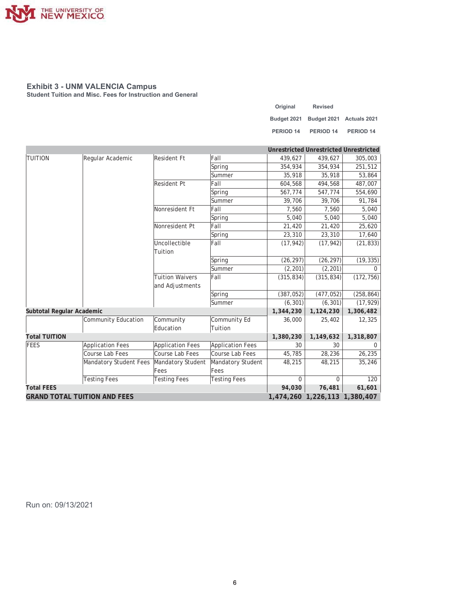

**Student Tuition and Misc. Fees for Instruction and General** 

| Original  | <b>Revised</b>                       |           |
|-----------|--------------------------------------|-----------|
|           | Budget 2021 Budget 2021 Actuals 2021 |           |
| PERIOD 14 | PERIOD 14                            | PERIOD 14 |

|                                     |                         |                         |                         | <b>Unrestricted Unrestricted Unrestricted</b> |                               |             |
|-------------------------------------|-------------------------|-------------------------|-------------------------|-----------------------------------------------|-------------------------------|-------------|
| <b>TUITION</b>                      | Regular Academic        | Resident Ft             | Fall                    | 439,627                                       | 439,627                       | 305,003     |
|                                     |                         |                         | Spring                  | 354,934                                       | 354,934                       | 251,512     |
|                                     |                         |                         | Summer                  | 35,918                                        | 35,918                        | 53,864      |
|                                     |                         | Resident Pt             | Fall                    | 604,568                                       | 494,568                       | 487,007     |
|                                     |                         |                         | Spring                  | 567,774                                       | 547,774                       | 554,690     |
|                                     |                         |                         | Summer                  | 39,706                                        | 39,706                        | 91,784      |
|                                     |                         | Nonresident Ft          | Fall                    | 7,560                                         | 7,560                         | 5,040       |
|                                     |                         |                         | Spring                  | 5,040                                         | 5,040                         | 5,040       |
|                                     |                         | Nonresident Pt          | Fall                    | 21,420                                        | 21,420                        | 25,620      |
|                                     |                         |                         | Spring                  | 23,310                                        | 23,310                        | 17,640      |
|                                     |                         | Uncollectible           | Fall                    | (17, 942)                                     | (17, 942)                     | (21, 833)   |
|                                     |                         | Tuition                 |                         |                                               |                               |             |
|                                     |                         |                         | Spring                  | (26, 297)                                     | (26, 297)                     | (19, 335)   |
|                                     |                         |                         | Summer                  | (2, 201)                                      | (2, 201)                      | $\mathbf 0$ |
|                                     |                         | <b>Tuition Waivers</b>  | Fall                    | (315, 834)                                    | (315, 834)                    | (172, 756)  |
|                                     |                         | and Adjustments         |                         |                                               |                               |             |
|                                     |                         |                         | Spring                  | (387, 052)                                    | (477, 052)                    | (258, 864)  |
|                                     |                         |                         | Summer                  | (6, 301)                                      | (6, 301)                      | (17, 929)   |
| Subtotal Regular Academic           |                         |                         |                         | 1,344,230                                     | 1,124,230                     | 1,306,482   |
|                                     | Community Education     | Community               | Community Ed            | 36,000                                        | 25,402                        | 12,325      |
|                                     |                         | Education               | Tuition                 |                                               |                               |             |
| <b>Total TUITION</b>                |                         |                         |                         | 1,380,230                                     | 1,149,632                     | 1,318,807   |
| FEES                                | <b>Application Fees</b> | <b>Application Fees</b> | <b>Application Fees</b> | 30                                            | 30                            | $\Omega$    |
|                                     | Course Lab Fees         | Course Lab Fees         | Course Lab Fees         | 45,785                                        | 28,236                        | 26,235      |
|                                     | Mandatory Student Fees  | Mandatory Student       | Mandatory Student       | 48,215                                        | 48,215                        | 35,246      |
|                                     |                         | Fees                    | Fees                    |                                               |                               |             |
|                                     | <b>Testing Fees</b>     | <b>Testing Fees</b>     | <b>Testing Fees</b>     | $\Omega$                                      | $\Omega$                      | 120         |
| <b>Total FEES</b>                   |                         |                         |                         | 94,030                                        | 76,481                        | 61,601      |
| <b>GRAND TOTAL TUITION AND FEES</b> |                         |                         |                         |                                               | 1,474,260 1,226,113 1,380,407 |             |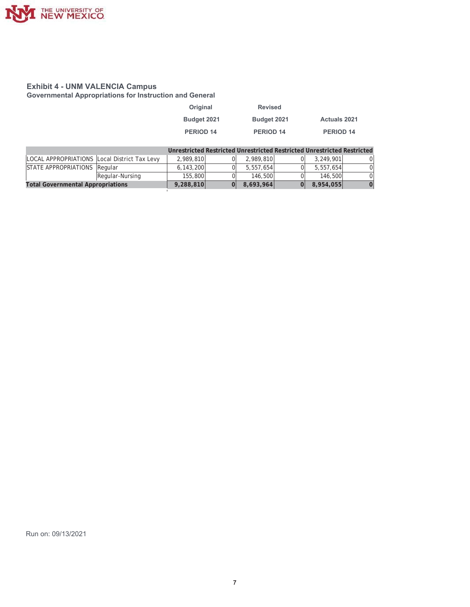

**Governmental Appropriations for Instruction and General** 

| Original    | <b>Revised</b>   |                     |
|-------------|------------------|---------------------|
| Budget 2021 | Budget 2021      | <b>Actuals 2021</b> |
| PERIOD 14   | <b>PERIOD 14</b> | PERIOD 14           |

|                                              |                 |           |           | Unrestricted Restricted Unrestricted Restricted Unrestricted Restricted |    |
|----------------------------------------------|-----------------|-----------|-----------|-------------------------------------------------------------------------|----|
| LOCAL APPROPRIATIONS Local District Tax Levy |                 | 2.989.810 | 2.989.810 | 3.249.901                                                               |    |
| STATE APPROPRIATIONS Regular                 |                 | 6.143.200 | 5,557,654 | 5,557,654                                                               | 01 |
|                                              | Regular-Nursing | 155,800   | 146.500   | 146.500                                                                 | 0  |
| <b>Total Governmental Appropriations</b>     | 9,288,810       | 8,693,964 | 8,954,055 | 0                                                                       |    |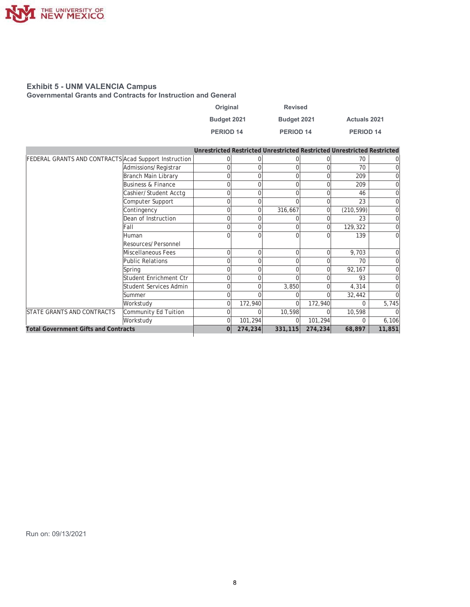

**Governmental Grants and Contracts for Instruction and General** 

| Original         | <b>Revised</b>   |                     |
|------------------|------------------|---------------------|
| Budget 2021      | Budget 2021      | <b>Actuals 2021</b> |
| <b>PERIOD 14</b> | <b>PERIOD 14</b> | <b>PERIOD 14</b>    |

|                                                       |                               |          |          |         |          | Unrestricted Restricted Unrestricted Restricted Unrestricted Restricted |        |
|-------------------------------------------------------|-------------------------------|----------|----------|---------|----------|-------------------------------------------------------------------------|--------|
| FEDERAL GRANTS AND CONTRACTS Acad Support Instruction |                               | 0        |          |         |          | 70                                                                      |        |
|                                                       | Admissions/Registrar          | 0        |          |         |          | 70                                                                      |        |
|                                                       | Branch Main Library           | 0        |          |         | $\Omega$ | 209                                                                     |        |
|                                                       | <b>Business &amp; Finance</b> | 0        |          | 0       | $\Omega$ | 209                                                                     |        |
|                                                       | Cashier/Student Acctg         | 0        |          |         | $\Omega$ | 46                                                                      |        |
|                                                       | Computer Support              | 0        |          |         | $\Omega$ | 23                                                                      |        |
|                                                       | Contingency                   | 0        | U        | 316,667 | $\Omega$ | (210, 599)                                                              |        |
|                                                       | Dean of Instruction           | 0        |          |         |          | 23                                                                      |        |
|                                                       | Fall                          | 0        |          | 0       | $\Omega$ | 129,322                                                                 |        |
|                                                       | Human                         | 0        |          |         |          | 139                                                                     | 0      |
|                                                       | Resources/Personnel           |          |          |         |          |                                                                         |        |
|                                                       | Miscellaneous Fees            | 0        | $\Omega$ | 0       | $\Omega$ | 9,703                                                                   |        |
|                                                       | <b>Public Relations</b>       | 0        |          | 0       |          | 70                                                                      |        |
|                                                       | Spring                        | 0        |          |         |          | 92,167                                                                  |        |
|                                                       | Student Enrichment Ctr        | 0        |          |         | $\Omega$ | 93                                                                      |        |
|                                                       | Student Services Admin        | 0        |          | 3,850   |          | 4,314                                                                   |        |
|                                                       | Summer                        |          |          |         |          | 32,442                                                                  |        |
|                                                       | Workstudy                     | 0        | 172,940  |         | 172,940  |                                                                         | 5,745  |
| <b>STATE GRANTS AND CONTRACTS</b>                     | Community Ed Tuition          | 0        |          | 10,598  | $\Omega$ | 10,598                                                                  |        |
|                                                       | Workstudy                     | 0        | 101,294  |         | 101,294  |                                                                         | 6, 106 |
| <b>Total Government Gifts and Contracts</b>           |                               | $\Omega$ | 274,234  | 331,115 | 274,234  | 68,897                                                                  | 11,851 |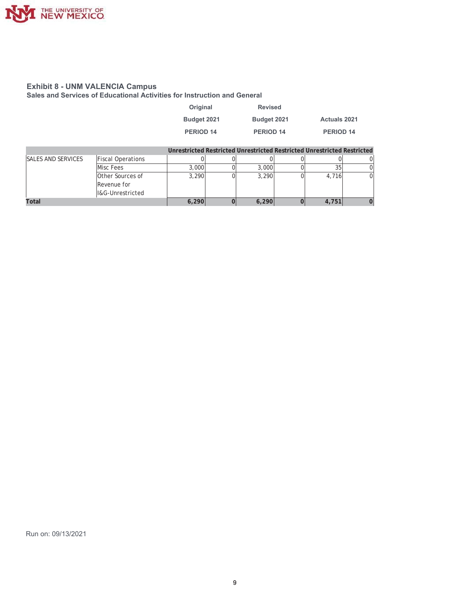

**Sales and Services of Educational Activities for Instruction and General** 

| Original         | <b>Revised</b>       |                     |
|------------------|----------------------|---------------------|
| Budget 2021      | Budget 2021          | <b>Actuals 2021</b> |
| <b>PERIOD 14</b> | PERIOD <sub>14</sub> | PERIOD 14           |

|                           |                          |       |       | Unrestricted Restricted Unrestricted Restricted Unrestricted Restricted |    |
|---------------------------|--------------------------|-------|-------|-------------------------------------------------------------------------|----|
| <b>SALES AND SERVICES</b> | <b>Fiscal Operations</b> |       |       |                                                                         |    |
|                           | Misc Fees                | 3,000 | 3,000 |                                                                         |    |
|                           | Other Sources of         | 3.290 | 3.290 | 4.716                                                                   | ΩI |
|                           | Revenue for              |       |       |                                                                         |    |
|                           | I&G-Unrestricted         |       |       |                                                                         |    |
| Total                     |                          | 6,290 | 6.290 | 4,751                                                                   |    |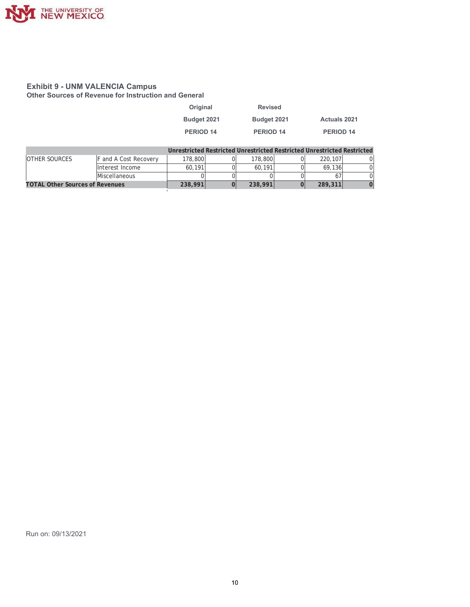

**26 Other Sources of Revenue for Instruction and General** 

| Original    | <b>Revised</b> |                                                                           |
|-------------|----------------|---------------------------------------------------------------------------|
| Budget 2021 | Budget 2021    | <b>Actuals 2021</b>                                                       |
| PERIOD 14   | PERIOD 14      | PERIOD 14                                                                 |
|             |                | Interactricted Dectricted Unrestricted Dectricted Unrestricted Dectricted |

|                                        |                      |         |         | Unrestricted Restricted Unrestricted Restricted Unrestricted Restricted. |  |
|----------------------------------------|----------------------|---------|---------|--------------------------------------------------------------------------|--|
| <b>OTHER SOURCES</b>                   | and A Cost Recovery  | 178,800 | 178,800 | 220.107                                                                  |  |
|                                        | Interest Income      | 60.191  | 60.191  | 69.136                                                                   |  |
|                                        | <b>Miscellaneous</b> |         |         |                                                                          |  |
| <b>TOTAL Other Sources of Revenues</b> |                      | 238,991 | 238,991 | 289,311                                                                  |  |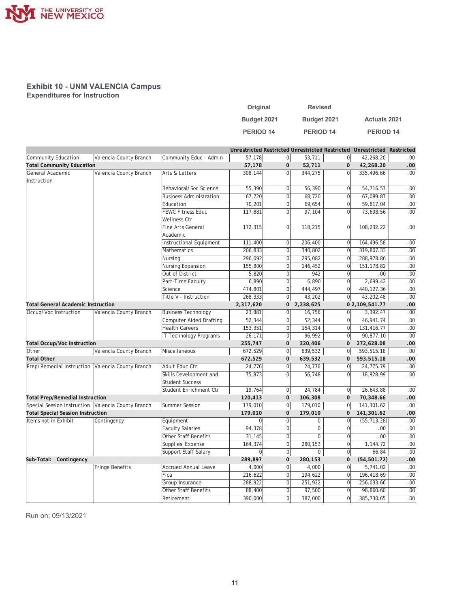

#### **Exhibit 10 - UNM VALENCIA Campus Expenditures for Instruction**

| Original         | <b>Revised</b>   |                      |
|------------------|------------------|----------------------|
| Budget 2021      | Budget 2021      | <b>Actuals 2021</b>  |
| <b>PERIOD 14</b> | <b>PERIOD 14</b> | PERIOD <sub>14</sub> |

|                                                    |                        |                                |                |                  |             | Unrestricted Restricted Unrestricted Restricted Unrestricted Restricted |                |                  |
|----------------------------------------------------|------------------------|--------------------------------|----------------|------------------|-------------|-------------------------------------------------------------------------|----------------|------------------|
| Community Education                                | Valencia County Branch | Community Educ - Admin         | 57,178         | $\overline{0}$   | 53,711      | $\overline{0}$                                                          | 42,268.20      | .00 <sub>1</sub> |
| <b>Total Community Education</b>                   |                        |                                | 57,178         | $\mathbf{0}$     | 53,711      | $\mathbf{0}$                                                            | 42,268.20      | .00              |
| General Academic                                   | Valencia County Branch | Arts & Letters                 | 308,144        | $\overline{0}$   | 344,275     | $\Omega$                                                                | 335,496.66     | .00 <sub>1</sub> |
| Instruction                                        |                        |                                |                |                  |             |                                                                         |                |                  |
|                                                    |                        | Behavioral/Soc Science         | 55,390         | $\overline{0}$   | 56,390      | $\overline{0}$                                                          | 54,716.57      | .00              |
|                                                    |                        | <b>Business Administration</b> | 67,720         | $\overline{0}$   | 68,720      | $\mathbf 0$                                                             | 67,089.87      | .00              |
|                                                    |                        | Education                      | 70,201         | $\mathbf 0$      | 69,654      | $\mathbf 0$                                                             | 59,817.04      | .00              |
|                                                    |                        | <b>FEWC Fitness Educ</b>       | 117,881        | $\overline{0}$   | 97,104      | $\overline{0}$                                                          | 73,698.56      | .00              |
|                                                    |                        | Wellness Ctr                   |                |                  |             |                                                                         |                |                  |
|                                                    |                        | <b>Fine Arts General</b>       | 172,315        | $\Omega$         | 118,215     | $\Omega$                                                                | 108,232.22     | .00 <sub>1</sub> |
|                                                    |                        | Academic                       |                |                  |             |                                                                         |                |                  |
|                                                    |                        | Instructional Equipment        | 111,400        | $\mathbf 0$      | 206,400     | $\mathbf 0$                                                             | 164,496.58     | .00              |
|                                                    |                        | Mathematics                    | 206,833        | $\overline{0}$   | 340,802     | $\mathbf{0}$                                                            | 319,807.33     | .00              |
|                                                    |                        | Nursing                        | 296,092        | $\overline{0}$   | 295,082     | $\Omega$                                                                | 288,978.86     | .00              |
|                                                    |                        | Nursing Expansion              | 155,800        | $\overline{0}$   | 146,452     | $\mathbf{0}$                                                            | 151, 178.82    | .00              |
|                                                    |                        | Out of District                | 5,820          | $\mathbf 0$      | 942         | $\overline{0}$                                                          | .00            | .00              |
|                                                    |                        | Part-Time Faculty              | 6,890          | $\overline{0}$   | 6,890       | $\Omega$                                                                | 2,699.42       | .00              |
|                                                    |                        | Science                        | 474,801        | $\boldsymbol{0}$ | 444,497     | $\mathbf 0$                                                             | 440, 127.36    | .00              |
|                                                    |                        | Title V - Instruction          | 268,333        | $\boldsymbol{0}$ | 43,202      | $\mathbf 0$                                                             | 43,202.48      | .00              |
| <b>Total General Academic Instruction</b>          |                        |                                | 2,317,620      | 0                | 2,238,625   |                                                                         | 0 2,109,541.77 | .00              |
| Occup/Voc Instruction                              | Valencia County Branch | <b>Business Technology</b>     | 23,881         | $\overline{0}$   | 16,756      | $\Omega$                                                                | 3,392.47       | .00              |
|                                                    |                        | Computer Aided Drafting        | 52.344         | $\overline{0}$   | 52,344      | $\Omega$                                                                | 46,941.74      | .00              |
|                                                    |                        | <b>Health Careers</b>          | 153,351        | $\overline{0}$   | 154,314     | $\mathbf{0}$                                                            | 131,416.77     | .00              |
|                                                    |                        | IT Technology Programs         | 26,171         | $\overline{0}$   | 96,992      | $\overline{0}$                                                          | 90,877.10      | .00              |
| <b>Total Occup/Voc Instruction</b>                 |                        |                                | 255,747        | $\mathbf 0$      | 320,406     | $\mathbf 0$                                                             | 272,628.08     | .00              |
| Other                                              | Valencia County Branch | Miscellaneous                  | 672,529        | $\overline{0}$   | 639,532     | $\boldsymbol{0}$                                                        | 593,515.18     | .00              |
| <b>Total Other</b>                                 |                        |                                | 672,529        | $\pmb{0}$        | 639,532     | $\mathbf{0}$                                                            | 593,515.18     | .00              |
| Prep/Remedial Instruction Valencia County Branch   |                        | Adult Educ Ctr                 | 24,776         | $\mathbf 0$      | 24,776      | $\mathbf 0$                                                             | 24,775.79      | .00              |
|                                                    |                        | Skills Development and         | 75,873         | $\overline{0}$   | 56,748      | $\mathbf 0$                                                             | 18,928.99      | .00.             |
|                                                    |                        | <b>Student Success</b>         |                |                  |             |                                                                         |                |                  |
|                                                    |                        | Student Enrichment Ctr         | 19,764         | $\boldsymbol{0}$ | 24,784      | 0                                                                       | 26,643.88      | .00              |
| <b>Total Prep/Remedial Instruction</b>             |                        |                                | 120,413        | $\mathbf{0}$     | 106,308     | $\mathbf{0}$                                                            | 70,348.66      | .00              |
| Special Session Instruction Valencia County Branch |                        | Summer Session                 | 179,010        | $\overline{0}$   | 179,010     | $\overline{0}$                                                          | 141,301.62     | .00 <sub>1</sub> |
| <b>Total Special Session Instruction</b>           |                        |                                | 179,010        | $\mathbf{0}$     | 179,010     | $\mathbf 0$                                                             | 141,301.62     | .00              |
| Items not in Exhibit                               | Contingency            | Equipment                      | $\overline{0}$ | $\mathbf 0$      | 0           | $\Omega$                                                                | (55, 713.28)   | .00              |
|                                                    |                        | <b>Faculty Salaries</b>        | 94,378         | $\mathbf 0$      | 0           | $\mathbf{0}$                                                            | .00.           | .00              |
|                                                    |                        | Other Staff Benefits           | 31,145         | $\overline{0}$   | $\mathbf 0$ | $\mathbf 0$                                                             | .00            | .00              |
|                                                    |                        | Supplies_Expense               | 164,374        | $\overline{0}$   | 280,153     | $\mathbf 0$                                                             | 1,144.72       | .00              |
|                                                    |                        | Support Staff Salary           | 0              | $\boldsymbol{0}$ | 0           | $\mathbf 0$                                                             | 66.84          | .00              |
| Sub-Total: Contingency                             |                        |                                | 289,897        | $\pmb{0}$        | 280,153     | $\bf 0$                                                                 | (54, 501.72)   | .00              |
|                                                    | Fringe Benefits        | <b>Accrued Annual Leave</b>    | 4,000          | $\overline{0}$   | 4,000       | $\overline{0}$                                                          | 5,741.02       | .00              |
|                                                    |                        | Fica                           |                | $\overline{0}$   |             | $\mathbf 0$                                                             |                | .00              |
|                                                    |                        |                                | 216,622        |                  | 194,622     | $\Omega$                                                                | 196,418.69     |                  |
|                                                    |                        | Group Insurance                | 288.922        | $\mathbf 0$      | 251,922     |                                                                         | 256,033.66     | .00              |
|                                                    |                        | Other Staff Benefits           | 88,400         | $\mathbf 0$      | 97,500      | $\Omega$                                                                | 98,860.60      | .00.             |
|                                                    |                        | Retirement                     | 390,000        | $\overline{0}$   | 387,000     | $\overline{0}$                                                          | 385,730.65     | .00 <sub>1</sub> |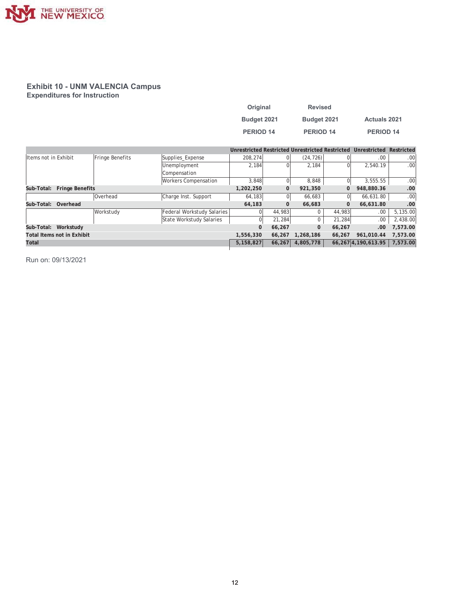

#### **Exhibit 10 - UNM VALENCIA Campus Expenditures for Instruction**

| Original         | <b>Revised</b>   |                     |
|------------------|------------------|---------------------|
| Budget 2021      | Budget 2021      | <b>Actuals 2021</b> |
| <b>PERIOD 14</b> | <b>PERIOD 14</b> | <b>PERIOD 14</b>    |

|                            |                                   |                 |                             |           |              |              |          | Unrestricted Restricted Unrestricted Restricted Unrestricted | Restricted |
|----------------------------|-----------------------------------|-----------------|-----------------------------|-----------|--------------|--------------|----------|--------------------------------------------------------------|------------|
| Items not in Exhibit       |                                   | Fringe Benefits | Supplies_Expense            | 208.274   | $\Omega$     | (24, 726)    |          | .00                                                          | $.00 \,$   |
|                            |                                   |                 | Unemployment                | 2.184     | $\Omega$     | 2.184        |          | 2.540.19                                                     | .00.       |
|                            |                                   |                 | Compensation                |           |              |              |          |                                                              |            |
|                            |                                   |                 | <b>Workers Compensation</b> | 3.848     | 0            | 8,848        |          | 3,555.55                                                     | .00.       |
| Sub-Total: Fringe Benefits |                                   |                 |                             | 1,202,250 | $\mathbf{0}$ | 921,350      |          | 948,880.36                                                   | .00        |
|                            |                                   | Overhead        | Charge Inst. Support        | 64,183    | 0            | 66,683       |          | 66.631.80                                                    | .00.       |
| Sub-Total: Overhead        |                                   |                 |                             | 64,183    | 0            | 66.683       | $\Omega$ | 66,631.80                                                    | .00        |
|                            |                                   | Workstudy       | Federal Workstudy Salaries  |           | 44,983       | $\mathbf 0$  | 44,983   | .00                                                          | 5,135.00   |
|                            |                                   |                 | State Workstudy Salaries    | U         | 21.284       | $\mathbf 0$  | 21.284   | .00.                                                         | 2,438.00   |
| Sub-Total: Workstudy       |                                   |                 |                             | $\Omega$  | 66,267       | $\mathbf{0}$ | 66,267   | .00.                                                         | 7.573.00   |
|                            | <b>Total Items not in Exhibit</b> |                 |                             | 1,556,330 | 66,267       | 1,268,186    | 66,267   | 961.010.44                                                   | 7,573.00   |
| Total                      |                                   |                 |                             | 5.158.827 | 66,267       | 4,805,778    |          | 66.267 4.190.613.95                                          | 7,573.00   |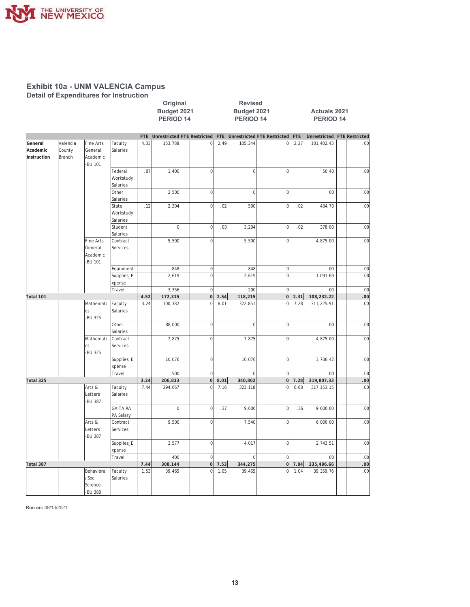

**Detail of Expenditures for Instruction** 

|                                    |                                             |                                             |                                  |            | Budget 2021<br><b>PERIOD 14</b>    |                |                | Budget 2021<br><b>PERIOD 14</b> |                                     |                |                  | <b>Actuals 2021</b><br><b>PERIOD 14</b> |                             |     |     |
|------------------------------------|---------------------------------------------|---------------------------------------------|----------------------------------|------------|------------------------------------|----------------|----------------|---------------------------------|-------------------------------------|----------------|------------------|-----------------------------------------|-----------------------------|-----|-----|
|                                    |                                             |                                             |                                  | <b>FTE</b> | <b>Unrestricted FTE Restricted</b> |                |                |                                 | FTE Unrestricted FTE Restricted FTE |                |                  |                                         | Unrestricted FTE Restricted |     |     |
| General<br>Academic<br>Instruction | Valencia<br>County<br>Branch                | Fine Arts<br>General<br>Academic<br>-BU 101 | Faculty<br>Salaries              | 4.33       | 153,788                            |                | $\overline{0}$ | 2.49                            | 105,344                             |                | 0                | 2.27                                    | 101,402.43                  |     | .00 |
|                                    |                                             |                                             | Federal<br>Workstudy<br>Salaries | .07        | 1,400                              |                | $\circ$        |                                 | $\mathbf 0$                         |                | $\mathbf 0$      |                                         | 50.40                       |     | .00 |
|                                    |                                             | Other<br>Salaries                           |                                  | 2,500      |                                    | $\overline{0}$ |                | $\mathbf 0$                     |                                     | $\overline{0}$ |                  | .00                                     |                             | .00 |     |
|                                    |                                             |                                             | State<br>Workstudy<br>Salaries   | .12        | 2,304                              |                | $\mathbf 0$    | .02                             | 500                                 |                | $\mathbf 0$      | .02                                     | 434.70                      |     | .00 |
|                                    |                                             |                                             | Student<br>Salaries              |            | $\overline{0}$                     |                | $\overline{0}$ | .03                             | 3,204                               |                | $\mathbf 0$      | .02                                     | 378.00                      |     | .00 |
|                                    | Fine Arts<br>General<br>Academic<br>-BU 101 | Contract<br>Services                        |                                  | 5,500      |                                    | $\overline{0}$ |                | 5,500                           |                                     | $\overline{0}$ |                  | 4,875.00                                |                             | .00 |     |
|                                    |                                             |                                             | Equipment                        |            | 848                                |                | $\overline{0}$ |                                 | 848                                 |                | $\mathbf 0$      |                                         | .00.                        |     | .00 |
|                                    |                                             |                                             | Supplies_E<br>xpense             |            | 2,619                              |                | $\mathbf 0$    |                                 | 2,619                               |                | $\mathbf 0$      |                                         | 1,091.69                    |     | .00 |
|                                    |                                             |                                             | Travel                           |            | 3,356                              |                | 0              |                                 | 200                                 |                | $\mathbf 0$      |                                         | .00.                        |     | .00 |
| Total 101                          |                                             |                                             |                                  | 4.52       | 172,315                            |                | 0              | 2.54                            | 118,215                             |                | $\overline{0}$   | 2.31                                    | 108,232.22                  |     | .00 |
|                                    |                                             | Mathemati<br><b>CS</b><br>-BU 325           | Faculty<br>Salaries              | 3.24       | 100,382                            |                | $\Omega$       | 8.01                            | 322,851                             |                | $\mathbf 0$      | 7.28                                    | 311,225.91                  |     | .00 |
|                                    |                                             |                                             | Other<br>Salaries                |            | 88,000                             |                | $\overline{0}$ |                                 | $\mathbf 0$                         |                | $\overline{0}$   |                                         | .00.                        |     | .00 |
|                                    |                                             | Mathemati<br>cs<br>-BU 325                  | Contract<br>Services             |            | 7,875                              |                | $\overline{0}$ |                                 | 7,875                               |                | $\mathbf 0$      |                                         | 4,875.00                    |     | .00 |
|                                    |                                             |                                             | Supplies_E<br>xpense             |            | 10,076                             |                | 0              |                                 | 10,076                              |                | $\overline{0}$   |                                         | 3,706.42                    |     | .00 |
|                                    |                                             |                                             | Travel                           |            | 500                                |                | $\circ$        |                                 | $\overline{0}$                      |                | $\mathbf 0$      |                                         | .00.                        |     | .00 |
| Total 325                          |                                             |                                             |                                  | 3.24       | 206,833                            |                | 0              | 8.01                            | 340,802                             |                | $\overline{0}$   | 7.28                                    | 319,807.33                  |     | .00 |
|                                    |                                             | Arts &<br>Letters<br>-BU 387                | Faculty<br>Salaries              | 7.44       | 294,667                            |                | $\Omega$       | 7.16                            | 323,118                             |                | $\mathbf 0$      | 6.68                                    | 317, 153. 15                |     | .00 |
|                                    |                                             |                                             | <b>GA TA RA</b><br>PA Salary     |            | $\overline{0}$                     |                | $\overline{0}$ | .37                             | 9,600                               |                | $\overline{0}$   | .36                                     | 9,600.00                    |     | .00 |
|                                    |                                             | Arts &<br>Letters<br>-BU 387                | Contract<br>Services             |            | 9,500                              |                | $\overline{0}$ |                                 | 7,540                               |                | $\mathbf 0$      |                                         | 6,000.00                    |     | .00 |
|                                    |                                             |                                             | Supplies_E<br>xpense             |            | 3,577                              |                | $\circ$        |                                 | 4,017                               |                | $\overline{0}$   |                                         | 2,743.51                    |     | .00 |
|                                    |                                             |                                             | Travel                           |            | 400                                |                | $\mathbf{0}$   |                                 | $\overline{0}$                      |                | $\mathbf 0$      |                                         | .00                         |     | .00 |
| Total 387                          |                                             |                                             |                                  | 7.44       | 308,144                            |                | 0              | 7.53                            | 344,275                             |                | $\boldsymbol{0}$ | 7.04                                    | 335,496.66                  |     | .00 |
|                                    |                                             | Behavioral<br>/Soc<br>Science<br>-BU 388    | Faculty<br>Salaries              | 1.53       | 39,465                             |                | $\overline{0}$ | 1.05                            | 39,465                              |                | $\mathbf 0$      | 1.04                                    | 39,359.76                   |     | .00 |

**2ULJLQDO 5HYLVHG**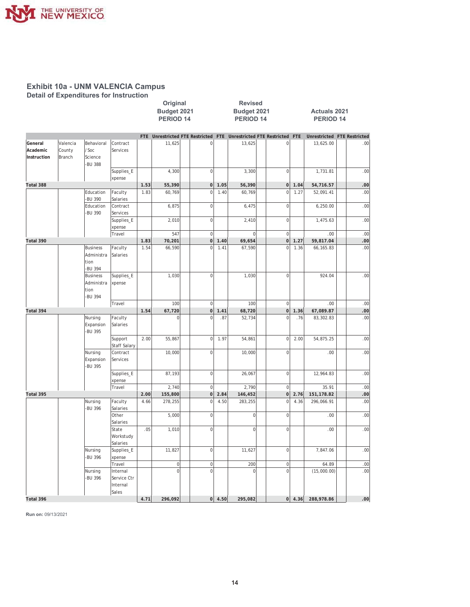

**Detail of Expenditures for Instruction** 

|                                    |                              |                                                  |                                              |              | Original<br>Budget 2021<br>PERIOD <sub>14</sub> |                      | <b>Revised</b><br>Budget 2021<br><b>PERIOD 14</b><br>Unrestricted FTE Restricted FTE Unrestricted FTE Restricted |                    |  |                                  | <b>Actuals 2021</b><br><b>PERIOD 14</b> |                               |                |
|------------------------------------|------------------------------|--------------------------------------------------|----------------------------------------------|--------------|-------------------------------------------------|----------------------|------------------------------------------------------------------------------------------------------------------|--------------------|--|----------------------------------|-----------------------------------------|-------------------------------|----------------|
|                                    |                              |                                                  |                                              | FTE          |                                                 |                      |                                                                                                                  |                    |  |                                  | <b>FTE</b>                              | Unrestricted FTE Restricted   |                |
| General<br>Academic<br>Instruction | Valencia<br>County<br>Branch | Behavioral<br>/Soc<br>Science<br>-BU 388         | Contract<br>Services                         |              | 11,625                                          | $\mathbf 0$          |                                                                                                                  | 13,625             |  | $\mathbf 0$                      |                                         | 13,625.00                     | .00            |
|                                    |                              |                                                  | Supplies_E<br>xpense                         |              | 4,300                                           | $\overline{0}$       |                                                                                                                  | 3,300              |  | $\mathbf 0$                      |                                         | 1,731.81                      | .00            |
| Total 388                          |                              |                                                  |                                              | 1.53         | 55,390                                          | 0                    | 1.05                                                                                                             | 56,390             |  | $\overline{0}$                   | 1.04                                    | 54,716.57                     | .00            |
|                                    |                              | Education<br>-BU 390                             | Faculty<br>Salaries                          | 1.83         | 60,769                                          | $\overline{0}$       | 1.40                                                                                                             | 60,769             |  | $\overline{0}$                   | 1.27                                    | 52,091.41                     | .00            |
|                                    |                              | Education<br>-BU 390                             | Contract<br>Services                         |              | 6,875                                           | $\mathbf 0$          |                                                                                                                  | 6,475              |  | $\mathbf 0$                      |                                         | 6,250.00                      | .00            |
|                                    |                              |                                                  | Supplies_E<br>xpense                         |              | 2,010                                           | $\mathbf 0$          |                                                                                                                  | 2,410              |  | $\mathbf 0$                      |                                         | 1,475.63                      | .00            |
|                                    |                              |                                                  | Travel                                       |              | 547                                             | $\mathbf 0$          |                                                                                                                  | $\mathbf 0$        |  | $\mathbf 0$                      |                                         | .00                           | .00            |
| Total 390                          |                              |                                                  |                                              | 1.83         | 70,201                                          | 0                    | 1.40                                                                                                             | 69,654             |  | $\mathbf{0}$                     | 1.27                                    | 59,817.04                     | .00            |
|                                    |                              | <b>Business</b><br>Administra<br>tion<br>-BU 394 | Faculty<br>Salaries                          | 1.54         | 66,590                                          | $\mathbf 0$          | 1.41                                                                                                             | 67,590             |  | $\mathbf{0}$                     | 1.36                                    | 66,165.83                     | .00            |
|                                    |                              | <b>Business</b><br>Administra<br>tion<br>-BU 394 | Supplies_E<br>xpense                         |              | 1,030                                           | $\overline{0}$       |                                                                                                                  | 1,030              |  | $\mathbf 0$                      |                                         | 924.04                        | .00            |
|                                    |                              |                                                  | Travel                                       |              | 100                                             | $\mathbf 0$          |                                                                                                                  | 100                |  | $\mathbf 0$                      |                                         | .00                           | .00            |
| Total 394                          |                              |                                                  |                                              | 1.54         | 67,720                                          | 0                    | 1.41                                                                                                             | 68,720             |  | $\mathbf 0$                      | 1.36                                    | 67,089.87                     | .00            |
|                                    |                              | Nursing<br>Expansion<br>-BU 395                  | Faculty<br>Salaries                          |              | $\Omega$                                        | $\Omega$             | .87                                                                                                              | 52,734             |  | $\overline{0}$                   | .76                                     | 83,302.83                     | .00            |
|                                    |                              |                                                  | Support<br>Staff Salary                      | 2.00         | 55,867                                          | $\mathbf 0$          | 1.97                                                                                                             | 54,861             |  | $\mathbf 0$                      | 2.00                                    | 54,875.25                     | .00            |
|                                    |                              | Nursing<br>Expansion<br>-BU 395                  | Contract<br>Services                         |              | 10,000                                          | $\mathbf 0$          |                                                                                                                  | 10,000             |  | $\mathbf 0$                      |                                         | .00                           | .00            |
|                                    |                              |                                                  | Supplies_E<br>xpense                         |              | 87,193                                          | $\overline{0}$       |                                                                                                                  | 26,067             |  | $\mathbf 0$                      |                                         | 12,964.83                     | .00            |
|                                    |                              |                                                  | Travel                                       |              | 2,740                                           | $\mathbf 0$          |                                                                                                                  | 2,790              |  | $\mathbf 0$                      |                                         | 35.91                         | .00            |
| Total 395                          |                              | Nursing                                          | Faculty                                      | 2.00<br>4.66 | 155,800<br>278,255                              | 0 <br>$\overline{0}$ | 2.84<br>4.50                                                                                                     | 146,452<br>283,255 |  | $\overline{0}$<br>$\overline{0}$ | 2.76<br>4.36                            | 151,178.82<br>296,066.91      | .00<br>.00     |
|                                    |                              | -BU 396                                          | Salaries<br>Other<br>Salaries                |              | 5,000                                           | $\mathbf 0$          |                                                                                                                  | $\mathbf 0$        |  | $\mathbf 0$                      |                                         | .00                           | .00            |
|                                    |                              |                                                  | State<br>Workstudy<br>Salaries               | .05          | 1,010                                           | $\mathbf{0}$         |                                                                                                                  | $\mathbf 0$        |  | $\mathbf 0$                      |                                         | .00                           | .00            |
|                                    |                              | Nursing<br>-BU 396                               | Supplies_E<br>xpense                         |              | 11,827                                          | $\mathbf{0}$         |                                                                                                                  | 11,627             |  | $\mathbf 0$                      |                                         | 7,847.06                      | .00            |
|                                    |                              |                                                  | Travel                                       |              | $\overline{0}$                                  | $\overline{0}$       |                                                                                                                  | 200                |  | $\mathbf 0$                      |                                         | 64.89                         | .00            |
|                                    |                              | Nursing<br>-BU 396                               | Internal<br>Service Ctr<br>Internal<br>Sales |              | $\overline{0}$                                  | $\mathbf{0}$         |                                                                                                                  | $\boldsymbol{0}$   |  | $\overline{0}$                   |                                         | (15,000.00)                   | .00            |
| Total 396                          |                              |                                                  |                                              | 4 7 1        | 296 092                                         |                      | $0 \mid 4.50$                                                                                                    | 295 082            |  |                                  |                                         | $0 \mid 4.36 \mid 288.978.86$ | 0 <sup>0</sup> |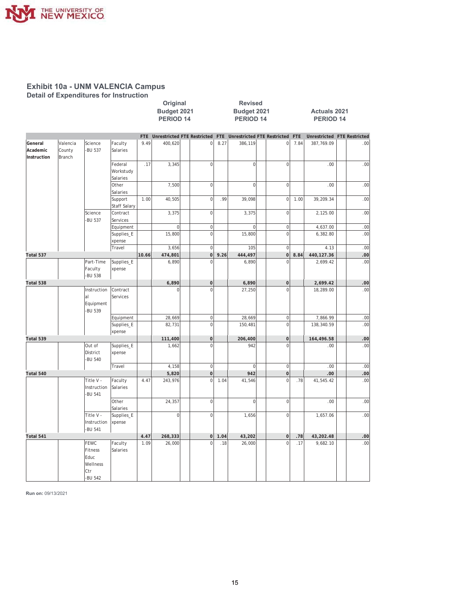

**Detail of Expenditures for Instruction** 

|                                    |                              |                                                       |                                  |            | Budget 2021<br><b>PERIOD 14</b>    |                |      | Budget 2021<br>PERIOD 14        |                  |            | <b>Actuals 2021</b><br>PERIOD 14 |     |
|------------------------------------|------------------------------|-------------------------------------------------------|----------------------------------|------------|------------------------------------|----------------|------|---------------------------------|------------------|------------|----------------------------------|-----|
|                                    |                              |                                                       |                                  | <b>FTE</b> | <b>Unrestricted FTE Restricted</b> |                |      | FTE Unrestricted FTE Restricted |                  | <b>FTE</b> | Unrestricted FTE Restricted      |     |
| General<br>Academic<br>Instruction | Valencia<br>County<br>Branch | Science<br>-BU 537                                    | Faculty<br>Salaries              | 9.49       | 400,620                            | 0              | 8.27 | 386,119                         | 0                | 7.84       | 387,769.09                       | .00 |
|                                    |                              |                                                       | Federal<br>Workstudy<br>Salaries | .17        | 3,345                              | $\mathbf{0}$   |      | $\mathbf 0$                     | $\overline{0}$   |            | .00                              | .00 |
|                                    |                              |                                                       | Other<br>Salaries                |            | 7,500                              | 0              |      | $\mathbf 0$                     | $\mathbf 0$      |            | .00                              | .00 |
|                                    |                              |                                                       | Support<br>Staff Salary          | 1.00       | 40,505                             | 0              | .99  | 39,098                          | 0                | 1.00       | 39,209.34                        | .00 |
|                                    |                              | Science<br>-BU 537                                    | Contract<br>Services             |            | 3,375                              | 0              |      | 3,375                           | $\mathbf 0$      |            | 2,125.00                         | .00 |
|                                    |                              |                                                       | Equipment                        |            | $\overline{0}$                     | 0              |      | $\overline{0}$                  | $\overline{0}$   |            | 4,637.00                         | .00 |
|                                    |                              |                                                       | Supplies_E<br>xpense             |            | 15,800                             | $\mathbf{0}$   |      | 15,800                          | $\mathbf 0$      |            | 6,382.80                         | .00 |
|                                    |                              |                                                       | Travel                           |            | 3,656                              | $\mathbf{0}$   |      | 105                             | $\mathbf{0}$     |            | 4.13                             | .00 |
| Total 537                          |                              |                                                       |                                  | 10.66      | 474,801                            | 0              | 9.26 | 444,497                         | $\overline{0}$   | 8.84       | 440,127.36                       | .00 |
|                                    |                              | Part-Time<br>Faculty<br>-BU 538                       | Supplies_E<br>xpense             |            | 6,890                              | $\overline{0}$ |      | 6,890                           | $\overline{0}$   |            | 2,699.42                         | .00 |
| Total 538                          |                              |                                                       |                                  |            | 6,890                              | 0              |      | 6,890                           | $\boldsymbol{0}$ |            | 2,699.42                         | .00 |
|                                    |                              | Instruction<br>lal<br>Equipment<br>-BU 539            | Contract<br>Services             |            | $\Omega$                           | $\Omega$       |      | 27,250                          | $\Omega$         |            | 18,289.00                        | .00 |
|                                    |                              |                                                       | Equipment                        |            | 28,669                             | 0              |      | 28,669                          | $\bf 0$          |            | 7,866.99                         | .00 |
|                                    |                              |                                                       | Supplies_E<br>xpense             |            | 82,731                             | $\overline{0}$ |      | 150,481                         | $\Omega$         |            | 138,340.59                       | .00 |
| Total 539                          |                              |                                                       |                                  |            | 111,400                            | 0              |      | 206,400                         | $\overline{0}$   |            | 164,496.58                       | .00 |
|                                    |                              | Out of<br>District<br>-BU 540                         | Supplies_E<br>xpense             |            | 1,662                              | $\overline{0}$ |      | 942                             | $\overline{0}$   |            | .00.                             | .00 |
|                                    |                              |                                                       | Travel                           |            | 4.158                              | $\mathbf{0}$   |      | $\mathbf 0$                     | $\overline{0}$   |            | .00.                             | .00 |
| Total 540                          |                              |                                                       |                                  |            | 5,820                              | 0              |      | 942                             | 0                |            | .00                              | .00 |
|                                    |                              | Title V -<br>Instruction<br>-BU 541                   | Faculty<br>Salaries              | 4.47       | 243,976                            | $\overline{0}$ | 1.04 | 41,546                          | $\mathbf 0$      | .78        | 41,545.42                        | .00 |
|                                    |                              |                                                       | Other<br>Salaries                |            | 24,357                             | $\mathbf{0}$   |      | $\overline{0}$                  | $\mathbf 0$      |            | .00.                             | .00 |
|                                    |                              | Title V -<br>Instruction<br>-BU 541                   | Supplies_E<br>xpense             |            | $\overline{0}$                     | 0              |      | 1,656                           | $\mathsf 0$      |            | 1,657.06                         | .00 |
| Total 541                          |                              |                                                       |                                  | 4.47       | 268,333                            | 0              | 1.04 | 43,202                          | 0                | .78        | 43,202.48                        | .00 |
|                                    |                              | FEWC<br>Fitness<br>Educ<br>Wellness<br>Ctr<br>-BU 542 | Faculty<br>Salaries              | 1.09       | 26,000                             | $\mathbf{0}$   | .18  | 26,000                          | $\Omega$         | .17        | 9,682.10                         | .00 |

**2ULJLQDO 5HYLVHG**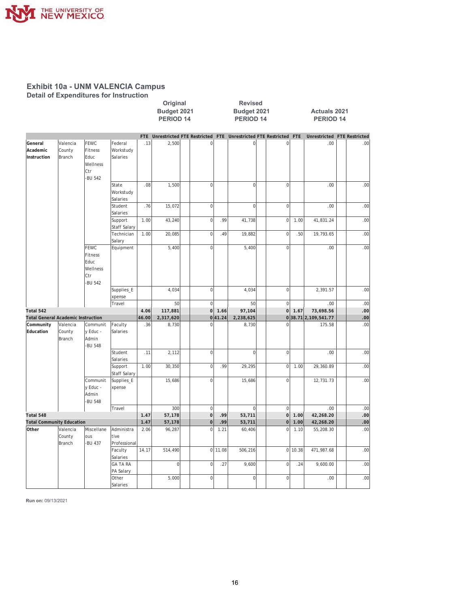

**Detail of Expenditures for Instruction** 

|                                           |                                     |                                                                     |                                    |            | Original<br>Budget 2021<br>PERIOD <sub>14</sub> |                | <b>Revised</b><br>Budget 2021<br><b>PERIOD 14</b><br>Unrestricted FTE Restricted FTE Unrestricted FTE Restricted |                |  |                | <b>Actuals 2021</b><br><b>PERIOD 14</b> |                             |     |
|-------------------------------------------|-------------------------------------|---------------------------------------------------------------------|------------------------------------|------------|-------------------------------------------------|----------------|------------------------------------------------------------------------------------------------------------------|----------------|--|----------------|-----------------------------------------|-----------------------------|-----|
|                                           |                                     |                                                                     |                                    | <b>FTE</b> |                                                 |                |                                                                                                                  |                |  |                | <b>FTE</b>                              | Unrestricted FTE Restricted |     |
| General<br>Academic<br>Instruction        | Valencia<br>County<br><b>Branch</b> | FEWC<br>Fitness<br>Educ<br>Wellness<br>lctr                         | Federal<br>Workstudy<br>Salaries   | .13        | 2,500                                           | $\mathbf 0$    |                                                                                                                  | $\overline{0}$ |  | $\mathbf 0$    |                                         | .00                         | .00 |
|                                           |                                     | -BU 542                                                             | State<br>Workstudy<br>Salaries     | .08        | 1,500                                           | $\overline{0}$ |                                                                                                                  | $\overline{0}$ |  | $\mathbf 0$    |                                         | .00                         | .00 |
|                                           |                                     |                                                                     | Student<br>Salaries                | .76        | 15,072                                          | $\mathbf 0$    |                                                                                                                  | $\overline{0}$ |  | $\mathbf 0$    |                                         | .00                         | .00 |
|                                           |                                     |                                                                     | Support<br>Staff Salary            | 1.00       | 43,240                                          | $\mathbf 0$    | .99                                                                                                              | 41,738         |  | $\mathbf 0$    | 1.00                                    | 41,831.24                   | .00 |
|                                           |                                     |                                                                     | Technician<br>Salary               | 1.00       | 20,085                                          | $\mathbf 0$    | .49                                                                                                              | 19,882         |  | $\mathbf 0$    | .50                                     | 19,793.65                   | .00 |
|                                           |                                     | <b>FEWC</b><br>Fitness<br>Educ<br>Wellness<br><b>Ctr</b><br>-BU 542 | Equipment                          |            | 5,400                                           | $\mathbf 0$    |                                                                                                                  | 5,400          |  | $\mathbf 0$    |                                         | .00                         | .00 |
|                                           |                                     |                                                                     | Supplies_E<br>xpense               |            | 4,034                                           | $\mathbf 0$    |                                                                                                                  | 4,034          |  | $\mathbf 0$    |                                         | 2.391.57                    | .00 |
|                                           |                                     |                                                                     | Travel                             |            | 50                                              | $\overline{0}$ |                                                                                                                  | 50             |  | $\mathbf 0$    |                                         | .00                         | .00 |
| Total 542                                 |                                     |                                                                     |                                    | 4.06       | 117,881                                         | $\overline{0}$ | 1.66                                                                                                             | 97,104         |  | $\overline{0}$ | 1.67                                    | 73,698.56                   | .00 |
| <b>Total General Academic Instruction</b> |                                     |                                                                     |                                    | 46.00      | 2,317,620                                       | 0              | 41.24                                                                                                            | 2,238,625      |  |                |                                         | 038.712,109,541.77          | .00 |
| Community<br>Education                    | Valencia<br>County<br>Branch        | Communit<br>y Educ -<br>Admin<br>-BU 548                            | Faculty<br>Salaries                | .36        | 8,730                                           | $\overline{0}$ |                                                                                                                  | 8,730          |  | $\overline{0}$ |                                         | 175.58                      | .00 |
|                                           |                                     |                                                                     | Student<br>Salaries                | .11        | 2,112                                           | $\mathbf 0$    |                                                                                                                  | $\overline{0}$ |  | $\mathbf 0$    |                                         | .00                         | .00 |
|                                           |                                     |                                                                     | Support<br>Staff Salary            | 1.00       | 30,350                                          | $\overline{0}$ | .99                                                                                                              | 29,295         |  | $\mathbf 0$    | 1.00                                    | 29,360.89                   | .00 |
|                                           |                                     | Communit<br>y Educ -<br>Admin<br>-BU 548                            | Supplies_E<br>xpense               |            | 15,686                                          | $\mathbf 0$    |                                                                                                                  | 15,686         |  | $\mathbf 0$    |                                         | 12,731.73                   | .00 |
|                                           |                                     |                                                                     | Travel                             |            | 300                                             | $\overline{0}$ |                                                                                                                  | $\Omega$       |  | $\mathbf{0}$   |                                         | .00.                        | .00 |
| Total 548                                 |                                     |                                                                     |                                    | 1.47       | 57,178                                          | $\overline{0}$ | .99                                                                                                              | 53,711         |  | $\Omega$       | 1.00                                    | 42,268.20                   | .00 |
| <b>Total Community Education</b>          |                                     |                                                                     |                                    | 1.47       | 57,178                                          | $\mathbf 0$    | .99                                                                                                              | 53,711         |  | $\mathbf 0$    | 1.00                                    | 42,268.20                   | .00 |
| Other                                     | Valencia<br>County<br>Branch        | Miscellane<br>lous<br>-BU 437                                       | Administra<br>tive<br>Professional | 2.06       | 96,287                                          | $\overline{0}$ | 1.21                                                                                                             | 60,406         |  | $\overline{0}$ | 1.10                                    | 55,208.30                   | .00 |
|                                           |                                     |                                                                     | Faculty<br>Salaries                | 14.17      | 514,490                                         |                | $0$   11.08                                                                                                      | 506,216        |  | $\overline{0}$ | 10.38                                   | 471,987.68                  | .00 |
|                                           |                                     |                                                                     | <b>GA TA RA</b><br>PA Salary       |            | $\mathbf 0$                                     | $\mathbf 0$    | .27                                                                                                              | 9,600          |  | $\mathbf 0$    | .24                                     | 9,600.00                    | .00 |
|                                           |                                     |                                                                     | Other<br>Salaries                  |            | 5,000                                           | $\mathbf 0$    |                                                                                                                  | $\overline{0}$ |  | $\mathbf 0$    |                                         | .00                         | .00 |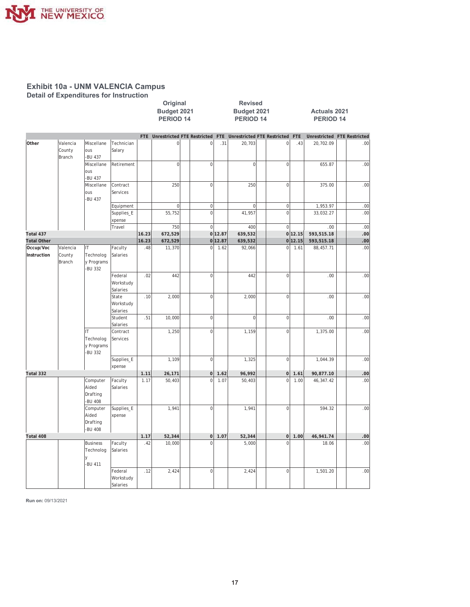

Detail of Expenditures for Instruction

|                          |                              |                                                     |                                  |       | Original<br>Budget 2021<br>PERIOD 14 |                |         | <b>Revised</b><br>Budget 2021<br><b>PERIOD 14</b> |                |            | <b>Actuals 2021</b><br><b>PERIOD 14</b> |     |
|--------------------------|------------------------------|-----------------------------------------------------|----------------------------------|-------|--------------------------------------|----------------|---------|---------------------------------------------------|----------------|------------|-----------------------------------------|-----|
|                          |                              |                                                     |                                  |       | FTE Unrestricted FTE Restricted FTE  |                |         | <b>Unrestricted FTE Restricted</b>                |                | <b>FTE</b> | Unrestricted FTE Restricted             |     |
| Other                    | Valencia<br>County<br>Branch | Miscellane<br>ous<br>-BU 437                        | Technician<br>Salary             |       | $\overline{0}$                       | $\mathbf 0$    | .31     | 20,703                                            | $\circ$        | .43        | 20,702.09                               | .00 |
|                          |                              | Miscellane<br>lous<br>-BU 437                       | Retirement                       |       | $\mathbf 0$                          | $\overline{0}$ |         | $\overline{0}$                                    | $\overline{0}$ |            | 655.87                                  | .00 |
|                          |                              | Miscellane<br>ous<br>-BU 437                        | Contract<br>Services             |       | 250                                  | $\overline{0}$ |         | 250                                               | $\overline{0}$ |            | 375.00                                  | .00 |
|                          |                              |                                                     | Equipment                        |       | $\vert$                              | $\overline{0}$ |         | $\overline{0}$                                    | 0              |            | 1,953.97                                | .00 |
|                          |                              |                                                     | Supplies_E                       |       | 55,752                               | $\mathbf 0$    |         | 41,957                                            | $\overline{0}$ |            | 33,032.27                               | .00 |
|                          |                              |                                                     | xpense                           |       |                                      |                |         |                                                   |                |            |                                         |     |
|                          |                              |                                                     | Travel                           |       | 750                                  | $\Omega$       |         | 400                                               | $\mathsf 0$    |            | .00                                     | .00 |
| Total 437                |                              |                                                     |                                  | 16.23 | 672,529                              |                | 0 12.87 | 639,532                                           |                | 0 12.15    | 593,515.18                              | .00 |
| <b>Total Other</b>       |                              |                                                     |                                  | 16.23 | 672,529                              |                | 0 12.87 | 639,532                                           |                | 0 12.15    | 593,515.18                              | .00 |
| Occup/Voc<br>Instruction | Valencia<br>County<br>Branch | IТ<br>Technolog<br>y Programs<br>-BU 332            | Faculty<br>Salaries              | .48   | 11,370                               | $\mathbf 0$    | 1.62    | 92,066                                            | $\mathbf 0$    | 1.61       | 88,457.71                               | .00 |
|                          |                              |                                                     | Federal<br>Workstudy<br>Salaries | .02   | 442                                  | $\mathbf 0$    |         | 442                                               | $\mathbf 0$    |            | .00                                     | .00 |
|                          |                              |                                                     | State<br>Workstudy<br>Salaries   | .10   | 2.000                                | $\overline{0}$ |         | 2,000                                             | $\mathbf 0$    |            | .00                                     | .00 |
|                          |                              |                                                     | Student<br>Salaries              | .51   | 10,000                               | $\overline{0}$ |         | $\overline{0}$                                    | $\overline{0}$ |            | .00                                     | .00 |
|                          |                              | IТ<br>Technolog<br>y Programs<br>-BU 332            | Contract<br>Services             |       | 1,250                                | $\mathbf 0$    |         | 1,159                                             | $\mathbf 0$    |            | 1,375.00                                | .00 |
|                          |                              |                                                     | Supplies_E<br>xpense             |       | 1.109                                | $\overline{0}$ |         | 1,325                                             | $\mathsf 0$    |            | 1,044.39                                | .00 |
| Total 332                |                              |                                                     |                                  | 1.11  | 26,171                               | $\overline{0}$ | 1.62    | 96,992                                            | $\pmb{0}$      | 1.61       | 90,877.10                               | .00 |
|                          |                              | Computer<br>Aided<br>Drafting<br>-BU 408            | Faculty<br>Salaries              | 1.17  | 50,403                               | $\overline{0}$ | 1.07    | 50,403                                            | $\overline{0}$ | 1.00       | 46,347.42                               | .00 |
|                          |                              | Computer<br>Aided<br>Drafting<br>-BU 408            | Supplies_E<br>xpense             |       | 1,941                                | $\mathbf 0$    |         | 1,941                                             | $\mathbf 0$    |            | 594.32                                  | .00 |
| Total 408                |                              |                                                     |                                  | 1.17  | 52,344                               | 0              | 1.07    | 52,344                                            | 0              | 1.00       | 46,941.74                               | .00 |
|                          |                              | <b>Business</b><br>Technolog<br><b>y</b><br>-BU 411 | Faculty<br>Salaries              | .42   | 10,000                               | $\Omega$       |         | 5,000                                             | $\overline{0}$ |            | 18.06                                   | .00 |
|                          |                              |                                                     | Federal<br>Workstudy<br>Salaries | .12   | 2,424                                | $\mathbf 0$    |         | 2,424                                             | $\mathsf 0$    |            | 1,501.20                                | .00 |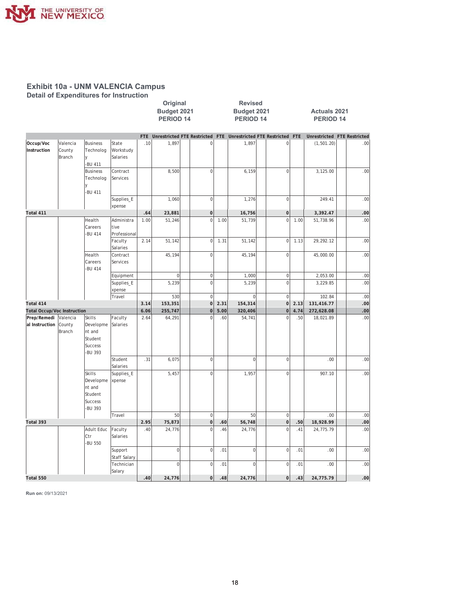

**Detail of Expenditures for Instruction** 

|                                    |                              |                                                                              |                                    |            | Original<br><b>Revised</b><br>Budget 2021<br>Budget 2021<br>PERIOD <sub>14</sub><br><b>PERIOD 14</b><br>Unrestricted FTE Restricted FTE Unrestricted FTE Restricted FTE |  |                |      |                | <b>Actuals 2021</b><br><b>PERIOD 14</b> |                |      |                             |     |
|------------------------------------|------------------------------|------------------------------------------------------------------------------|------------------------------------|------------|-------------------------------------------------------------------------------------------------------------------------------------------------------------------------|--|----------------|------|----------------|-----------------------------------------|----------------|------|-----------------------------|-----|
|                                    |                              |                                                                              |                                    | <b>FTE</b> |                                                                                                                                                                         |  |                |      |                |                                         |                |      | Unrestricted FTE Restricted |     |
| Occup/Voc<br>Instruction           | Valencia<br>County<br>Branch | <b>Business</b><br>Technolog<br><b>y</b><br>-BU 411                          | State<br>Workstudy<br>Salaries     | .10        | 1,897                                                                                                                                                                   |  | $\Omega$       |      | 1,897          |                                         | $\mathbf 0$    |      | (1, 501.20)                 | .00 |
|                                    |                              | <b>Business</b><br>Technolog<br>٧<br>-BU 411                                 | Contract<br>Services               |            | 8,500                                                                                                                                                                   |  | $\overline{0}$ |      | 6,159          |                                         | $\mathbf 0$    |      | 3,125.00                    | .00 |
|                                    |                              |                                                                              | Supplies_E<br>xpense               |            | 1,060                                                                                                                                                                   |  | $\circ$        |      | 1,276          |                                         | $\mathbf 0$    |      | 249.41                      | .00 |
| Total 411                          |                              |                                                                              |                                    | .64        | 23,881                                                                                                                                                                  |  | $\overline{0}$ |      | 16,756         |                                         | $\mathbf 0$    |      | 3,392.47                    | .00 |
|                                    |                              | Health<br>Careers<br>-BU 414                                                 | Administra<br>tive<br>Professional | 1.00       | 51,246                                                                                                                                                                  |  | $\overline{0}$ | 1.00 | 51,739         |                                         | $\mathbf 0$    | 1.00 | 51,738.96                   | .00 |
|                                    |                              |                                                                              | Faculty<br>Salaries                | 2.14       | 51,142                                                                                                                                                                  |  | 0              | 1.31 | 51,142         |                                         | $\mathbf 0$    | 1.13 | 29, 292.12                  | .00 |
|                                    |                              | Health<br>Careers<br><b>BU 414</b>                                           | Contract<br>Services               |            | 45,194                                                                                                                                                                  |  | $\Omega$       |      | 45,194         |                                         | $\overline{0}$ |      | 45,000.00                   | .00 |
|                                    |                              |                                                                              | Equipment                          |            | $\mathbf 0$                                                                                                                                                             |  | 0              |      | 1,000          |                                         | $\mathbf 0$    |      | 2,053.00                    | .00 |
|                                    |                              |                                                                              | Supplies_E<br>xpense               |            | 5,239                                                                                                                                                                   |  | $\overline{0}$ |      | 5,239          |                                         | $\overline{0}$ |      | 3,229.85                    | .00 |
|                                    |                              |                                                                              | Travel                             |            | 530                                                                                                                                                                     |  | $\circ$        |      | $\mathbf 0$    |                                         | $\mathbf 0$    |      | 102.84                      | .00 |
| Total 414                          |                              |                                                                              |                                    | 3.14       | 153,351                                                                                                                                                                 |  | 0              | 2.31 | 154,314        |                                         | $\mathbf 0$    | 2.13 | 131,416.77                  | .00 |
| <b>Total Occup/Voc Instruction</b> |                              |                                                                              |                                    | 6.06       | 255,747                                                                                                                                                                 |  | $\overline{0}$ | 5.00 | 320,406        |                                         | $\overline{0}$ | 4.74 | 272,628.08                  | .00 |
| Prep/Remedi<br>al Instruction      | Valencia<br>County<br>Branch | Skills<br>Developme<br>nt and<br>Student<br><b>Success</b><br><b>BU 393</b>  | Faculty<br>Salaries                | 2.64       | 64,291                                                                                                                                                                  |  | $\mathbf{0}$   | .60  | 54,741         |                                         | $\overline{0}$ | .50  | 18,021.89                   | .00 |
|                                    |                              |                                                                              | Student<br>Salaries                | .31        | 6,075                                                                                                                                                                   |  | $\overline{0}$ |      | $\mathbf 0$    |                                         | $\mathbf 0$    |      | .00                         | .00 |
|                                    |                              | <b>Skills</b><br>Developme<br>nt and<br>Student<br><b>Success</b><br>-BU 393 | Supplies_E<br>xpense               |            | 5,457                                                                                                                                                                   |  | $\overline{0}$ |      | 1,957          |                                         | $\mathbf 0$    |      | 907.10                      | .00 |
|                                    |                              |                                                                              | Travel                             |            | 50                                                                                                                                                                      |  | $\overline{0}$ |      | 50             |                                         | $\mathbf 0$    |      | .00.                        | .00 |
| Total 393                          |                              |                                                                              |                                    | 2.95       | 75,873                                                                                                                                                                  |  | $\overline{0}$ | .60  | 56,748         |                                         | $\mathbf 0$    | .50  | 18,928.99                   | .00 |
|                                    |                              | Adult Educ<br>Ctr<br>-BU 550                                                 | Faculty<br>Salaries                | .40        | 24,776                                                                                                                                                                  |  | $\overline{0}$ | .46  | 24,776         |                                         | $\overline{0}$ | .41  | 24,775.79                   | .00 |
|                                    |                              |                                                                              | Support<br><b>Staff Salary</b>     |            | $\mathbf 0$                                                                                                                                                             |  | 0              | .01  | $\overline{0}$ |                                         | $\mathbf 0$    | .01  | .00                         | .00 |
|                                    |                              |                                                                              | Technician<br>Salary               |            | $\mathbf 0$                                                                                                                                                             |  | $\overline{0}$ | .01  | $\mathbf 0$    |                                         | $\mathbf 0$    | .01  | .00                         | .00 |
| Total 550                          |                              |                                                                              |                                    | .40        | 24,776                                                                                                                                                                  |  | 0              | .48  | 24,776         |                                         | $\mathbf 0$    | .43  | 24,775.79                   | .00 |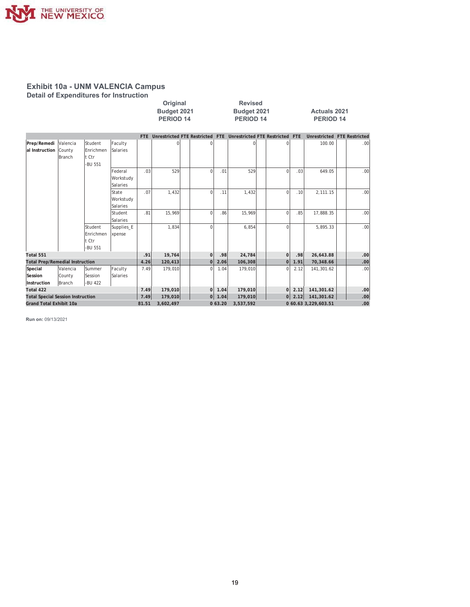

# **Exhibit 10a - UNM VALENCIA Campus<br>Detail of Expenditures for Instruction**

|                                          |          |               |            |           | Original<br>Budget 2021<br>PERIOD <sub>14</sub><br>Unrestricted FTE Restricted FTE Unrestricted FTE Restricted FTE<br>FTE |  |                      | <b>Revised</b><br>Budget 2021<br>PERIOD 14 |                   |                                  | <b>Actuals 2021</b><br><b>PERIOD 14</b> |                             |            |
|------------------------------------------|----------|---------------|------------|-----------|---------------------------------------------------------------------------------------------------------------------------|--|----------------------|--------------------------------------------|-------------------|----------------------------------|-----------------------------------------|-----------------------------|------------|
|                                          |          |               |            |           |                                                                                                                           |  |                      |                                            |                   |                                  |                                         | Unrestricted FTE Restricted |            |
| Prep/Remedi                              | Valencia | Student       | Faculty    |           | 0                                                                                                                         |  |                      |                                            | 0                 | 0                                |                                         | 100.00                      | .00        |
| al Instruction                           | County   | Enrichmen     | Salaries   |           |                                                                                                                           |  |                      |                                            |                   |                                  |                                         |                             |            |
|                                          | Branch   | lt Ctr        |            |           |                                                                                                                           |  |                      |                                            |                   |                                  |                                         |                             |            |
|                                          |          | -BU 551       |            |           |                                                                                                                           |  |                      |                                            |                   |                                  |                                         |                             |            |
|                                          |          |               | Federal    | .03       | 529                                                                                                                       |  | $\Omega$             | .01                                        | 529               | $\Omega$                         | .03                                     | 649.05                      | .00        |
|                                          |          |               | Workstudy  |           |                                                                                                                           |  |                      |                                            |                   |                                  |                                         |                             |            |
|                                          |          |               | Salaries   |           |                                                                                                                           |  |                      |                                            |                   |                                  |                                         |                             |            |
|                                          |          |               | State      | .07       | 1.432                                                                                                                     |  | $\Omega$             | .11                                        | 1.432             | $\Omega$                         | .10                                     | 2.111.15                    | .00        |
|                                          |          |               | Workstudy  |           |                                                                                                                           |  |                      |                                            |                   |                                  |                                         |                             |            |
|                                          |          |               | Salaries   |           |                                                                                                                           |  |                      |                                            |                   |                                  |                                         |                             |            |
|                                          |          |               | Student    | .81       | 15,969                                                                                                                    |  | $\Omega$             | .86                                        | 15,969            | $\Omega$                         | .85                                     | 17,888.35                   | .00        |
|                                          |          |               | Salaries   |           |                                                                                                                           |  |                      |                                            |                   |                                  |                                         |                             |            |
|                                          |          | Student       | Supplies_E |           | 1,834                                                                                                                     |  | $\Omega$             |                                            | 6,854             | $\Omega$                         |                                         | 5,895.33                    | .00        |
|                                          |          | Enrichmen     | xpense     |           |                                                                                                                           |  |                      |                                            |                   |                                  |                                         |                             |            |
|                                          |          | lt Ctr        |            |           |                                                                                                                           |  |                      |                                            |                   |                                  |                                         |                             |            |
| Total 551                                |          | -BU 551       |            | .91       |                                                                                                                           |  |                      |                                            |                   |                                  |                                         |                             |            |
| <b>Total Prep/Remedial Instruction</b>   |          |               |            | 4.26      | 19,764<br>120,413                                                                                                         |  | $\Omega$<br>$\Omega$ | .98<br>2.06                                | 24,784<br>106,308 | $\overline{0}$<br>$\overline{0}$ | .98<br>1.91                             | 26,643.88<br>70,348.66      | .00<br>.00 |
| Special                                  | Valencia | <b>Summer</b> | Faculty    | 7.49      | 179,010                                                                                                                   |  | $\Omega$             | 1.04                                       | 179,010           | $\Omega$                         | 2.12                                    | 141,301.62                  | .00        |
| Session                                  | County   | Session       | Salaries   |           |                                                                                                                           |  |                      |                                            |                   |                                  |                                         |                             |            |
| Instruction                              | Branch   | -BU 422       |            |           |                                                                                                                           |  |                      |                                            |                   |                                  |                                         |                             |            |
| Total 422                                |          |               |            | 7.49      | 179,010                                                                                                                   |  | $\Omega$             | 1.04                                       | 179,010           | οl                               | 2.12                                    | 141,301.62                  | .00        |
| <b>Total Special Session Instruction</b> |          |               |            | 7.49      | 179,010                                                                                                                   |  | 0                    | 1.04                                       | 179,010           | 0                                | 2.12                                    | 141,301.62                  | .00        |
| <b>Grand Total Exhibit 10a</b>           |          |               | 81.51      | 3,602,497 |                                                                                                                           |  | 0.63.20              | 3,537,592                                  |                   |                                  | 0 60.63 3,229,603.51                    | .00                         |            |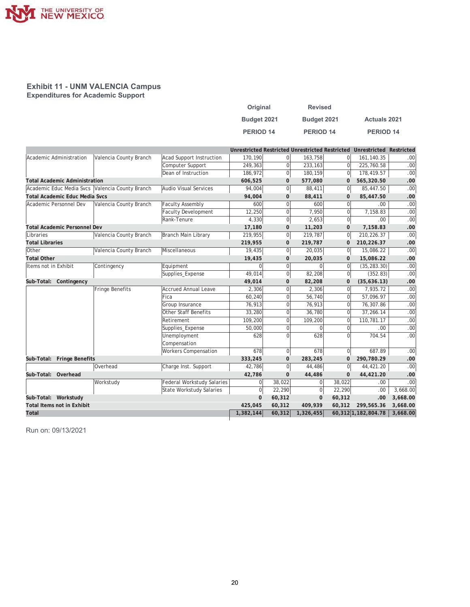

#### **Exhibit 11 - UNM VALENCIA Campus Expenditures for Academic Support**

| Original             | <b>Revised</b>   |                      |
|----------------------|------------------|----------------------|
| Budget 2021          | Budget 2021      | <b>Actuals 2021</b>  |
| PERIOD <sub>14</sub> | <b>PERIOD 14</b> | PERIOD <sub>14</sub> |

|                         |                                       |                                                 |                                   |                |                |                |                | Unrestricted Restricted Unrestricted Restricted Unrestricted Restricted |                  |
|-------------------------|---------------------------------------|-------------------------------------------------|-----------------------------------|----------------|----------------|----------------|----------------|-------------------------------------------------------------------------|------------------|
| Academic Administration |                                       | Valencia County Branch                          | <b>Acad Support Instruction</b>   | 170,190        | 0              | 163,758        | $\Omega$       | 161,140.35                                                              | .00 <sub>1</sub> |
|                         |                                       |                                                 | Computer Support                  | 249,363        | $\overline{0}$ | 233,163        | $\Omega$       | 225,760.58                                                              | .00 <sub>1</sub> |
|                         |                                       |                                                 | Dean of Instruction               | 186,972        | 0              | 180,159        | $\Omega$       | 178,419.57                                                              | .00              |
|                         | <b>Total Academic Administration</b>  |                                                 |                                   | 606,525        | $\mathbf 0$    | 577,080        | $\mathbf 0$    | 565,320.50                                                              | .00              |
|                         |                                       | Academic Educ Media Svcs Valencia County Branch | Audio Visual Services             | 94,004         | 0              | 88,411         | $\Omega$       | 85,447.50                                                               | .00              |
|                         | <b>Total Academic Educ Media Svcs</b> |                                                 |                                   | 94,004         | $\mathbf{0}$   | 88,411         | $\Omega$       | 85,447.50                                                               | .00              |
| Academic Personnel Dev  |                                       | Valencia County Branch                          | <b>Faculty Assembly</b>           | 600            | 0              | 600            | $\Omega$       | .00.                                                                    | .00              |
|                         |                                       |                                                 | <b>Faculty Development</b>        | 12,250         | 0              | 7,950          | $\Omega$       | 7,158.83                                                                | .00              |
|                         |                                       |                                                 | Rank-Tenure                       | 4,330          | 0              | 2,653          | $\overline{0}$ | .00.                                                                    | .00              |
|                         | <b>Total Academic Personnel Dev</b>   |                                                 |                                   | 17,180         | $\mathbf{0}$   | 11,203         | $\mathbf{0}$   | 7,158.83                                                                | .00              |
| Libraries               |                                       | Valencia County Branch                          | Branch Main Library               | 219,955        | 0              | 219,787        | $\overline{0}$ | 210,226.37                                                              | .00 <sub>1</sub> |
| <b>Total Libraries</b>  |                                       |                                                 |                                   | 219,955        | $\mathbf 0$    | 219,787        | $\mathbf{0}$   | 210,226.37                                                              | .00              |
| Other                   |                                       | Valencia County Branch                          | Miscellaneous                     | 19,435         | 0              | 20,035         | $\overline{0}$ | 15,086.22                                                               | .00              |
| <b>Total Other</b>      |                                       |                                                 |                                   | 19,435         | $\mathbf{0}$   | 20,035         | $\mathbf{0}$   | 15,086.22                                                               | .00              |
| Items not in Exhibit    |                                       | Contingency                                     | Equipment                         | $\overline{0}$ | 0              | $\mathbf 0$    | $\Omega$       | (35, 283.30)                                                            | .00              |
|                         |                                       |                                                 | Supplies_Expense                  | 49,014         | 0              | 82,208         | $\Omega$       | (352.83)                                                                | .00 <sub>1</sub> |
|                         | Sub-Total: Contingency                |                                                 |                                   | 49,014         | $\mathbf{0}$   | 82,208         | $\mathbf{0}$   | (35,636.13)                                                             | .00              |
|                         |                                       | Fringe Benefits                                 | <b>Accrued Annual Leave</b>       | 2.306          | $\overline{0}$ | 2,306          | $\Omega$       | 7,935.72                                                                | .00              |
|                         |                                       |                                                 | Fica                              | 60,240         | $\overline{0}$ | 56,740         | $\Omega$       | 57,096.97                                                               | .00 <sub>1</sub> |
|                         |                                       |                                                 | Group Insurance                   | 76,913         | $\overline{0}$ | 76,913         | $\Omega$       | 76,307.86                                                               | .00              |
|                         |                                       |                                                 | Other Staff Benefits              | 33,280         | $\overline{0}$ | 36,780         | $\Omega$       | 37,266.14                                                               | .00              |
|                         |                                       |                                                 | Retirement                        | 109,200        | $\overline{0}$ | 109,200        | $\Omega$       | 110,781.17                                                              | .00              |
|                         |                                       |                                                 | Supplies_Expense                  | 50,000         | $\overline{0}$ | $\Omega$       | $\Omega$       | .00.                                                                    | .00              |
|                         |                                       |                                                 | Unemployment                      | 628            | $\Omega$       | 628            | $\Omega$       | 704.54                                                                  | .00              |
|                         |                                       |                                                 | Compensation                      |                |                |                |                |                                                                         |                  |
|                         |                                       |                                                 | <b>Workers Compensation</b>       | 678            | 0              | 678            | $\mathbf 0$    | 687.89                                                                  | .00              |
|                         | Sub-Total: Fringe Benefits            |                                                 |                                   | 333,245        | $\mathbf{0}$   | 283,245        | $\mathbf{0}$   | 290,780.29                                                              | .00              |
|                         |                                       | Overhead                                        | Charge Inst. Support              | 42,786         | 0              | 44,486         | $\Omega$       | 44,421.20                                                               | .00              |
| Sub-Total: Overhead     |                                       |                                                 |                                   | 42,786         | $\mathbf{0}$   | 44,486         | $\Omega$       | 44,421.20                                                               | .00              |
|                         |                                       | Workstudy                                       | <b>Federal Workstudy Salaries</b> | $\overline{0}$ | 38,022         | $\Omega$       | 38,022         | .00.                                                                    | .00              |
|                         |                                       |                                                 | <b>State Workstudy Salaries</b>   | 0              | 22,290         | $\overline{0}$ | 22,290         | .00                                                                     | 3,668.00         |
| Sub-Total: Workstudy    |                                       |                                                 |                                   | $\mathbf 0$    | 60,312         | $\mathbf 0$    | 60,312         | .00                                                                     | 3,668.00         |
|                         | <b>Total Items not in Exhibit</b>     |                                                 |                                   | 425,045        | 60,312         | 409,939        | 60,312         | 299,565.36                                                              | 3,668.00         |
| Total                   |                                       |                                                 |                                   | 1,382,144      | 60,312         | 1,326,455      |                | 60,312 1,182,804.78                                                     | 3,668.00         |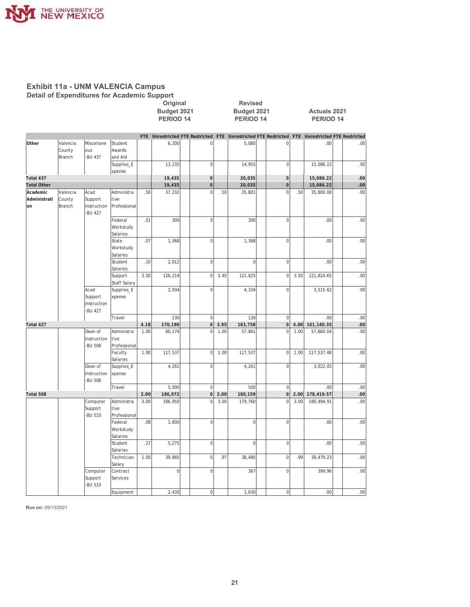

#### **Exhibit 11a - UNM VALENCIA Campus Detail of Expenditures for Academic Support**

|                                |                                     |                                                 |                                    | Budget 2021<br>PERIOD <sub>14</sub><br>Unrestricted FTE Restricted FTE Unrestricted FTE Restricted FTE Unrestricted FTE Restricted<br>FTE |              | Budget 2021<br><b>PERIOD 14</b> |      |                | <b>Actuals 2021</b><br><b>PERIOD 14</b> |      |            |      |
|--------------------------------|-------------------------------------|-------------------------------------------------|------------------------------------|-------------------------------------------------------------------------------------------------------------------------------------------|--------------|---------------------------------|------|----------------|-----------------------------------------|------|------------|------|
|                                |                                     |                                                 |                                    |                                                                                                                                           |              |                                 |      |                |                                         |      |            |      |
| Other                          | Valencia<br>County<br><b>Branch</b> | Miscellane<br>ous<br>-BU 437                    | Student<br>Awards<br>and Aid       |                                                                                                                                           | 6,200        | $\mathbf 0$                     |      | 5,080          | $\mathbf 0$                             |      | .00        | .00. |
|                                |                                     |                                                 | Supplies_E<br>xpense               |                                                                                                                                           | 13,235       | $\overline{0}$                  |      | 14,955         | $\mathbf 0$                             |      | 15,086.22  | .00  |
| Total 437                      |                                     |                                                 |                                    |                                                                                                                                           | 19,435       | $\mathbf 0$                     |      | 20,035         | $\mathbf 0$                             |      | 15,086.22  | .00  |
| <b>Total Other</b>             |                                     |                                                 |                                    |                                                                                                                                           | 19,435       | $\mathbf{0}$                    |      | 20,035         | $\mathbf 0$                             |      | 15,086.22  | .00  |
| Academic<br>Administrati<br>on | Valencia<br>County<br>Branch        | Acad<br>Support<br>Instruction<br><b>BU 427</b> | Administra<br>tive<br>Professional | .50                                                                                                                                       | 37,232       | $\mathbf 0$                     | .50  | 35,801         | $\Omega$                                | .50  | 35,800.08  | .00  |
|                                |                                     |                                                 | Federal<br>Workstudy<br>Salaries   | .01                                                                                                                                       | 300          | $\overline{0}$                  |      | 300            | $\overline{0}$                          |      | .00        | .00  |
|                                |                                     |                                                 | State<br>Workstudy<br>Salaries     | .07                                                                                                                                       | 1,368        | $\overline{0}$                  |      | 1,368          | $\mathbf 0$                             |      | .00        | .00  |
|                                |                                     |                                                 | Student<br>Salaries                | .10                                                                                                                                       | 2,012        | $\boldsymbol{0}$                |      | $\mathbf 0$    | $\mathbf 0$                             |      | .00        | .00  |
|                                |                                     |                                                 | Support<br>Staff Salary            | 3.50                                                                                                                                      | 126,214      | $\mathbf 0$                     | 3.45 | 121,825        | $\mathbf 0$                             | 3.50 | 121,824.65 | .00  |
|                                |                                     | Acad<br>Support<br>Instruction<br>-BU 427       | Supplies_E<br>xpense               |                                                                                                                                           | 2,934        | $\overline{0}$                  |      | 4,334          | $\overline{0}$                          |      | 3,515.62   | .00  |
|                                |                                     |                                                 | Travel                             |                                                                                                                                           | 130          | $\mathbf 0$                     |      | 130            | $\mathbf{0}$                            |      | .00        | .00  |
| Total 427                      |                                     |                                                 |                                    | 4.18                                                                                                                                      | 170,190      | $\mathbf 0$                     | 3.95 | 163,758        | $\boldsymbol{0}$                        | 4.00 | 161,140.35 | .00  |
|                                |                                     | Dean of<br>Instruction<br>-BU 508               | Administra<br>tive<br>Professional | 1.00                                                                                                                                      | 60,174       | $\overline{0}$                  | 1.00 | 57,861         | $\Omega$                                | 1.00 | 57,860.04  | .00  |
|                                |                                     |                                                 | Faculty<br>Salaries                | 1.00                                                                                                                                      | 117,537      | $\mathbf 0$                     | 1.00 | 117,537        | $\overline{0}$                          | 1.00 | 117,537.48 | .00  |
|                                |                                     | Dean of<br>Instruction<br>-BU 508               | Supplies_E<br>xpense               |                                                                                                                                           | 4,261        | $\mathbf{0}$                    |      | 4,261          | $\overline{0}$                          |      | 3,022.05   | .00  |
|                                |                                     |                                                 | Travel                             |                                                                                                                                           | 5,000        | $\mathbf 0$                     |      | 500            | $\mathbf{0}$                            |      | .00        | .00  |
| Total 508                      |                                     |                                                 |                                    | 2.00                                                                                                                                      | 186,972      | $\mathbf 0$                     | 2.00 | 180,159        | $\overline{0}$                          | 2.00 | 178,419.57 | .00  |
|                                |                                     | Computer<br>Support<br>-BU 510                  | Administra<br>tive<br>Professional | 3.00                                                                                                                                      | 186,950      | $\overline{0}$                  | 3.00 | 179,760        | $\Omega$                                | 3.00 | 180,494.91 | .00  |
|                                |                                     |                                                 | Federal<br>Workstudy<br>Salaries   | .08                                                                                                                                       | 1,600        | $\overline{0}$                  |      | $\mathbf 0$    | $\overline{0}$                          |      | .00        | .00  |
|                                |                                     |                                                 | Student<br>Salaries                | .27                                                                                                                                       | 5,275        | $\mathbf 0$                     |      | $\overline{0}$ | $\mathbf 0$                             |      | .00        | .00  |
|                                |                                     |                                                 | Technician<br>Salary               | 1.00                                                                                                                                      | 39,865       | $\mathbf 0$                     | .97  | 38,480         | $\mathbf 0$                             | .99  | 38,479.23  | .00  |
|                                |                                     | Computer<br>Support<br>-BU 510                  | Contract<br>Services               |                                                                                                                                           | $\mathbf{0}$ | $\overline{0}$                  |      | 367            | $\overline{0}$                          |      | 399.96     | .00  |
|                                |                                     |                                                 | Equipment                          |                                                                                                                                           | 2,430        | $\mathbf 0$                     |      | 1,630          | $\mathbf 0$                             |      | .00        | 00.  |

**2ULJLQDO 5HYLVHG**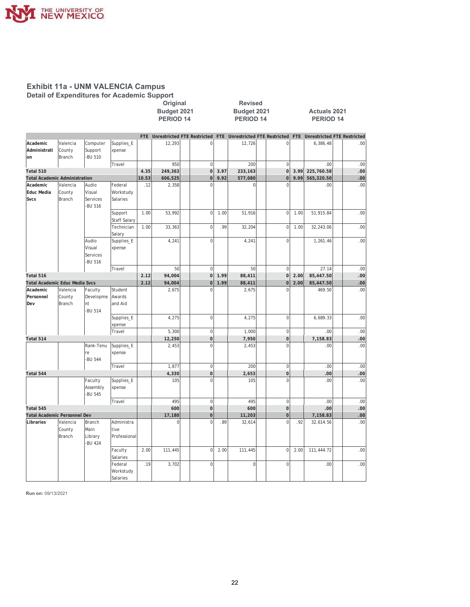

# **Exhibit 11a - UNM VALENCIA Campus Detail of Expenditures for Academic Support**<br>Original<br>Budget 2021

|                                      |                                     |                                             |                                    |       | Budget 2021<br><b>PERIOD 14</b> |                                    |      | Budget 2021<br><b>PERIOD 14</b> |                                                                 |      | <b>Actuals 2021</b><br><b>PERIOD 14</b> |      |
|--------------------------------------|-------------------------------------|---------------------------------------------|------------------------------------|-------|---------------------------------|------------------------------------|------|---------------------------------|-----------------------------------------------------------------|------|-----------------------------------------|------|
|                                      |                                     |                                             |                                    | FTE   |                                 | <b>Unrestricted FTE Restricted</b> |      |                                 | FTE Unrestricted FTE Restricted FTE Unrestricted FTE Restricted |      |                                         |      |
| Academic<br>Administrati             | Valencia<br>County                  | Computer<br>Support<br><b>BU 510</b>        | Supplies_E<br>xpense               |       | 12,293                          | $\mathbf 0$                        |      | 12,726                          | 0                                                               |      | 6,386.48                                | .00  |
| <sub>on</sub>                        | <b>Branch</b>                       |                                             | Travel                             |       | 950                             | $\mathbf 0$                        |      | 200                             | $\mathbf 0$                                                     |      | .00.                                    | .00  |
| Total 510                            |                                     |                                             |                                    | 4.35  | 249,363                         | $\mathbf 0$                        | 3.97 | 233,163                         | $\mathbf 0$                                                     | 3.99 | 225,760.58                              | .00  |
| <b>Total Academic Administration</b> |                                     |                                             |                                    | 10.53 | 606,525                         | $\mathbf 0$                        | 9.92 | 577,080                         | $\mathbf 0$                                                     | 9.99 | 565,320.50                              | .00  |
| Academic                             | Valencia                            | Audio                                       | Federal                            | .12   | 2,358                           | $\Omega$                           |      | $\Omega$                        | $\Omega$                                                        |      | .00.                                    | .00  |
| <b>Educ Media</b>                    | County                              | Visual                                      | Workstudy                          |       |                                 |                                    |      |                                 |                                                                 |      |                                         |      |
| <b>Svcs</b>                          | Branch                              | Services<br><b>BU 516</b>                   | Salaries                           |       |                                 |                                    |      |                                 |                                                                 |      |                                         |      |
|                                      |                                     |                                             | Support<br><b>Staff Salary</b>     | 1.00  | 53,992                          | $\mathbf 0$                        | 1.00 | 51,916                          | $\mathbf 0$                                                     | 1.00 | 51,915.84                               | .00  |
|                                      |                                     |                                             | Technician<br>Salary               | 1.00  | 33,363                          | $\mathbf 0$                        | .99  | 32,204                          | $\overline{0}$                                                  | 1.00 | 32,243.06                               | .00  |
|                                      |                                     | Audio<br>Visual<br>Services<br>-BU 516      | Supplies_E<br>xpense               |       | 4,241                           | $\mathbf 0$                        |      | 4,241                           | $\mathbf 0$                                                     |      | 1,261.46                                | .00. |
|                                      |                                     |                                             | Travel                             |       | 50                              | $\mathbf 0$                        |      | 50                              | $\mathbf 0$                                                     |      | 27.14                                   | .00  |
| Total 516                            |                                     |                                             |                                    | 2.12  | 94,004                          | $\mathbf 0$                        | 1.99 | 88,411                          | $\overline{0}$                                                  | 2.00 | 85,447.50                               | .00  |
| Total Academic Educ Media Svcs       |                                     |                                             |                                    | 2.12  | 94,004                          | $\mathbf 0$                        | 1.99 | 88,411                          | $\mathbf 0$                                                     | 2.00 | 85,447.50                               | .00  |
| Academic<br>Personnel<br>Dev         | Valencia<br>County<br><b>Branch</b> | Faculty<br>Developme<br>nt<br><b>BU 514</b> | Student<br>Awards<br>and Aid       |       | 2,675                           | $\Omega$                           |      | 2,675                           | $\Omega$                                                        |      | 469.50                                  | .00  |
|                                      |                                     |                                             | Supplies_E<br>xpense               |       | 4,275                           | $\mathbf 0$                        |      | 4,275                           | $\mathbf 0$                                                     |      | 6,689.33                                | .00  |
|                                      |                                     |                                             | Travel                             |       | 5,300                           | $\mathbf 0$                        |      | 1,000                           | $\mathbf 0$                                                     |      | .00.                                    | .00  |
| Total 514                            |                                     |                                             |                                    |       | 12,250                          | $\mathbf 0$                        |      | 7,950                           | $\overline{0}$                                                  |      | 7,158.83                                | .00  |
|                                      |                                     | Rank-Tenu<br>re<br><b>BU 544</b>            | Supplies_E<br>xpense               |       | 2,453                           | $\mathbf 0$                        |      | 2,453                           | $\overline{0}$                                                  |      | .00.                                    | .00  |
|                                      |                                     |                                             | Travel                             |       | 1.877                           | $\mathbf 0$                        |      | 200                             | $\overline{0}$                                                  |      | .00                                     | .00  |
| Total 544                            |                                     |                                             |                                    |       | 4,330                           | $\mathbf 0$                        |      | 2,653                           | $\overline{0}$                                                  |      | .00 <sub>1</sub>                        | .00  |
|                                      |                                     | Faculty<br>Assembly<br><b>BU 545</b>        | Supplies_E<br>xpense               |       | 105                             | $\mathbf 0$                        |      | 105                             | $\overline{0}$                                                  |      | .00.                                    | .00  |
|                                      |                                     |                                             | Travel                             |       | 495                             | $\mathbf 0$                        |      | 495                             | $\mathbf 0$                                                     |      | .00.                                    | .00  |
| Total 545                            |                                     |                                             |                                    |       | 600                             | $\mathbf{0}$                       |      | 600                             | $\overline{0}$                                                  |      | .00 <sub>1</sub>                        | .00  |
| <b>Total Academic Personnel Dev</b>  |                                     |                                             |                                    |       | 17,180                          | $\overline{0}$                     |      | 11,203                          | $\overline{0}$                                                  |      | 7,158.83                                | .00  |
| Libraries                            | Valencia<br>County<br><b>Branch</b> | Branch<br>Main<br>Library<br><b>BU 424</b>  | Administra<br>tive<br>Professional |       | 0                               | $\overline{0}$                     | .89  | 32,614                          | $\overline{0}$                                                  | .92  | 32,614.56                               | .00  |
|                                      |                                     |                                             | Faculty<br>Salaries                | 2.00  | 111,445                         | $\overline{0}$                     | 2.00 | 111,445                         | $\mathbf 0$                                                     | 2.00 | 111,444.72                              | .00  |
|                                      |                                     |                                             | Federal<br>Workstudy<br>Salaries   | .19   | 3,702                           | 0                                  |      | $\Omega$                        | $\mathbf 0$                                                     |      | .00.                                    | .00  |

**2ULJLQDO 5HYLVHG**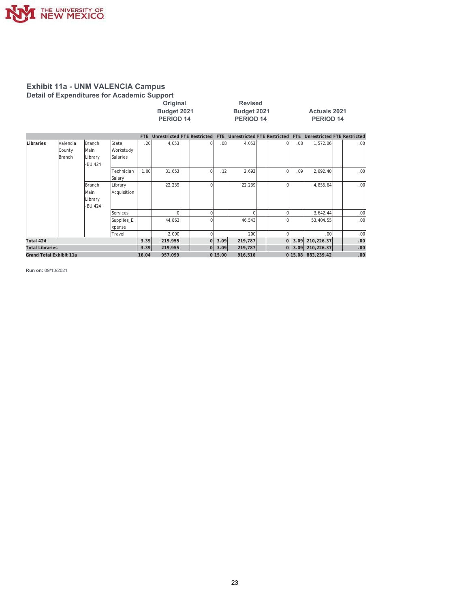

# **Exhibit 11a - UNM VALENCIA Campus Detail of Expenditures for Academic Support**<br>Original

|           |                              |                                      |                                |                  |        | Original<br>Budget 2021<br>PERIOD <sub>14</sub><br>FTE Unrestricted FTE Restricted FTE Unrestricted FTE Restricted FTE Unrestricted FTE Restricted |          |     | <b>Revised</b><br>Budget 2021<br><b>PERIOD 14</b> |          |                  | <b>Actuals 2021</b><br><b>PERIOD 14</b> |      |
|-----------|------------------------------|--------------------------------------|--------------------------------|------------------|--------|----------------------------------------------------------------------------------------------------------------------------------------------------|----------|-----|---------------------------------------------------|----------|------------------|-----------------------------------------|------|
|           |                              |                                      |                                |                  |        |                                                                                                                                                    |          |     |                                                   |          |                  |                                         |      |
| Libraries | Valencia<br>County<br>Branch | Branch<br>Main<br>Library<br>-BU 424 | State<br>Workstudy<br>Salaries | .20 <sup>1</sup> | 4.053  |                                                                                                                                                    | $\Omega$ | .08 | 4.053                                             | $\Omega$ | .08              | 1.572.06                                | .00. |
|           |                              |                                      | Technician<br>Salary           | 1.00             | 31.653 |                                                                                                                                                    | $\Omega$ | .12 | 2.693                                             | $\Omega$ | .09 <sup>1</sup> | 2.692.40                                | .00. |
|           |                              | Branch<br><i>Main</i>                | Library<br>Acquisition         |                  | 22.239 |                                                                                                                                                    | $\Omega$ |     | 22,239                                            | ΩI       |                  | 4,855.64                                | .00. |

Library -BU 424 Services | | 0 0 | 0 | 0 | 0 | 3,642.44 | .00 Supplies\_E | | 44,863 | | 0| | 46,543 | 0| | 53,404.55 | .00 xpense Travel | | 2,000 | 0 | 200 | 0 | 200 | .00 | .00 **Total 424 3.39 219,955 0 3.09 219,787 0 3.09 210,226.37 .00 The Constrainer**<br> **Total 210,226.37**<br> **D** 15.08 883,239.42 **Grand Total Exhibit 11a 16.04 957,099 0 15.00 916,516 0 15.08 883,239.42 .00**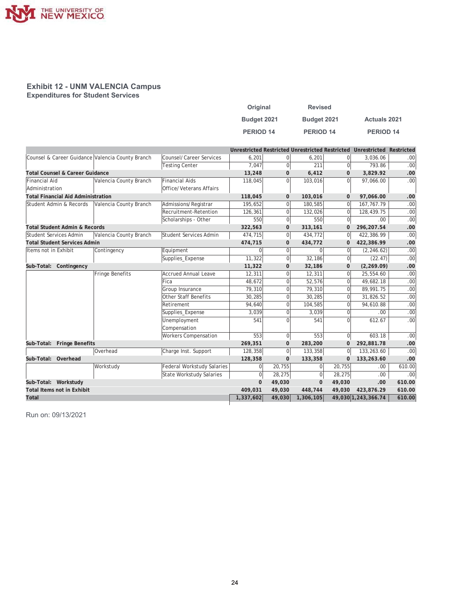

#### **Exhibit 12 - UNM VALENCIA Campus Expenditures for Student Services**

| Original         | <b>Revised</b> |                     |
|------------------|----------------|---------------------|
| Budget 2021      | Budget 2021    | <b>Actuals 2021</b> |
| <b>PERIOD 14</b> | PERIOD 14      | <b>PERIOD 14</b>    |

|                                                  |                        |                                   |           |                |             |              | Unrestricted Restricted Unrestricted Restricted Unrestricted Restricted |                  |
|--------------------------------------------------|------------------------|-----------------------------------|-----------|----------------|-------------|--------------|-------------------------------------------------------------------------|------------------|
| Counsel & Career Guidance Valencia County Branch |                        | Counsel/Career Services           | 6,201     | 0              | 6,201       | $\Omega$     | 3,036.06                                                                | .00              |
|                                                  |                        | <b>Testing Center</b>             | 7.047     | $\overline{0}$ | 211         | $\Omega$     | 793.86                                                                  | .00 <sub>1</sub> |
| <b>Total Counsel &amp; Career Guidance</b>       |                        |                                   | 13,248    | $\mathbf{0}$   | 6,412       | $\mathbf{0}$ | 3,829.92                                                                | .00              |
| <b>Financial Aid</b>                             | Valencia County Branch | Financial Aids                    | 118,045   | $\Omega$       | 103,016     | $\Omega$     | 97.066.00                                                               | .00              |
| Administration                                   |                        | Office/Veterans Affairs           |           |                |             |              |                                                                         |                  |
| <b>Total Financial Aid Administration</b>        |                        |                                   | 118,045   | $\mathbf 0$    | 103,016     | $\mathbf{0}$ | 97,066.00                                                               | .00              |
| Student Admin & Records                          | Valencia County Branch | Admissions/Registrar              | 195,652   | 0              | 180,585     | $\Omega$     | 167, 767. 79                                                            | .00              |
|                                                  |                        | Recruitment-Retention             | 126,361   | 0              | 132,026     | $\Omega$     | 128,439.75                                                              | .00              |
|                                                  |                        | Scholarships - Other              | 550       | 0              | 550         | $\Omega$     | .00.                                                                    | .00              |
| <b>Total Student Admin &amp; Records</b>         |                        |                                   | 322,563   | 0              | 313,161     | $\mathbf 0$  | 296,207.54                                                              | .00              |
| Student Services Admin                           | Valencia County Branch | Student Services Admin            | 474,715   | 0              | 434,772     | $\Omega$     | 422,386.99                                                              | .00              |
| <b>Total Student Services Admin</b>              |                        |                                   | 474,715   | 0              | 434,772     | $\Omega$     | 422,386.99                                                              | .00              |
| Items not in Exhibit                             | Contingency            | Equipment                         | 0         | $\overline{0}$ | $\Omega$    | $\Omega$     | (2, 246.62)                                                             | .00              |
|                                                  |                        | Supplies_Expense                  | 11,322    | 0              | 32,186      | $\Omega$     | (22.47)                                                                 | .00              |
| Sub-Total: Contingency                           |                        |                                   | 11,322    | $\mathbf 0$    | 32,186      | $\mathbf{0}$ | (2, 269.09)                                                             | .00              |
|                                                  | Fringe Benefits        | <b>Accrued Annual Leave</b>       | 12.311    | $\overline{0}$ | 12,311      | $\Omega$     | 25,554.60                                                               | .00              |
|                                                  |                        | Fica                              | 48,672    | $\overline{0}$ | 52,576      | $\Omega$     | 49,682.18                                                               | .00              |
|                                                  |                        | Group Insurance                   | 79,310    | $\overline{0}$ | 79,310      | $\Omega$     | 89,991.75                                                               | .00              |
|                                                  |                        | <b>Other Staff Benefits</b>       | 30,285    | $\overline{0}$ | 30,285      | $\Omega$     | 31,826.52                                                               | .00              |
|                                                  |                        | Retirement                        | 94,640    | $\overline{0}$ | 104,585     | $\Omega$     | 94,610.88                                                               | .00              |
|                                                  |                        | Supplies_Expense                  | 3,039     | $\overline{0}$ | 3,039       | $\Omega$     | .00.                                                                    | .00              |
|                                                  |                        | Unemployment                      | 541       | $\Omega$       | 541         | $\Omega$     | 612.67                                                                  | .00              |
|                                                  |                        | Compensation                      |           |                |             |              |                                                                         |                  |
|                                                  |                        | <b>Workers Compensation</b>       | 553       | $\overline{0}$ | 553         | $\mathbf 0$  | 603.18                                                                  | .00              |
| Sub-Total: Fringe Benefits                       |                        |                                   | 269,351   | $\mathbf{0}$   | 283,200     | $\mathbf{0}$ | 292,881.78                                                              | .00              |
|                                                  | Overhead               | Charge Inst. Support              | 128,358   | 0              | 133,358     | $\Omega$     | 133,263.60                                                              | .00              |
| Sub-Total: Overhead                              |                        |                                   | 128,358   | $\mathbf 0$    | 133,358     | $\Omega$     | 133,263.60                                                              | .00              |
|                                                  | Workstudy              | <b>Federal Workstudy Salaries</b> | 0         | 20,755         | $\mathbf 0$ | 20,755       | .00.                                                                    | 610.00           |
|                                                  |                        | State Workstudy Salaries          | 0         | 28,275         | $\mathbf 0$ | 28,275       | .00.                                                                    | .00              |
| Sub-Total: Workstudy                             |                        |                                   | $\Omega$  | 49,030         | $\mathbf 0$ | 49,030       | .00                                                                     | 610.00           |
| <b>Total Items not in Exhibit</b>                |                        |                                   | 409,031   | 49,030         | 448,744     | 49,030       | 423,876.29                                                              | 610.00           |
| Total                                            |                        |                                   | 1,337,602 | 49,030         | 1,306,105   |              | 49,030 1,243,366.74                                                     | 610.00           |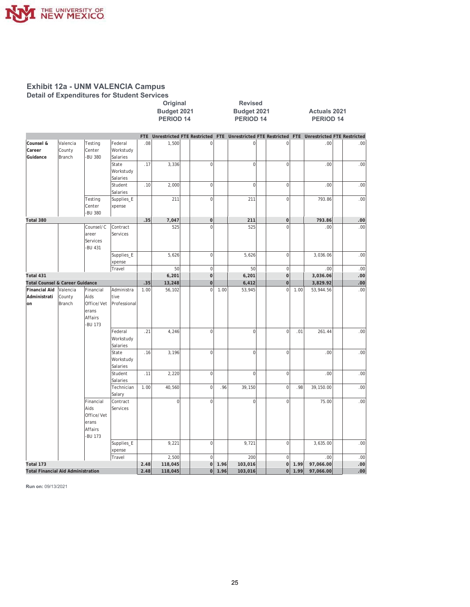

# **Exhibit 12a - UNM VALENCIA Campus<br>Detail of Expenditures for Student Services**

|                                            |                                           |                                                                      |                                    |            | <b>Budget 2021</b><br><b>PERIOD 14</b> |                |      | <b>Budget 2021</b><br>PERIOD 14 |                |      | <b>Actuals 2021</b><br><b>PERIOD 14</b>                                                     |      |
|--------------------------------------------|-------------------------------------------|----------------------------------------------------------------------|------------------------------------|------------|----------------------------------------|----------------|------|---------------------------------|----------------|------|---------------------------------------------------------------------------------------------|------|
|                                            |                                           |                                                                      |                                    | <b>FTE</b> |                                        |                |      |                                 |                |      | Unrestricted FTE Restricted FTE Unrestricted FTE Restricted FTE Unrestricted FTE Restricted |      |
| Counsel &<br>Career<br>Guidance            | Valencia<br>County<br>Branch              | Testing<br>Center<br><b>BU 380</b>                                   | Federal<br>Workstudy<br>Salaries   | .08        | 1,500                                  | $\mathbf 0$    |      | $\mathbf 0$                     | $\mathsf 0$    |      | .00                                                                                         | .00  |
|                                            |                                           |                                                                      | State<br>Workstudy<br>Salaries     | .17        | 3,336                                  | $\overline{0}$ |      | $\mathbf 0$                     | $\mathbf 0$    |      | .00                                                                                         | .00  |
|                                            |                                           |                                                                      | Student<br>Salaries                | .10        | 2,000                                  | $\overline{0}$ |      | $\mathbf 0$                     | $\mathbf 0$    |      | .00                                                                                         | .00  |
|                                            |                                           | Testing<br>Center<br>-BU 380                                         | Supplies_E<br>xpense               |            | 211                                    | $\mathbf 0$    |      | 211                             | $\mathbf 0$    |      | 793.86                                                                                      | .00  |
| Total 380                                  |                                           |                                                                      |                                    | .35        | 7,047                                  | $\overline{0}$ |      | 211                             | $\overline{0}$ |      | 793.86                                                                                      | .00  |
|                                            |                                           | Counsel/C<br>areer<br>Services<br><b>BU 431</b>                      | Contract<br>Services               |            | 525                                    | $\mathbf 0$    |      | 525                             | $\mathbf 0$    |      | .00                                                                                         | .00  |
|                                            |                                           |                                                                      | Supplies_E<br>xpense               |            | 5,626                                  | $\overline{0}$ |      | 5,626                           | $\mathbf 0$    |      | 3,036.06                                                                                    | .00  |
|                                            |                                           |                                                                      | Travel                             |            | 50                                     | $\overline{0}$ |      | 50                              | $\mathbf 0$    |      | .00                                                                                         | .00  |
| Total 431                                  |                                           |                                                                      |                                    |            | 6,201                                  | $\overline{0}$ |      | 6,201                           | $\overline{0}$ |      | 3,036.06                                                                                    | .00  |
| Total Counsel & Career Guidance            |                                           |                                                                      |                                    | .35        | 13,248                                 | $\mathbf 0$    |      | 6,412                           | $\mathbf 0$    |      | 3,829.92                                                                                    | .00  |
| <b>Financial Aid</b><br>Administrati<br>on | Valencia<br>County<br>Branch              | Financial<br>Aids<br>Office/Vet<br>erans<br>Affairs<br><b>BU 173</b> | Administra<br>tive<br>Professional | 1.00       | 56,102                                 | $\Omega$       | 1.00 | 53,945                          | $\Omega$       | 1.00 | 53,944.56                                                                                   | .00  |
|                                            |                                           |                                                                      | Federal<br>Workstudy<br>Salaries   | .21        | 4,246                                  | $\overline{0}$ |      | $\mathbf 0$                     | $\mathbf 0$    | .01  | 261.44                                                                                      | .00  |
|                                            |                                           |                                                                      | State<br>Workstudy<br>Salaries     | .16        | 3,196                                  | $\overline{0}$ |      | $\mathbf 0$                     | $\mathbf 0$    |      | .00                                                                                         | .00  |
|                                            |                                           |                                                                      | Student<br>Salaries                | .11        | 2,220                                  | $\overline{0}$ |      | $\mathbf 0$                     | $\mathbf 0$    |      | .00                                                                                         | .00  |
|                                            |                                           |                                                                      | Technician<br>Salary               | 1.00       | 40,560                                 | $\overline{0}$ | .96  | 39,150                          | $\mathbf 0$    | .98  | 39,150.00                                                                                   | .00  |
|                                            |                                           | Financial<br>Aids<br>Office/Vet<br>erans<br>Affairs<br>-BU 173       | Contract<br>Services               |            | $\overline{0}$                         | $\overline{0}$ |      | $\mathbf 0$                     | $\mathbf 0$    |      | 75.00                                                                                       | .00  |
|                                            |                                           |                                                                      | Supplies_E<br>xpense               |            | 9,221                                  | $\overline{0}$ |      | 9,721                           | $\mathbf 0$    |      | 3,635.00                                                                                    | .00  |
|                                            |                                           |                                                                      | Travel                             |            | 2,500                                  | $\overline{0}$ |      | 200                             | $\mathbf 0$    |      | .00                                                                                         | .00  |
| Total 173                                  |                                           |                                                                      |                                    | 2.48       | 118,045                                | $\overline{0}$ | 1.96 | 103,016                         | $\overline{0}$ | 1.99 | 97,066.00                                                                                   | .00  |
|                                            | <b>Total Financial Aid Administration</b> |                                                                      |                                    | 2.48       | 118,045                                | 0              | 1.96 | 103,016                         | 0              | 1.99 | 97,066.00                                                                                   | .00. |

Original

Revised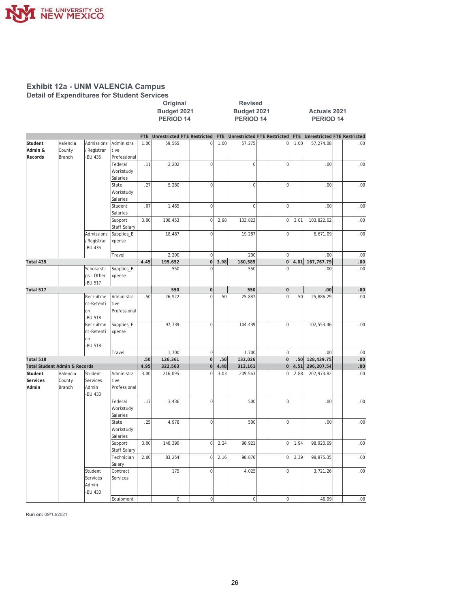

#### **Exhibit 12a - UNM VALENCIA Campus Detail of Expenditures for Student Services**

|                                          |                              |                                          |                                    |            | <b>Budget 2021</b><br><b>PERIOD 14</b> |                  |      | Budget 2021<br><b>PERIOD 14</b>    |                     | <b>Actuals 2021</b><br><b>PERIOD 14</b> |                                    |  |                  |  |
|------------------------------------------|------------------------------|------------------------------------------|------------------------------------|------------|----------------------------------------|------------------|------|------------------------------------|---------------------|-----------------------------------------|------------------------------------|--|------------------|--|
|                                          |                              |                                          |                                    | <b>FTE</b> | <b>Unrestricted FTE Restricted</b>     |                  | FTE  | <b>Unrestricted FTE Restricted</b> |                     | <b>FTE</b>                              | <b>Unrestricted FTE Restricted</b> |  |                  |  |
| Student<br>Admin &<br>Records            | Valencia<br>County<br>Branch | Admissions<br>/Registrar<br>-BU 435      | Administra<br>tive<br>Professional | 1.00       | 59,565                                 | 0                | 1.00 | 57,275                             | 0                   | 1.00                                    | 57,274.08                          |  | .00              |  |
|                                          |                              |                                          | Federal<br>Workstudy<br>Salaries   | .11        | 2,202                                  | $\overline{0}$   |      | $\overline{0}$                     | $\mathbf 0$         |                                         | .00                                |  | .00              |  |
|                                          |                              |                                          | State<br>Workstudy<br>Salaries     | .27        | 5,280                                  | $\overline{0}$   |      | $\overline{0}$                     | $\overline{0}$      |                                         | .00                                |  | .00              |  |
|                                          |                              |                                          | Student<br>Salaries                | .07        | 1,465                                  | $\overline{0}$   |      | $\overline{0}$                     | $\overline{0}$      |                                         | .00                                |  | .00              |  |
|                                          |                              |                                          | Support<br>Staff Salary            | 3.00       | 106,453                                | $\overline{0}$   | 2.98 | 103,823                            | $\overline{0}$      | 3.01                                    | 103,822.62                         |  | .00              |  |
|                                          |                              | Admissions<br>/Registrar<br>-BU 435      | Supplies_E<br>xpense               |            | 18,487                                 | $\overline{0}$   |      | 19,287                             | 0                   |                                         | 6,671.09                           |  | .00              |  |
|                                          |                              |                                          | Travel                             |            | 2,200                                  | $\boldsymbol{0}$ |      | 200                                | $\mathsf 0$         |                                         | .00                                |  | .00              |  |
| Total 435                                |                              |                                          |                                    | 4.45       | 195,652                                | 0                | 3.98 | 180,585                            | 0                   | 4.01                                    | 167,767.79                         |  | .00              |  |
|                                          |                              | Scholarshi<br>ps - Other<br>-BU 517      | Supplies_E<br>xpense               |            | 550                                    | $\mathbf 0$      |      | 550                                | $\overline{0}$      |                                         | .00                                |  | .00              |  |
| Total 517                                |                              |                                          |                                    |            | 550                                    | $\overline{0}$   |      | 550                                | $\pmb{0}$           |                                         | .00                                |  | .00.             |  |
|                                          |                              | Recruitme<br>nt-Retenti<br>on<br>-BU 518 | Administra<br>tive<br>Professional | .50        | 26,922                                 | $\mathbf 0$      | .50  | 25,887                             | $\mathbf 0$         | .50                                     | 25,886.29                          |  | .00              |  |
|                                          |                              | Recruitme<br>nt-Retenti<br>on<br>-BU 518 | Supplies_E<br>xpense               |            | 97,739                                 | $\overline{0}$   |      | 104,439                            | $\overline{0}$      |                                         | 102,553.46                         |  | .00              |  |
|                                          |                              |                                          | Travel                             |            | 1,700                                  | $\overline{0}$   |      | 1,700                              | $\mathbf 0$         |                                         | .00                                |  | .00              |  |
| Total 518                                |                              |                                          |                                    | .50        | 126,361                                | 0                | .50  | 132,026                            | $\overline{0}$      | .50                                     | 128,439.75                         |  | .00.             |  |
| <b>Total Student Admin &amp; Records</b> |                              |                                          |                                    | 4.95       | 322,563                                | 0                | 4.48 | 313,161                            | 0                   | 4.51                                    | 296,207.54                         |  | .00 <sub>1</sub> |  |
| Student<br>Services<br>Admin             | Valencia<br>County<br>Branch | Student<br>Services<br>Admin<br>-BU 430  | Administra<br>tive<br>Professional | 3.00       | 216,095                                | $\mathsf 0$      | 3.03 | 209,563                            | $\mathbf 0$         | 2.88                                    | 202,973.82                         |  | .00              |  |
|                                          |                              |                                          | Federal<br>Workstudy<br>Salaries   | .17        | 3,436                                  | $\overline{0}$   |      | 500                                | $\mathbf 0$         |                                         | .00                                |  | .00              |  |
|                                          |                              |                                          | State<br>Workstudy<br>Salaries     | .25        | 4,978                                  | $\vert 0 \vert$  |      | 500                                | $\mathsf{O}\xspace$ |                                         | .00                                |  | .00              |  |
|                                          |                              |                                          | Support<br>Staff Salary            | 3.00       | 140,390                                | $\overline{0}$   | 2.24 | 98,921                             | 0                   | 1.94                                    | 98,920.69                          |  | .00              |  |
|                                          |                              |                                          | Technician<br>Salary               | 2.00       | 83,254                                 | $\overline{0}$   | 2.16 | 98,876                             | $\mathbf 0$         | 2.39                                    | 98,875.35                          |  | .00.             |  |
|                                          |                              | Student<br>Services<br>Admin<br>-BU 430  | Contract<br>Services               |            | 175                                    | $\overline{0}$   |      | 4,025                              | $\overline{0}$      |                                         | 3,721.26                           |  | .00.             |  |
|                                          |                              |                                          | Equipment                          |            | $\overline{0}$                         | $\mathbf{0}$     |      | $\overline{0}$                     | $\circ$             |                                         | 46.99                              |  | 00.              |  |

**2Driginal 2ULDRO 5HW Revised**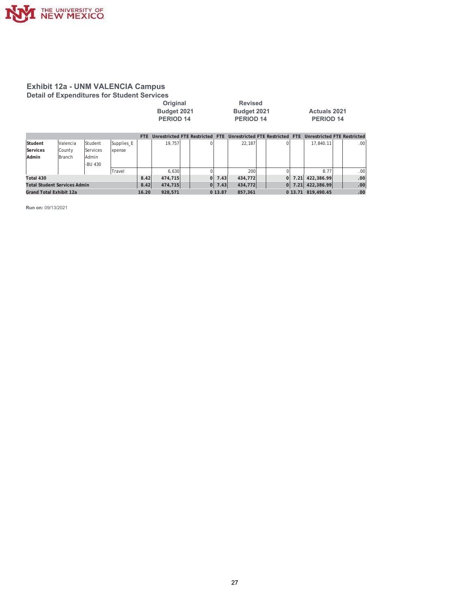

#### **Exhibit 12a - UNM VALENCIA Campus Detail of Expenditures for Student Services**

| Original         | <b>Revised</b> |                     |
|------------------|----------------|---------------------|
| Budget 2021      | Budget 2021    | <b>Actuals 2021</b> |
| <b>PERIOD 14</b> | PERIOD 14      | PERIOD 14           |

|                                     |          |          |            | FTE.  | Unrestricted FTE Restricted |          | <b>FTE</b> | Unrestricted FTE Restricted FTE |    | Unrestricted FTE Restricted |                  |
|-------------------------------------|----------|----------|------------|-------|-----------------------------|----------|------------|---------------------------------|----|-----------------------------|------------------|
| Student                             | Valencia | Student  | Supplies E |       | 19.757                      | $\Omega$ |            | 22.187                          |    | 17.840.11                   | .00 <sub>1</sub> |
| Services                            | County   | Services | xpense     |       |                             |          |            |                                 |    |                             |                  |
| Admin                               | Branch   | Admin    |            |       |                             |          |            |                                 |    |                             |                  |
|                                     |          | -BU 430  |            |       |                             |          |            |                                 |    |                             |                  |
|                                     |          |          | Travel     |       | 6.630                       |          |            | 200                             |    | 8.77                        | .00.             |
| Total 430                           |          |          |            | 8.42  | 474.715                     | 01       | 7.43       | 434.772                         | ΩI | 7.21 422.386.99             | .00              |
| <b>Total Student Services Admin</b> |          |          |            | 8.42  | 474,715                     | 0        | 7.43       | 434,772                         | 0  | 7.21 422,386.99             | .00              |
| Grand Total Exhibit 12a             |          |          |            | 16.20 | 928.571                     |          | 0 13.87    | 857.361                         |    | 0 13.71 819.490.45          | .00.             |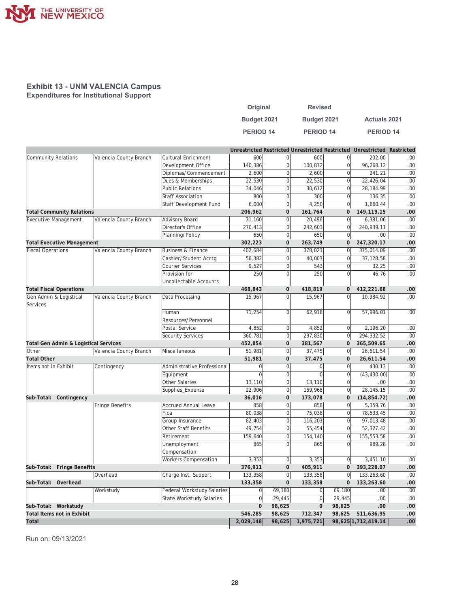

| Original         | <b>Revised</b>   |                     |
|------------------|------------------|---------------------|
| Budget 2021      | Budget 2021      | <b>Actuals 2021</b> |
| <b>PERIOD 14</b> | <b>PERIOD 14</b> | <b>PERIOD 14</b>    |

|                                       |                        |                                 |                  |                |                |                | Unrestricted Restricted Unrestricted Restricted Unrestricted Restricted |                  |
|---------------------------------------|------------------------|---------------------------------|------------------|----------------|----------------|----------------|-------------------------------------------------------------------------|------------------|
| <b>Community Relations</b>            | Valencia County Branch | Cultural Enrichment             | 600              | 0              | 600            | $\overline{0}$ | 202.00                                                                  | .00.             |
|                                       |                        | Development Office              | 140,386          | 0              | 100,872        | $\overline{0}$ | 96,268.12                                                               | .00.             |
|                                       |                        | Diplomas/Commencement           | 2,600            | $\overline{0}$ | 2,600          | $\mathbf{0}$   | 241.21                                                                  | .00.             |
|                                       |                        | Dues & Memberships              | 22,530           | $\Omega$       | 22,530         | $\overline{0}$ | 22,426.04                                                               | .00              |
|                                       |                        | <b>Public Relations</b>         | 34,046           | $\overline{0}$ | 30,612         | $\Omega$       | 28,184.99                                                               | .00.             |
|                                       |                        | <b>Staff Association</b>        | 800              | $\overline{0}$ | 300            | $\Omega$       | 136.35                                                                  | .00              |
|                                       |                        | Staff Development Fund          | 6,000            | $\overline{0}$ | 4,250          | 0              | 1,660.44                                                                | .00.             |
| <b>Total Community Relations</b>      |                        |                                 | 206,962          | $\mathbf 0$    | 161,764        | 0              | 149,119.15                                                              | .00              |
| <b>Executive Management</b>           | Valencia County Branch | Advisory Board                  | 31,160           | $\overline{0}$ | 20,496         | $\Omega$       | 6,381.06                                                                | .00.             |
|                                       |                        | Director's Office               | 270,413          | $\overline{0}$ | 242,603        | $\overline{0}$ | 240,939.11                                                              | .00.             |
|                                       |                        | Planning/Policy                 | 650              | $\overline{0}$ | 650            | 0              | .00.                                                                    | .00.             |
| <b>Total Executive Management</b>     |                        |                                 | 302,223          | $\mathbf{0}$   | 263,749        | $\mathbf{0}$   | 247,320.17                                                              | .00              |
| <b>Fiscal Operations</b>              | Valencia County Branch | Business & Finance              | 402,684          | $\Omega$       | 378,023        | $\Omega$       | 375,014.09                                                              | .00              |
|                                       |                        | Cashier/Student Acctg           | 56,382           | $\overline{0}$ | 40,003         | $\overline{0}$ | 37,128.58                                                               | .00.             |
|                                       |                        | <b>Courier Services</b>         | 9,527            | $\Omega$       | 543            | $\Omega$       | 32.25                                                                   | .00              |
|                                       |                        | Provision for                   | 250              | $\Omega$       | 250            | $\Omega$       | 46.76                                                                   | .00.             |
|                                       |                        | Uncollectable Accounts          |                  |                |                |                |                                                                         |                  |
| <b>Total Fiscal Operations</b>        |                        |                                 | 468,843          | $\mathbf 0$    | 418,819        | $\mathbf 0$    | 412,221.68                                                              | .00              |
| Gen Admin & Logistical                | Valencia County Branch | Data Processing                 | 15,967           | $\overline{0}$ | 15,967         | $\overline{0}$ | 10,984.92                                                               | $.00 \,$         |
| Services                              |                        |                                 |                  |                |                |                |                                                                         |                  |
|                                       |                        | Human                           | 71,254           | $\overline{0}$ | 62,918         | $\overline{0}$ | 57,996.01                                                               | .00.             |
|                                       |                        | Resources/Personnel             |                  |                |                |                |                                                                         |                  |
|                                       |                        | Postal Service                  | 4,852            | 0              | 4,852          | $\overline{0}$ | 2,196.20                                                                | .00              |
|                                       |                        | Security Services               | 360,781          | 0              | 297,830        | 0              | 294,332.52                                                              | .00.             |
| Total Gen Admin & Logistical Services |                        |                                 | 452,854          | $\mathbf 0$    | 381,567        | $\mathbf{0}$   | 365,509.65                                                              | .00              |
| Other                                 | Valencia County Branch | Miscellaneous                   | 51,981           | 0              | 37,475         | 0              | 26,611.54                                                               | $.00 \,$         |
| <b>Total Other</b>                    |                        |                                 | 51,981           | $\mathbf 0$    | 37,475         | $\mathbf{0}$   | 26,611.54                                                               | .00              |
| Items not in Exhibit                  | Contingency            | Administrative Professional     | $\mathbf 0$      | $\overline{0}$ | 0              | $\overline{0}$ | 430.13                                                                  | .00              |
|                                       |                        | Equipment                       | $\overline{0}$   | $\overline{0}$ | $\Omega$       | $\overline{0}$ | (43, 430.00)                                                            | .00.             |
|                                       |                        | Other Salaries                  | 13,110           | $\overline{0}$ | 13,110         | $\overline{0}$ | .00.                                                                    | .00              |
|                                       |                        | Supplies_Expense                | 22,906           | 0              | 159,968        | 0              | 28, 145. 15                                                             | .00              |
| Sub-Total: Contingency                |                        |                                 | 36,016           | $\mathbf 0$    | 173,078        | $\mathbf{0}$   | (14, 854.72)                                                            | .00              |
|                                       | <b>Fringe Benefits</b> | <b>Accrued Annual Leave</b>     | 858              | $\overline{0}$ | 858            | $\overline{0}$ | 5,359.76                                                                | .00              |
|                                       |                        | Fica                            | 80,038           | $\mathbf 0$    | 75,038         | $\overline{0}$ | 78,533.45                                                               | .00.             |
|                                       |                        | Group Insurance                 | 82,403           | $\overline{0}$ | 116,203        | $\overline{0}$ | 97,013.48                                                               | .00.             |
|                                       |                        | <b>Other Staff Benefits</b>     | 49,754           | $\Omega$       | 55,454         | $\overline{0}$ | 52,327.42                                                               | .00              |
|                                       |                        | Retirement                      | 159,640          | $\Omega$       | 154,140        | $\Omega$       | 155,553.58                                                              | .00.             |
|                                       |                        | Unemployment                    | 865              | $\Omega$       | 865            | $\Omega$       | 989.28                                                                  | .00              |
|                                       |                        | Compensation                    |                  |                |                |                |                                                                         |                  |
|                                       |                        | <b>Workers Compensation</b>     | 3,353            | 0              | 3,353          | 0              | 3,451.10                                                                | .00              |
| Sub-Total: Fringe Benefits            |                        |                                 | 376,911          | $\mathbf 0$    | 405,911        | $\mathbf{0}$   | 393,228.07                                                              | .00              |
|                                       | Overhead               | Charge Inst. Support            | 133,358          | 0              | 133,358        | 0              | 133,263.60                                                              | .00              |
| Sub-Total: Overhead                   |                        |                                 | 133,358          | $\mathbf 0$    | 133,358        | $\mathbf{0}$   | 133,263.60                                                              | .00              |
|                                       | Workstudy              | Federal Workstudy Salaries      | $\overline{0}$   | 69,180         | 0              | 69,180         | .00                                                                     | .00              |
|                                       |                        | <b>State Workstudy Salaries</b> | $\boldsymbol{0}$ | 29,445         | $\overline{0}$ | 29,445         | .00.                                                                    | .00.             |
| Sub-Total: Workstudy                  |                        |                                 | $\bf 0$          | 98,625         | $\mathbf{0}$   | 98,625         | .00                                                                     | .00              |
| <b>Total Items not in Exhibit</b>     |                        |                                 | 546,285          | 98,625         | 712,347        | 98,625         | 511,636.95                                                              | .00              |
| Total                                 |                        |                                 | 2,029,148        | 98,625         | 1,975,721      |                | 98,625 1,712,419.14                                                     | .00 <sub>1</sub> |
|                                       |                        |                                 |                  |                |                |                |                                                                         |                  |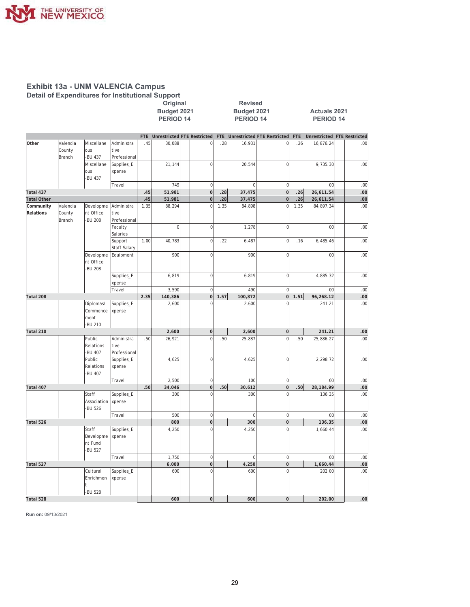

Original<br>Budget 2021 PERIOD 14

Revised Budget 2021 PERIOD 14

Actuals 2021 PERIOD 14

|                    |               |             |                     |      | FTE Unrestricted FTE Restricted |                |      | FTE Unrestricted FTE Restricted |                | <b>FTE</b> | Unrestricted FTE Restricted |     |
|--------------------|---------------|-------------|---------------------|------|---------------------------------|----------------|------|---------------------------------|----------------|------------|-----------------------------|-----|
| Other              | Valencia      | Miscellane  | Administra          | .45  | 30,088                          | $\overline{0}$ | .28  | 16,931                          | $\overline{0}$ | .26        | 16,876.24                   | .00 |
|                    | County        | ous         | tive                |      |                                 |                |      |                                 |                |            |                             |     |
|                    | Branch        | -BU 437     | Professional        |      |                                 |                |      |                                 |                |            |                             |     |
|                    |               | Miscellane  | Supplies_E          |      | 21,144                          | $\overline{0}$ |      | 20,544                          | $\overline{0}$ |            | 9,735.30                    | .00 |
|                    |               | ous         | xpense              |      |                                 |                |      |                                 |                |            |                             |     |
|                    |               | -BU 437     |                     |      |                                 |                |      |                                 |                |            |                             |     |
|                    |               |             | Travel              |      | 749                             | $\overline{0}$ |      | $\mathbf{0}$                    | $\overline{0}$ |            | .00                         | .00 |
| Total 437          |               |             |                     | .45  | 51,981                          | $\overline{0}$ | .28  | 37,475                          | $\overline{0}$ | .26        | 26,611.54                   | .00 |
| <b>Total Other</b> |               |             |                     | .45  | 51,981                          | $\mathbf 0$    | .28  | 37,475                          | $\mathbf 0$    | .26        | 26,611.54                   | .00 |
| Community          | Valencia      | Developme   | Administra          | 1.35 | 88,294                          | $\mathbf 0$    | 1.35 | 84,898                          | $\mathbf 0$    | 1.35       | 84,897.34                   | .00 |
| Relations          | County        | nt Office   | tive                |      |                                 |                |      |                                 |                |            |                             |     |
|                    | <b>Branch</b> | -BU 208     | Professional        |      |                                 |                |      |                                 |                |            |                             |     |
|                    |               |             | Faculty             |      | $\overline{0}$                  | $\overline{0}$ |      | 1,278                           | $\mathbf 0$    |            | .00                         | .00 |
|                    |               |             | Salaries            |      |                                 |                |      |                                 |                |            |                             |     |
|                    |               |             | Support             | 1.00 | 40,783                          | $\overline{0}$ | .22  | 6,487                           | $\overline{0}$ | .16        | 6,485.46                    | .00 |
|                    |               |             | <b>Staff Salary</b> |      |                                 |                |      |                                 |                |            |                             |     |
|                    |               | Developme   | Equipment           |      | 900                             | $\overline{0}$ |      | 900                             | $\mathbf 0$    |            | .00                         | .00 |
|                    |               | nt Office   |                     |      |                                 |                |      |                                 |                |            |                             |     |
|                    |               | -BU 208     |                     |      |                                 |                |      |                                 |                |            |                             |     |
|                    |               |             | Supplies_E          |      | 6,819                           | $\overline{0}$ |      | 6,819                           | $\mathbf 0$    |            | 4,885.32                    | .00 |
|                    |               |             | xpense              |      |                                 |                |      |                                 |                |            |                             |     |
|                    |               |             | Travel              |      | 3,590                           | $\overline{0}$ |      | 490                             | $\overline{0}$ |            | .00                         | .00 |
| Total 208          |               |             |                     | 2.35 | 140,386                         | 0              | 1.57 | 100,872                         | 0              | 1.51       | 96,268.12                   | .00 |
|                    |               | Diplomas/   | Supplies_E          |      | 2,600                           | $\overline{0}$ |      | 2,600                           | $\mathbf 0$    |            | 241.21                      | .00 |
|                    |               | Commence    | xpense              |      |                                 |                |      |                                 |                |            |                             |     |
|                    |               | ment        |                     |      |                                 |                |      |                                 |                |            |                             |     |
|                    |               | -BU 210     |                     |      |                                 |                |      |                                 |                |            |                             |     |
| Total 210          |               |             |                     |      | 2,600                           | $\overline{0}$ |      | 2,600                           | $\overline{0}$ |            | 241.21                      | .00 |
|                    |               | Public      | Administra          | .50  | 26,921                          | $\mathbf 0$    | .50  | 25,887                          | $\overline{0}$ | .50        | 25,886.27                   | .00 |
|                    |               | Relations   | tive                |      |                                 |                |      |                                 |                |            |                             |     |
|                    |               | -BU 407     | Professional        |      |                                 |                |      |                                 |                |            |                             |     |
|                    |               | Public      | Supplies_E          |      | 4,625                           | $\overline{0}$ |      | 4,625                           | $\mathbf 0$    |            | 2,298.72                    | .00 |
|                    |               | Relations   | xpense              |      |                                 |                |      |                                 |                |            |                             |     |
|                    |               | -BU 407     |                     |      |                                 |                |      |                                 |                |            |                             |     |
|                    |               |             | Travel              |      | 2,500                           | $\overline{0}$ |      | 100                             | $\overline{0}$ |            | .00.                        | .00 |
| Total 407          |               |             |                     | .50  | 34,046                          | $\overline{0}$ | .50  | 30,612                          | $\overline{0}$ | .50        | 28,184.99                   | .00 |
|                    |               | Staff       | Supplies_E          |      | 300                             | $\overline{0}$ |      | 300                             | $\Omega$       |            | 136.35                      | .00 |
|                    |               | Association | xpense              |      |                                 |                |      |                                 |                |            |                             |     |
|                    |               | -BU 526     |                     |      |                                 |                |      |                                 |                |            |                             |     |
|                    |               |             | Travel              |      | 500                             | $\overline{0}$ |      | $\overline{0}$                  | $\overline{0}$ |            | .00.                        | .00 |
| Total 526          |               |             |                     |      | 800                             | $\overline{0}$ |      | 300                             | $\overline{0}$ |            | 136.35                      | .00 |
|                    |               | Staff       | Supplies_E          |      | 4,250                           | $\overline{0}$ |      | 4,250                           | $\mathbf 0$    |            | 1,660.44                    | .00 |
|                    |               | Developme   | xpense              |      |                                 |                |      |                                 |                |            |                             |     |
|                    |               | nt Fund     |                     |      |                                 |                |      |                                 |                |            |                             |     |
|                    |               | -BU 527     |                     |      |                                 |                |      |                                 |                |            |                             |     |
|                    |               |             | Travel              |      | 1,750                           | $\overline{0}$ |      | $\mathbf{0}$                    | $\overline{0}$ |            | .00                         | .00 |
| Total 527          |               |             |                     |      | 6,000                           | $\overline{0}$ |      | 4,250                           | $\overline{0}$ |            | 1,660.44                    | .00 |
|                    |               | Cultural    | Supplies_E          |      | 600                             | $\overline{0}$ |      | 600                             | $\Omega$       |            | 202.00                      | .00 |
|                    |               | Enrichmen   | xpense              |      |                                 |                |      |                                 |                |            |                             |     |
|                    |               | t           |                     |      |                                 |                |      |                                 |                |            |                             |     |
|                    |               | -BU 528     |                     |      |                                 |                |      |                                 |                |            |                             |     |
| Total 528          |               |             |                     |      | 600                             | $\overline{0}$ |      | 600                             | $\overline{0}$ |            | 202.00                      | .00 |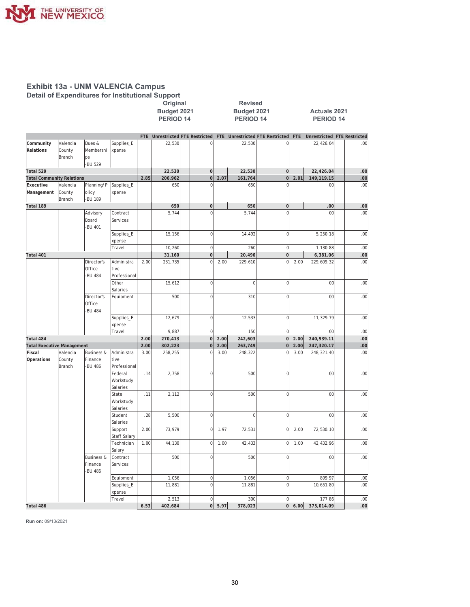

|                                               |                              |                                                   |                                    |              | Original<br>Budget 2021<br><b>PERIOD 14</b> |                | <b>Revised</b><br>Budget 2021<br><b>PERIOD 14</b><br>FTE Unrestricted FTE Restricted FTE Unrestricted FTE Restricted FTE |                    |  |                         |              | <b>Actuals 2021</b><br>PERIOD 14   |                  |
|-----------------------------------------------|------------------------------|---------------------------------------------------|------------------------------------|--------------|---------------------------------------------|----------------|--------------------------------------------------------------------------------------------------------------------------|--------------------|--|-------------------------|--------------|------------------------------------|------------------|
|                                               |                              |                                                   |                                    |              |                                             |                |                                                                                                                          |                    |  |                         |              | <b>Unrestricted FTE Restricted</b> |                  |
| Community<br>Relations                        | Valencia<br>County<br>Branch | Dues &<br>Membershi<br>ps                         | Supplies_E<br>xpense               |              | 22,530                                      | $\mathsf 0$    |                                                                                                                          | 22,530             |  | 0                       |              | 22,426.04                          | .00              |
|                                               |                              | -BU 529                                           |                                    |              |                                             |                |                                                                                                                          |                    |  |                         |              |                                    |                  |
| Total 529                                     |                              |                                                   |                                    |              | 22,530<br>206,962                           | $\mathbf 0$    |                                                                                                                          | 22,530             |  | $\mathbf 0$             |              | 22,426.04<br>149,119.15            | .00              |
| <b>Total Community Relations</b><br>Executive | Valencia                     | Planning/P                                        | Supplies_E                         | 2.85         | 650                                         | 0 <br>$\Omega$ | 2.07                                                                                                                     | 161,764<br>650     |  | $\mathbf 0$<br>$\Omega$ | 2.01         | .00.                               | .00<br>.00       |
| Management                                    | County<br>Branch             | olicy<br>-BU 189                                  | xpense                             |              |                                             |                |                                                                                                                          |                    |  |                         |              |                                    |                  |
| Total 189                                     |                              |                                                   |                                    |              | 650                                         | $\pmb{0}$      |                                                                                                                          | 650                |  | $\mathbf 0$             |              | .00                                | .00              |
|                                               |                              | Advisory<br>Board<br><b>BU 401</b>                | Contract<br>Services               |              | 5,744                                       | $\mathbf 0$    |                                                                                                                          | 5,744              |  | $\Omega$                |              | .00                                | .00              |
|                                               |                              |                                                   | Supplies_E<br>xpense               |              | 15,156                                      | $\overline{0}$ |                                                                                                                          | 14,492             |  | $\bf 0$                 |              | 5,250.18                           | .00              |
|                                               |                              |                                                   | Travel                             |              | 10,260                                      | $\overline{0}$ |                                                                                                                          | 260                |  | $\mathbf 0$             |              | 1,130.88                           | .00              |
| Total 401                                     |                              |                                                   |                                    |              | 31,160                                      | 0              |                                                                                                                          | 20,496             |  | $\mathbf 0$             |              | 6,381.06                           | .00              |
|                                               |                              | Director's<br>Office<br>-BU 484                   | Administra<br>tive<br>Professional | 2.00         | 231,735                                     | $\overline{0}$ | 2.00                                                                                                                     | 229,610            |  | $\mathbf 0$             | 2.00         | 229,609.32                         | .00              |
|                                               |                              |                                                   | Other<br>Salaries                  |              | 15,612                                      | $\overline{0}$ |                                                                                                                          | $\mathsf 0$        |  | $\mathbf{0}$            |              | .00.                               | .00              |
|                                               |                              | Director's<br>Office<br><b>BU 484</b>             | Equipment                          |              | 500                                         | $\overline{0}$ |                                                                                                                          | 310                |  | $\mathbf 0$             |              | .00                                | .00              |
|                                               |                              |                                                   | Supplies_E<br>xpense               |              | 12,679                                      | $\overline{0}$ |                                                                                                                          | 12,533             |  | $\mathbf 0$             |              | 11,329.79                          | .00              |
|                                               |                              |                                                   | Travel                             |              | 9,887                                       | $\mathbf 0$    |                                                                                                                          | 150                |  | $\mathbf{0}$            |              | .00                                | .00              |
| Total 484                                     |                              |                                                   |                                    | 2.00         | 270,413                                     | $\overline{0}$ | 2.00                                                                                                                     | 242,603            |  | $\mathbf 0$             | 2.00         | 240,939.11                         | .00              |
| <b>Total Executive Management</b><br>Fiscal   | Valencia                     | <b>Business &amp;</b>                             | Administra                         | 2.00<br>3.00 | 302,223<br>258,255                          | 0 <br>$\Omega$ | 2.00<br>3.00                                                                                                             | 263,749<br>248,322 |  | $\bf 0$<br>$\Omega$     | 2.00<br>3.00 | 247,320.17<br>248,321.40           | .00<br>.00       |
| Operations                                    | County<br>Branch             | Finance<br><b>BU 486</b>                          | tive<br>Professional               |              |                                             |                |                                                                                                                          |                    |  |                         |              |                                    |                  |
|                                               |                              |                                                   | Federal<br>Workstudy<br>Salaries   | .14          | 2,758                                       | $\mathbf 0$    |                                                                                                                          | 500                |  | $\mathbf 0$             |              | .00                                | .00              |
|                                               |                              |                                                   | State<br>Workstudy<br>Salaries     | .11          | 2,112                                       | $\mathbf 0$    |                                                                                                                          | 500                |  | $\mathbf 0$             |              | .00                                | .00              |
|                                               |                              |                                                   | Student<br>Salaries                | .28          | 5,500                                       | $\overline{0}$ |                                                                                                                          | 0                  |  | $\mathbf 0$             |              | .00                                | .00              |
|                                               |                              |                                                   | Support<br><b>Staff Salary</b>     | 2.00         | 73,979                                      | $\overline{0}$ | 1.97                                                                                                                     | 72,531             |  | $\mathbf 0$             | 2.00         | 72,530.10                          | .00              |
|                                               |                              |                                                   | Technician<br>Salary               | 1.00         | 44,130                                      | υI             | 1.00                                                                                                                     | 42,433             |  | ΟJ                      | 1.00         | 42,432.96                          | .00              |
|                                               |                              | <b>Business &amp;</b><br>Finance<br><b>BU 486</b> | Contract<br>Services               |              | 500                                         | $\overline{0}$ |                                                                                                                          | 500                |  | 0                       |              | .00                                | .00              |
|                                               |                              |                                                   | Equipment                          |              | 1,056                                       | 0              |                                                                                                                          | 1,056              |  | 0                       |              | 899.97                             | .00              |
|                                               |                              |                                                   | Supplies_E<br>xpense               |              | 11,881                                      | $\circ$        |                                                                                                                          | 11,881             |  | $\mathbf{0}$            |              | 10,651.80                          | .00              |
|                                               |                              |                                                   | Travel                             |              | 2,513                                       | 0              |                                                                                                                          | 300                |  | $\overline{0}$          |              | 177.86                             | .00              |
| Total 486                                     |                              |                                                   |                                    | 6.53         | 402,684                                     |                | 0  5.97                                                                                                                  | 378,023            |  |                         | $ 0 $ 6.00   | 375,014.09                         | .00 <sub>1</sub> |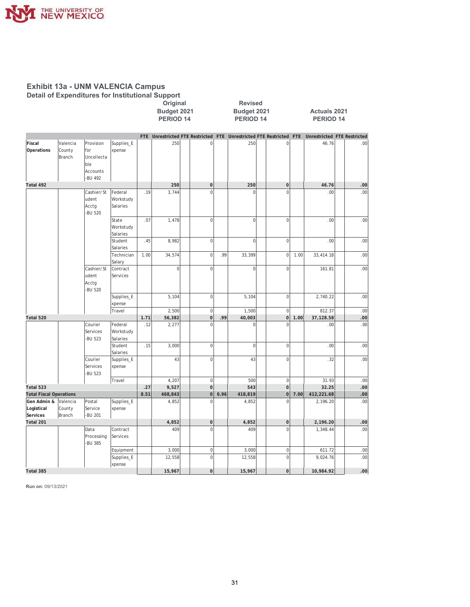

|                                             |          |               |                      |             | . .<br>Original      |                               |      | <b>Revised</b>                                                      |                             |      |                                    |            |
|---------------------------------------------|----------|---------------|----------------------|-------------|----------------------|-------------------------------|------|---------------------------------------------------------------------|-----------------------------|------|------------------------------------|------------|
|                                             |          |               |                      |             | Budget 2021          |                               |      | Budget 2021                                                         |                             |      | <b>Actuals 2021</b>                |            |
|                                             |          |               |                      |             | PERIOD <sub>14</sub> |                               |      | <b>PERIOD 14</b>                                                    |                             |      | PERIOD <sub>14</sub>               |            |
|                                             |          |               |                      |             |                      |                               |      |                                                                     |                             |      |                                    |            |
|                                             |          |               |                      |             |                      |                               |      | FTE Unrestricted FTE Restricted FTE Unrestricted FTE Restricted FTE |                             |      | <b>Unrestricted FTE Restricted</b> |            |
| Fiscal                                      | Valencia | Provision     | Supplies_E           |             | 250                  | $\mathbf 0$                   |      | 250                                                                 | $\overline{0}$              |      | 46.76                              | .00        |
| Operations                                  | County   | for           | xpense               |             |                      |                               |      |                                                                     |                             |      |                                    |            |
|                                             | Branch   | Uncollecta    |                      |             |                      |                               |      |                                                                     |                             |      |                                    |            |
|                                             |          | ble           |                      |             |                      |                               |      |                                                                     |                             |      |                                    |            |
|                                             |          | Accounts      |                      |             |                      |                               |      |                                                                     |                             |      |                                    |            |
|                                             |          | -BU 492       |                      |             |                      |                               |      |                                                                     |                             |      |                                    |            |
| Total 492                                   |          |               |                      |             | 250                  | $\mathbf{0}$                  |      | 250                                                                 | $\mathbf 0$                 |      | 46.76                              | .00        |
|                                             |          | Cashier/St    | Federal              | .19         | 3,744                | $\overline{0}$                |      | $\mathbf 0$                                                         | $\overline{0}$              |      | .00                                | .00        |
|                                             |          | udent         | Workstudy            |             |                      |                               |      |                                                                     |                             |      |                                    |            |
|                                             |          | Acctg         | Salaries             |             |                      |                               |      |                                                                     |                             |      |                                    |            |
|                                             |          | -BU 520       |                      |             |                      |                               |      |                                                                     |                             |      |                                    |            |
|                                             |          |               | State                | .07         | 1,478                | $\mathbf 0$                   |      | $\overline{0}$                                                      | $\mathbf 0$                 |      | .00                                | .00        |
|                                             |          |               | Workstudy            |             |                      |                               |      |                                                                     |                             |      |                                    |            |
|                                             |          |               | Salaries             |             |                      |                               |      |                                                                     |                             |      |                                    |            |
|                                             |          |               | Student              | .45         | 8,982                | $\mathbf 0$                   |      | $\overline{0}$                                                      | $\overline{0}$              |      | .00                                | .00        |
|                                             |          |               | Salaries             | 1.00        |                      | $\mathbf 0$                   | .99  | 33,399                                                              | $\mathbf 0$                 | 1.00 |                                    | .00        |
|                                             |          |               | Technician<br>Salary |             | 34,574               |                               |      |                                                                     |                             |      | 33,414.18                          |            |
|                                             |          | Cashier/St    | Contract             |             | $\mathsf 0$          | $\mathbf 0$                   |      | $\overline{0}$                                                      | $\mathbf 0$                 |      | 161.81                             | .00        |
|                                             |          | udent         | Services             |             |                      |                               |      |                                                                     |                             |      |                                    |            |
|                                             |          | Acctg         |                      |             |                      |                               |      |                                                                     |                             |      |                                    |            |
|                                             |          | -BU 520       |                      |             |                      |                               |      |                                                                     |                             |      |                                    |            |
|                                             |          |               | Supplies_E           |             | 5,104                | $\mathbf 0$                   |      | 5,104                                                               | $\overline{0}$              |      | 2,740.22                           | .00        |
|                                             |          |               | xpense               |             |                      |                               |      |                                                                     |                             |      |                                    |            |
|                                             |          |               | Travel               |             | 2,500                | $\overline{0}$                |      | 1,500                                                               | $\mathbf 0$                 |      | 812.37                             | .00        |
| Total 520                                   |          |               |                      | 1.71        | 56,382               | $\mathbf 0$                   | .99  | 40,003                                                              | $\mathbf 0$                 | 1.00 | 37,128.58                          | .00        |
|                                             |          | Courier       | Federal              | .12         | 2,277                | $\overline{0}$                |      | $\mathbf 0$                                                         | $\overline{0}$              |      | .00                                | .00        |
|                                             |          | Services      | Workstudy            |             |                      |                               |      |                                                                     |                             |      |                                    |            |
|                                             |          | -BU 523       | Salaries             |             |                      |                               |      |                                                                     |                             |      |                                    |            |
|                                             |          |               | Student              | .15         | 3,000                | $\mathbf 0$                   |      | $\overline{0}$                                                      | $\overline{0}$              |      | .00.                               | .00        |
|                                             |          |               | Salaries             |             |                      |                               |      |                                                                     |                             |      |                                    |            |
|                                             |          | Courier       | Supplies_E           |             | 43                   | $\mathbf 0$                   |      | 43                                                                  | $\mathbf 0$                 |      | .32                                | .00        |
|                                             |          | Services      | xpense               |             |                      |                               |      |                                                                     |                             |      |                                    |            |
|                                             |          | <b>BU 523</b> |                      |             |                      |                               |      |                                                                     |                             |      |                                    |            |
|                                             |          |               | Travel               |             | 4,207                | $\mathbf 0$<br>$\overline{0}$ |      | 500                                                                 | $\mathbf 0$                 |      | 31.93                              | .00        |
| Total 523<br><b>Total Fiscal Operations</b> |          |               |                      | .27<br>8.51 | 9,527<br>468,843     | $\mathbf 0$                   | 6.96 | 543<br>418,819                                                      | $\mathbf 0$<br>$\mathbf{0}$ | 7.00 | 32.25<br>412,221.68                | .00<br>.00 |
| Gen Admin &                                 | Valencia | Postal        | Supplies_E           |             | 4,852                | $\Omega$                      |      | 4,852                                                               | $\mathbf 0$                 |      | 2,196.20                           | .00        |
| Logistical                                  | County   | Service       | xpense               |             |                      |                               |      |                                                                     |                             |      |                                    |            |
| Services                                    | Branch   | -BU 201       |                      |             |                      |                               |      |                                                                     |                             |      |                                    |            |
| Total 201                                   |          |               |                      |             | 4,852                | $\mathbf 0$                   |      | 4,852                                                               | $\mathbf 0$                 |      | 2,196.20                           | .00        |
|                                             |          | Data          | Contract             |             | 409                  | $\mathbf 0$                   |      | 409                                                                 | $\mathbf 0$                 |      | 1,348.44                           | .00        |
|                                             |          | Processing    | Services             |             |                      |                               |      |                                                                     |                             |      |                                    |            |
|                                             |          | -BU 385       |                      |             |                      |                               |      |                                                                     |                             |      |                                    |            |
|                                             |          |               | Equipment            |             | 3,000                | $\mathbf 0$                   |      | 3,000                                                               | $\mathbf 0$                 |      | 611.72                             | .00        |
|                                             |          |               | Supplies_E           |             | 12,558               | $\mathbf 0$                   |      | 12,558                                                              | $\overline{0}$              |      | 9,024.76                           | .00        |
|                                             |          |               | xpense               |             |                      |                               |      |                                                                     |                             |      |                                    |            |
| Total 385                                   |          |               |                      |             | 15,967               | $\pmb{0}$                     |      | 15,967                                                              | $\mathbf 0$                 |      | 10,984.92                          | .00        |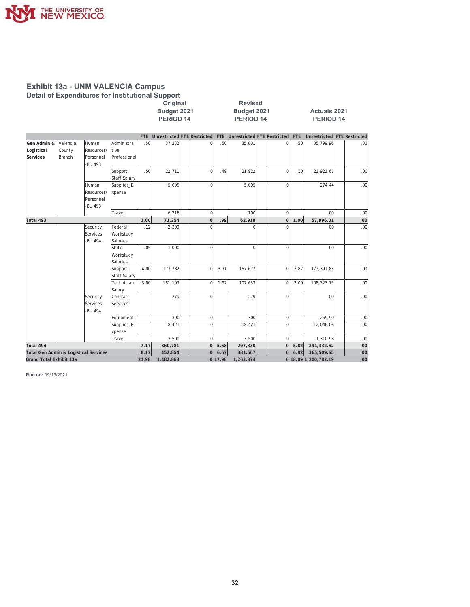

**2011 2ULDA 5H**<br> **2ULDA 5HYPLE 5HYPLE 5HYPLE 5HYPLE 5HYPLE 5HYPLE 5HYPLE 5HYPLE 5HYPLE 5HYPLE 5HYPLE 5HYPLE 5HYPLE 5HYPLE 5HYPLE 5HYPLE 5HYPLE 5HYPLE 5HYPLE 5HYPLE 5HYPLE 5HYPLE 5HYPLE 5HYPLE 5HYPLE 5HYPLE 5HYPLE 5HYPLE** Example 1999<br> **Example 3021**<br> **EXIOD 14**<br> **EXIOD 14**<br> **EXIOD 14**<br> **PERIOD 14**<br> **PERIOD 14**<br> **PERIOD 14** 

**PERIOD 14** 

|                                       |          |            |                     |       |           |             |         | FTE Unrestricted FTE Restricted FTE Unrestricted FTE Restricted FTE |             |      | <b>Unrestricted FTE Restricted</b> |     |
|---------------------------------------|----------|------------|---------------------|-------|-----------|-------------|---------|---------------------------------------------------------------------|-------------|------|------------------------------------|-----|
| Gen Admin &                           | Valencia | Human      | Administra          | .50   | 37,232    | $\Omega$    | .50     | 35,801                                                              | 0           | .50  | 35,799.96                          | .00 |
| Logistical                            | County   | Resources/ | tive                |       |           |             |         |                                                                     |             |      |                                    |     |
| Services                              | Branch   | Personnel  | Professional        |       |           |             |         |                                                                     |             |      |                                    |     |
|                                       |          | -BU 493    |                     |       |           |             |         |                                                                     |             |      |                                    |     |
|                                       |          |            | Support             | .50   | 22,711    | $\Omega$    | .49     | 21,922                                                              | $\Omega$    | .50  | 21,921.61                          | .00 |
|                                       |          |            | <b>Staff Salary</b> |       |           |             |         |                                                                     |             |      |                                    |     |
|                                       |          | Human      | Supplies_E          |       | 5,095     | $\Omega$    |         | 5,095                                                               | $\Omega$    |      | 274.44                             | .00 |
|                                       |          | Resources/ | xpense              |       |           |             |         |                                                                     |             |      |                                    |     |
|                                       |          | Personnel  |                     |       |           |             |         |                                                                     |             |      |                                    |     |
|                                       |          | -BU 493    |                     |       |           |             |         |                                                                     |             |      |                                    |     |
|                                       |          |            | Travel              |       | 6,216     | $\mathbf 0$ |         | 100                                                                 | $\mathbf 0$ |      | .00                                | .00 |
| Total 493                             |          |            |                     | 1.00  | 71,254    | $\mathbf 0$ | .99     | 62,918                                                              | $\mathbf 0$ | 1.00 | 57,996.01                          | .00 |
|                                       |          | Security   | Federal             | .12   | 2,300     | $\Omega$    |         | $\Omega$                                                            | $\Omega$    |      | .00                                | .00 |
|                                       |          | Services   | Workstudy           |       |           |             |         |                                                                     |             |      |                                    |     |
|                                       |          | -BU 494    | Salaries            |       |           |             |         |                                                                     |             |      |                                    |     |
|                                       |          |            | State               | .05   | 1,000     | $\Omega$    |         | $\Omega$                                                            | $\Omega$    |      | .00.                               | .00 |
|                                       |          |            | Workstudy           |       |           |             |         |                                                                     |             |      |                                    |     |
|                                       |          |            | Salaries            |       |           |             |         |                                                                     |             |      |                                    |     |
|                                       |          |            | Support             | 4.00  | 173,782   | $\Omega$    | 3.71    | 167,677                                                             | $\mathbf 0$ | 3.82 | 172,391.83                         | .00 |
|                                       |          |            | <b>Staff Salary</b> |       |           |             |         |                                                                     |             |      |                                    |     |
|                                       |          |            | Technician          | 3.00  | 161,199   | $\mathbf 0$ | 1.97    | 107,653                                                             | $\mathbf 0$ | 2.00 | 108,323.75                         | .00 |
|                                       |          |            | Salary              |       |           |             |         |                                                                     |             |      |                                    |     |
|                                       |          | Security   | Contract            |       | 279       | $\mathbf 0$ |         | 279                                                                 | $\mathbf 0$ |      | .00                                | .00 |
|                                       |          | Services   | Services            |       |           |             |         |                                                                     |             |      |                                    |     |
|                                       |          | -BU 494    |                     |       |           |             |         |                                                                     |             |      |                                    |     |
|                                       |          |            | Equipment           |       | 300       | $\mathbf 0$ |         | 300                                                                 | $\mathbf 0$ |      | 259.90                             | .00 |
|                                       |          |            | Supplies_E          |       | 18,421    | $\Omega$    |         | 18,421                                                              | $\Omega$    |      | 12,046.06                          | .00 |
|                                       |          |            | xpense              |       |           |             |         |                                                                     |             |      |                                    |     |
|                                       |          |            | Travel              |       | 3,500     | $\Omega$    |         | 3,500                                                               | 0           |      | 1,310.98                           | .00 |
| Total 494                             |          |            |                     | 7.17  | 360,781   | $\Omega$    | 5.68    | 297,830                                                             | οl          | 5.82 | 294,332.52                         | .00 |
| Total Gen Admin & Logistical Services |          |            |                     | 8.17  | 452,854   | 0           | 6.67    | 381,567                                                             | 0           | 6.82 | 365,509.65                         | .00 |
| <b>Grand Total Exhibit 13a</b>        |          |            |                     | 21.98 | 1,482,863 |             | 0 17.98 | 1,263,374                                                           |             |      | 0 18.09 1,200,782.19               | .00 |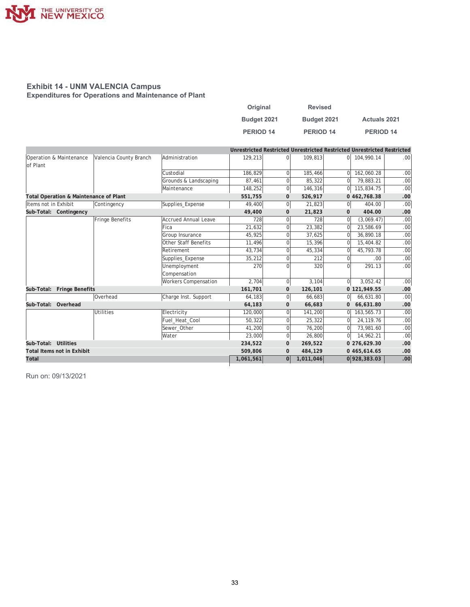

#### **Exhibit 14 - UNM VALENCIA Campus Expenditures for Operations and Maintenance of Plant**

| Original         | <b>Revised</b>   |                     |
|------------------|------------------|---------------------|
| Budget 2021      | Budget 2021      | <b>Actuals 2021</b> |
| <b>PERIOD 14</b> | <b>PERIOD 14</b> | PERIOD 14           |

|                      |                                                   |                  |                             | Unrestricted Restricted Unrestricted Restricted Unrestricted Restricted |                |           |                |              |                  |
|----------------------|---------------------------------------------------|------------------|-----------------------------|-------------------------------------------------------------------------|----------------|-----------|----------------|--------------|------------------|
| of Plant             | Operation & Maintenance<br>Valencia County Branch |                  | Administration              | 129,213                                                                 | $\Omega$       | 109,813   | $\Omega$       | 104,990.14   | .00 <sub>1</sub> |
|                      |                                                   |                  | Custodial                   | 186,829                                                                 | $\Omega$       | 185,466   | $\Omega$       | 162,060.28   | .00              |
|                      |                                                   |                  | Grounds & Landscaping       | 87,461                                                                  | $\overline{0}$ | 85,322    | $\overline{0}$ | 79.883.21    | .00              |
|                      |                                                   |                  | Maintenance                 | 148,252                                                                 | 0              | 146,316   | $\overline{0}$ | 115,834.75   | .00              |
|                      | Total Operation & Maintenance of Plant            |                  |                             | 551,755                                                                 | $\mathbf{0}$   | 526,917   |                | 0 462,768.38 | .00              |
| Items not in Exhibit |                                                   | Contingency      | Supplies Expense            | 49,400                                                                  | 0              | 21,823    | 0              | 404.00       | .00              |
|                      | Sub-Total: Contingency                            |                  |                             | 49,400                                                                  | $\mathbf{0}$   | 21,823    | $\mathbf 0$    | 404.00       | .00              |
|                      |                                                   | Fringe Benefits  | <b>Accrued Annual Leave</b> | 728                                                                     | $\Omega$       | 728       | $\Omega$       | (3,069.47)   | .00              |
|                      |                                                   |                  | Fica                        | 21,632                                                                  | $\Omega$       | 23,382    | $\Omega$       | 23,586.69    | .00              |
|                      |                                                   |                  | Group Insurance             | 45,925                                                                  | $\Omega$       | 37,625    | $\mathbf 0$    | 36,890.18    | .00              |
|                      |                                                   |                  | <b>Other Staff Benefits</b> | 11,496                                                                  | $\Omega$       | 15,396    | $\Omega$       | 15,404.82    | .00              |
|                      |                                                   |                  | Retirement                  | 43,734                                                                  | 0              | 45,334    | $\mathbf 0$    | 45,793.78    | .00              |
|                      |                                                   |                  | Supplies_Expense            | 35,212                                                                  | $\Omega$       | 212       | 0              | .00.         | .00              |
|                      |                                                   |                  | Unemployment                | 270                                                                     | $\Omega$       | 320       | $\Omega$       | 291.13       | .00.             |
|                      |                                                   |                  | Compensation                |                                                                         |                |           |                |              |                  |
|                      |                                                   |                  | <b>Workers Compensation</b> | 2.704                                                                   | 0              | 3,104     | $\overline{0}$ | 3,052.42     | .00              |
|                      | Sub-Total: Fringe Benefits                        |                  |                             | 161,701                                                                 | $\mathbf{0}$   | 126,101   |                | 0 121,949.55 | .00              |
|                      |                                                   | Overhead         | Charge Inst. Support        | 64,183                                                                  | 0              | 66,683    | 0              | 66,631.80    | .00              |
| Sub-Total: Overhead  |                                                   |                  |                             | 64,183                                                                  | $\mathbf{0}$   | 66,683    | $\mathbf{0}$   | 66,631.80    | .00              |
|                      |                                                   | <b>Utilities</b> | Electricity                 | 120,000                                                                 | $\Omega$       | 141.200   | $\Omega$       | 163.565.73   | .00              |
|                      |                                                   |                  | Fuel Heat Cool              | 50,322                                                                  | $\overline{0}$ | 25,322    | $\Omega$       | 24.119.76    | .00              |
|                      |                                                   |                  | Sewer Other                 | 41,200                                                                  | $\Omega$       | 76,200    | $\mathbf 0$    | 73,981.60    | .00              |
|                      |                                                   |                  | Water                       | 23,000                                                                  | 0              | 26,800    | $\overline{0}$ | 14,962.21    | .00              |
| Sub-Total: Utilities |                                                   |                  |                             | 234,522                                                                 | $\mathbf{0}$   | 269,522   |                | 0 276,629.30 | .00              |
|                      | <b>Total Items not in Exhibit</b>                 |                  |                             | 509,806                                                                 | $\mathbf{0}$   | 484,129   |                | 0 465,614.65 | .00              |
| Total                |                                                   |                  |                             | 1,061,561                                                               | 0              | 1,011,046 |                | 0 928,383.03 | .00              |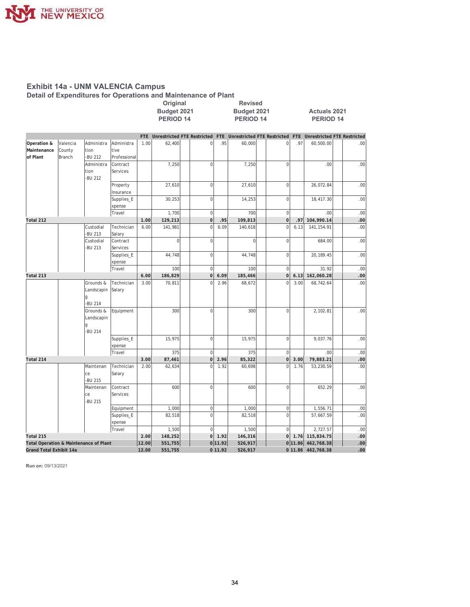

# Exhibit 14a - UNM VALENCIA Campus<br>Detail of Expenditures for Operations and Maintenance of Plant

Original

|                                                                              |                              |                                          |                                    |             | Budget 2021<br><b>PERIOD 14</b> |                                 |             | Budget 2021<br><b>PERIOD 14</b>                                 |                    |             | <b>Actuals 2021</b><br><b>PERIOD 14</b> |      |  |  |  |
|------------------------------------------------------------------------------|------------------------------|------------------------------------------|------------------------------------|-------------|---------------------------------|---------------------------------|-------------|-----------------------------------------------------------------|--------------------|-------------|-----------------------------------------|------|--|--|--|
|                                                                              |                              |                                          |                                    |             |                                 | FTE Unrestricted FTE Restricted |             | FTE Unrestricted FTE Restricted FTE Unrestricted FTE Restricted |                    |             |                                         |      |  |  |  |
| Operation &<br>Maintenance<br>of Plant                                       | Valencia<br>County<br>Branch | Administra<br>tion<br><b>BU 212</b>      | Administra<br>tive<br>Professional | 1.00        | 62,400                          | 0                               | .95         | 60,000                                                          | $\mathbf 0$        | .97         | 60,500.00                               | .00. |  |  |  |
|                                                                              |                              | Administra<br>tion<br><b>BU 212</b>      | Contract<br>Services               |             | 7,250                           | $\overline{0}$                  |             | 7,250                                                           | $\mathbf 0$        |             | .00.                                    | .00  |  |  |  |
|                                                                              |                              |                                          | Property<br>Insurance              |             | 27,610                          | $\mathbf 0$                     |             | 27,610                                                          | $\mathbf 0$        |             | 26,072.84                               | .00  |  |  |  |
|                                                                              |                              |                                          | Supplies_E<br>xpense               |             | 30,253                          | $\mathbf 0$                     |             | 14,253                                                          | $\mathbf 0$        |             | 18,417.30                               | .00  |  |  |  |
|                                                                              |                              |                                          | Travel                             |             | 1,700                           | $\mathbf 0$                     |             | 700                                                             | $\mathbf 0$        |             | .00.                                    | .00  |  |  |  |
| Total 212                                                                    |                              |                                          |                                    | 1.00        | 129,213                         | $\overline{0}$                  | .95         | 109,813                                                         | 0                  | .97         | 104,990.14                              | .00  |  |  |  |
|                                                                              |                              | Custodial<br><b>BU 213</b>               | Technician<br>Salary               | 6.00        | 141,981                         | $\overline{0}$                  | 6.09        | 140,618                                                         | $\mathbf 0$        | 6.13        | 141, 154.91                             | .00  |  |  |  |
|                                                                              |                              | Custodial<br><b>BU 213</b>               | Contract<br>Services               |             | $\Omega$                        | $\mathbf 0$                     |             | $\Omega$                                                        | $\mathbf 0$        |             | 684.00                                  | .00  |  |  |  |
|                                                                              |                              |                                          | Supplies_E<br>xpense               |             | 44,748                          | $\mathbf 0$                     |             | 44,748                                                          | $\mathsf 0$        |             | 20,189.45                               | .00  |  |  |  |
|                                                                              |                              |                                          | Travel                             |             | 100                             | $\mathbf 0$                     |             | 100                                                             | $\mathbf 0$        |             | 31.92                                   | .00  |  |  |  |
| Total 213                                                                    |                              | 6.00                                     | 186,829                            | $\mathbf 0$ | 6.09                            | 185,466                         | $\mathbf 0$ | 6.13                                                            | 162,060.28         | .00         |                                         |      |  |  |  |
|                                                                              |                              | Grounds &<br>Landscapin<br>-BU 214       | Technician<br>Salary               | 3.00        | 70,811                          | $\overline{0}$                  | 2.96        | 68,672                                                          | $\overline{0}$     | 3.00        | 68,742.64                               | .00  |  |  |  |
|                                                                              |                              | Grounds &<br>Landscapin<br><b>BU 214</b> | Equipment                          |             | 300                             | $\overline{0}$                  |             | 300                                                             | $\mathbf 0$        |             | 2,102.81                                | .00  |  |  |  |
|                                                                              |                              |                                          | Supplies_E<br>xpense               |             | 15,975                          | $\mathbf 0$                     |             | 15,975                                                          | $\mathbf 0$        |             | 9,037.76                                | .00  |  |  |  |
|                                                                              |                              |                                          | Travel                             |             | 375                             | $\mathbf 0$                     |             | 375                                                             | $\mathbf 0$        |             | .00.                                    | .00  |  |  |  |
| Total 214                                                                    |                              |                                          |                                    | 3.00        | 87,461                          | $\mathbf 0$                     | 2.96        | 85,322                                                          | $\mathbf 0$        | 3.00        | 79,883.21                               | .00  |  |  |  |
|                                                                              |                              | Maintenan<br>ce<br>-BU 215               | Technician<br>Salary               | 2.00        | 62,634                          | $\overline{0}$                  | 1.92        | 60,698                                                          | $\mathbf 0$        | 1.76        | 53,230.59                               | .00  |  |  |  |
|                                                                              |                              | Maintenan<br>ce<br><b>BU 215</b>         | Contract<br>Services               |             | 600                             | $\boldsymbol{0}$                |             | 600                                                             | $\mathbf 0$        |             | 652.29                                  | .00  |  |  |  |
|                                                                              |                              |                                          | Equipment                          |             | 1,000                           | $\mathbf 0$                     |             | 1,000                                                           | $\mathbf 0$        |             | 1,556.71                                | .00  |  |  |  |
|                                                                              |                              |                                          | Supplies_E<br>xpense               |             | 82,518                          | $\mathbf 0$                     |             | 82,518                                                          | $\mathbf 0$        |             | 57,667.59                               | .00. |  |  |  |
|                                                                              |                              |                                          | Travel                             |             | 1,500                           | $\mathbf 0$                     |             | 1,500                                                           | $\mathbf 0$        |             | 2,727.57                                | .00  |  |  |  |
| Total 215                                                                    |                              |                                          |                                    | 2.00        | 148,252                         | 0                               | 1.92        | 146,316                                                         | <sub>0</sub>       |             | 1.76 115,834.75                         | .00  |  |  |  |
| <b>Total Operation &amp; Maintenance of Plant</b><br>Grand Total Exhibit 14a |                              | 12.00                                    | 551,755                            |             | 0 11.92                         | 526,917                         |             |                                                                 | 0 11.86 462,768.38 | .00.<br>.00 |                                         |      |  |  |  |
|                                                                              |                              |                                          |                                    | 12.00       | 551,755                         |                                 | 0 11.92     | 526,917                                                         |                    |             | 0 11.86 462,768.38                      |      |  |  |  |

Revised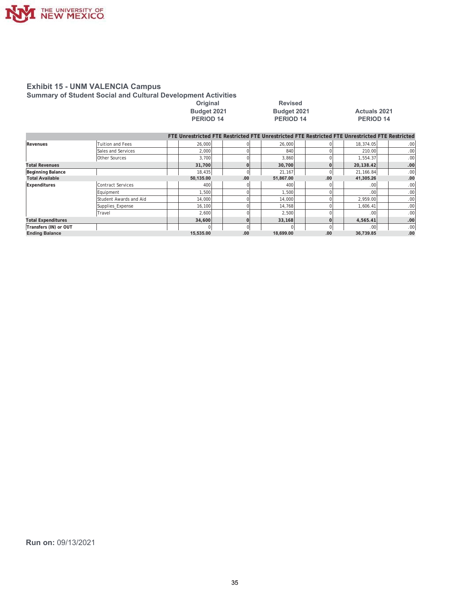

#### **Exhibit 15 - UNM VALENCIA Campus Summary of Student Social and Cultural Development Activities**

| Budget 2021      |
|------------------|
| <b>DEDIOD 14</b> |

**2Driginal 2006** Revised **3(5)** 34 **3(5)** 34 **32(5)** 34 **35** 

# **8** Budget 2021 **14** Actuals 2021<br>**PERIOD** 14 **PERIOD** 14

|                           |                          |           |            | FTE Unrestricted FTE Restricted FTE Unrestricted FTE Restricted FTE Unrestricted FTE Restricted |      |                  |                  |
|---------------------------|--------------------------|-----------|------------|-------------------------------------------------------------------------------------------------|------|------------------|------------------|
| Revenues                  | <b>Tuition and Fees</b>  | 26,000    |            | 26,000                                                                                          |      | 18.374.05        | .001             |
|                           | Sales and Services       | 2,000     |            | 840                                                                                             |      | 210.00           | .001             |
|                           | Other Sources            | 3,700     |            | 3,860                                                                                           |      | 1,554.37         | .00.             |
| <b>Total Revenues</b>     |                          | 31,700    |            | 30.700                                                                                          |      | 20,138.42        | .00              |
| <b>Beginning Balance</b>  |                          | 18,435    | $\sqrt{ }$ | 21,167                                                                                          |      | 21,166.84        | .00 <sub>1</sub> |
| <b>Total Available</b>    |                          | 50,135.00 | .00        | 51,867.00                                                                                       | .00. | 41,305.26        | .00              |
| Expenditures              | <b>Contract Services</b> | 400       |            | 400                                                                                             |      | .00 <sub>1</sub> | .00              |
|                           | Equipment                | 1.500     |            | 1,500                                                                                           |      | .00 <sub>1</sub> | .00              |
|                           | Student Awards and Aid   | 14,000    |            | 14,000                                                                                          |      | 2.959.00         | .00              |
|                           | Supplies Expense         | 16,100    |            | 14,768                                                                                          |      | 1,606.41         | .00              |
|                           | Travel                   | 2,600     |            | 2,500                                                                                           |      | .00'             | .00              |
| <b>Total Expenditures</b> |                          | 34,600    |            | 33.168                                                                                          |      | 4.565.41         | .00              |
| Transfers (IN) or OUT     |                          |           | $\Omega$   |                                                                                                 |      | .00 <sub>1</sub> | .00 <sub>1</sub> |
| <b>Ending Balance</b>     |                          | 15.535.00 | .00        | 18.699.00                                                                                       | .00  | 36.739.85        | .00              |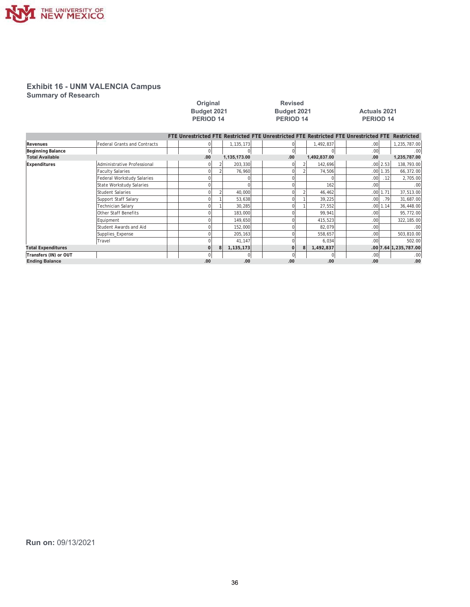

**Summary of Research** 

|                           |                                     | Budget 2021<br><b>PERIOD 14</b> |              | Budget 2021<br><b>PERIOD 14</b>                                                                 |              | <b>Actuals 2021</b><br><b>PERIOD 14</b> |              |                       |
|---------------------------|-------------------------------------|---------------------------------|--------------|-------------------------------------------------------------------------------------------------|--------------|-----------------------------------------|--------------|-----------------------|
|                           |                                     |                                 |              | FTE Unrestricted FTE Restricted FTE Unrestricted FTE Restricted FTE Unrestricted FTE Restricted |              |                                         |              |                       |
| Revenues                  | <b>Federal Grants and Contracts</b> |                                 | 1,135,173    |                                                                                                 | 1,492,837    | .00 <sub>1</sub>                        |              | 1,235,787.00          |
| Beginning Balance         |                                     | $\overline{0}$                  | 0            | $\overline{0}$                                                                                  |              | .00 <sub>1</sub>                        |              | .00                   |
| <b>Total Available</b>    |                                     | .00                             | 1,135,173.00 | .00.                                                                                            | 1,492,837.00 | .00                                     |              | 1,235,787.00          |
| Expenditures              | Administrative Professional         |                                 | 203,330      | 01                                                                                              | 142,696      |                                         | $.00$   2.53 | 138,793.00            |
|                           | <b>Faculty Salaries</b>             |                                 | 76,960       | U                                                                                               | 74,506       |                                         | $.00$   1.35 | 66,372.00             |
|                           | Federal Workstudy Salaries          |                                 |              |                                                                                                 |              | .00 <sub>1</sub>                        | .12          | 2,705.00              |
|                           | State Workstudy Salaries            |                                 | $\cap$       |                                                                                                 | 162          | .00 <sub>1</sub>                        |              | .00                   |
|                           | <b>Student Salaries</b>             |                                 | 40,000       | U                                                                                               | 46,462       |                                         | $.00$   1.71 | 37,513.00             |
|                           | Support Staff Salary                |                                 | 53,638       |                                                                                                 | 39,225       | .00 <sub>l</sub>                        | .79          | 31,687.00             |
|                           | Technician Salary                   |                                 | 30,285       |                                                                                                 | 27,552       |                                         | .00 1.14     | 36,448.00             |
|                           | <b>Other Staff Benefits</b>         |                                 | 183,000      |                                                                                                 | 99,941       | .00                                     |              | 95,772.00             |
|                           | Equipment                           |                                 | 149,650      |                                                                                                 | 415,523      | .00                                     |              | 322,185.00            |
|                           | Student Awards and Aid              |                                 | 152,000      |                                                                                                 | 82,079       | .00                                     |              | .00.                  |
|                           | Supplies Expense                    |                                 | 205,163      |                                                                                                 | 558,657      | .00                                     |              | 503,810.00            |
|                           | Travel                              |                                 | 41,147       | O                                                                                               | 6,034        | .00                                     |              | 502.00                |
| <b>Total Expenditures</b> |                                     | $\Omega$                        | 1,135,173    | $\Omega$                                                                                        | 1,492,837    |                                         |              | .00 7.64 1,235,787.00 |
| Transfers (IN) or OUT     |                                     |                                 | $\mathbf{0}$ | $\overline{0}$                                                                                  |              | .00 <sub>1</sub>                        |              | .00                   |
| <b>Ending Balance</b>     |                                     | .00                             | .00          | .00                                                                                             | .00          | .00                                     |              | .00                   |

**2ULJLQDO 5HYLVHG**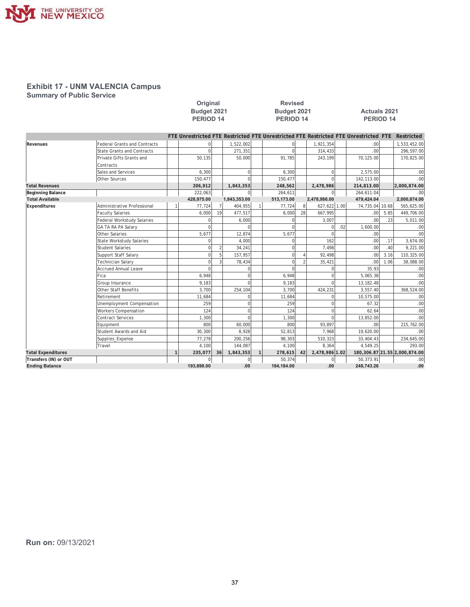

**Summary of Public Service** 

|                           |                                     |              | Original<br>Budget 2021<br>PERIOD <sub>14</sub>                                      |                | <b>Revised</b><br>Budget 2021<br><b>PERIOD 14</b> |             |    |                | <b>Actuals 2021</b><br>PERIOD 14 |                 |      |                                  |
|---------------------------|-------------------------------------|--------------|--------------------------------------------------------------------------------------|----------------|---------------------------------------------------|-------------|----|----------------|----------------------------------|-----------------|------|----------------------------------|
|                           |                                     |              | FTE Unrestricted FTE Restricted FTE Unrestricted FTE Restricted FTE Unrestricted FTE |                |                                                   |             |    |                |                                  |                 |      | <b>Restricted</b>                |
| Revenues                  | <b>Federal Grants and Contracts</b> |              | $\mathbf 0$                                                                          |                | 1,522,002                                         | $\mathbf 0$ |    | 1,921,354      |                                  | .00             |      | 1,533,452.00                     |
|                           | <b>State Grants and Contracts</b>   |              | $\mathbf 0$                                                                          |                | 271,351                                           | $\Omega$    |    | 314,433        |                                  | .00             |      | 296,597.00                       |
|                           | Private Gifts Grants and            |              | 50.135                                                                               |                | 50,000                                            | 91,785      |    | 243,199        |                                  | 70,125.00       |      | 170,825.00                       |
|                           | Contracts                           |              |                                                                                      |                |                                                   |             |    |                |                                  |                 |      |                                  |
|                           | Sales and Services                  |              | 6,300                                                                                |                | $\Omega$                                          | 6,300       |    | $\Omega$       |                                  | 2,575.00        |      | .00                              |
|                           | Other Sources                       |              | 150,477                                                                              |                |                                                   | 150,477     |    |                |                                  | 142,113.00      |      | .00                              |
| <b>Total Revenues</b>     |                                     |              | 206,912                                                                              |                | 1,843,353                                         | 248,562     |    | 2,478,986      |                                  | 214,813.00      |      | 2,000,874.00                     |
| Beginning Balance         |                                     |              | 222,063                                                                              |                |                                                   | 264,611     |    | $\Omega$       |                                  | 264,611.04      |      | .00                              |
| <b>Total Available</b>    |                                     |              | 428,975.00                                                                           |                | 1,843,353.00                                      | 513,173.00  |    | 2,478,986.00   |                                  | 479,424.04      |      | 2,000,874.00                     |
| Expenditures              | Administrative Professional         |              | 77,724                                                                               |                | 404,955                                           | 77,724      | 8  | 627,622 1.00   |                                  | 74,735.04 10.68 |      | 565,625.00                       |
|                           | <b>Faculty Salaries</b>             |              | 6,000                                                                                | 19             | 477,517                                           | 6,000       | 28 | 667,995        |                                  | .00             | 5.85 | 449,706.00                       |
|                           | <b>Federal Workstudy Salaries</b>   |              | $\Omega$                                                                             |                | 6,000                                             | $\Omega$    |    | 3,007          |                                  | .00             | .23  | 5,011.00                         |
|                           | GA TA RA PA Salary                  |              | $\Omega$                                                                             |                |                                                   |             |    | n              | .02                              | 1,600.00        |      | .00                              |
|                           | Other Salaries                      |              | 5,677                                                                                |                | 12,874                                            | 5,677       |    | $\Omega$       |                                  | .00             |      | .00                              |
|                           | <b>State Workstudy Salaries</b>     |              | $\Omega$                                                                             |                | 4,000                                             | $\Omega$    |    | 162            |                                  | .00             | .17  | 3,674.00                         |
|                           | <b>Student Salaries</b>             |              | $\mathbf 0$                                                                          | $\overline{2}$ | 34,241                                            | $\mathbf 0$ |    | 7,498          |                                  | .00             | .40  | 9.221.00                         |
|                           | Support Staff Salary                |              | $\overline{0}$                                                                       | 5              | 157,957                                           | $\Omega$    |    | 92,498         |                                  | .00             | 3.16 | 110,325.00                       |
|                           | <b>Technician Salary</b>            |              | $\Omega$                                                                             |                | 78,434                                            | $\Omega$    |    | 35,421         |                                  | .00             | 1.06 | 38,088.00                        |
|                           | <b>Accrued Annual Leave</b>         |              | $\Omega$                                                                             |                |                                                   | $\Omega$    |    |                |                                  | 35.93           |      | .00                              |
|                           | Fica                                |              | 6,948                                                                                |                | $\Omega$                                          | 6,948       |    | $\Omega$       |                                  | 5,065.38        |      | .00                              |
|                           | Group Insurance                     |              | 9,183                                                                                |                | $\Omega$                                          | 9,183       |    | $\cap$         |                                  | 13, 182.48      |      | .00                              |
|                           | <b>Other Staff Benefits</b>         |              | 3,700                                                                                |                | 254,104                                           | 3,700       |    | 424,231        |                                  | 3,557.40        |      | 368,524.00                       |
|                           | Retirement                          |              | 11,684                                                                               |                | U                                                 | 11,684      |    | $\Omega$       |                                  | 10,575.00       |      | .00                              |
|                           | Unemployment Compensation           |              | 259                                                                                  |                | $\Omega$                                          | 259         |    | $\Omega$       |                                  | 67.32           |      | .00                              |
|                           | <b>Workers Compensation</b>         |              | 124                                                                                  |                | $\Omega$                                          | 124         |    | $\Omega$       |                                  | 62.64           |      | .00                              |
|                           | <b>Contract Services</b>            |              | 1,300                                                                                |                | $\Omega$                                          | 1,300       |    | $\Omega$       |                                  | 13,852.00       |      | .00                              |
|                           | Equipment                           |              | 800                                                                                  |                | 60,000                                            | 800         |    | 93.897         |                                  | .00             |      | 215,762.00                       |
|                           | Student Awards and Aid              |              | 30,300                                                                               |                | 8,928                                             | 52,813      |    | 7,968          |                                  | 19,620.00       |      | .00                              |
|                           | Supplies_Expense                    |              | 77,278                                                                               |                | 200,256                                           | 98,303      |    | 510,323        |                                  | 33,404.43       |      | 234,645.00                       |
|                           | Travel                              |              | 4.100                                                                                |                | 144.087                                           | 4.100       |    | 8.364          |                                  | 4.549.25        |      | 293.00                           |
| <b>Total Expenditures</b> |                                     | $\mathbf{1}$ | 235,077                                                                              | 36             | 1,843,353                                         | 278,615     | 42 | 2,478,986 1.02 |                                  |                 |      | 180, 306.87 21.55 2, 000, 874.00 |
| Transfers (IN) or OUT     |                                     |              | $\Omega$                                                                             |                | $\Omega$                                          | 50,374      |    | $\Omega$       |                                  | 50,373.91       |      | .00                              |
| <b>Ending Balance</b>     |                                     |              | 193.898.00                                                                           |                | .00                                               | 184,184.00  |    | .00            |                                  | 248,743.26      |      | .00                              |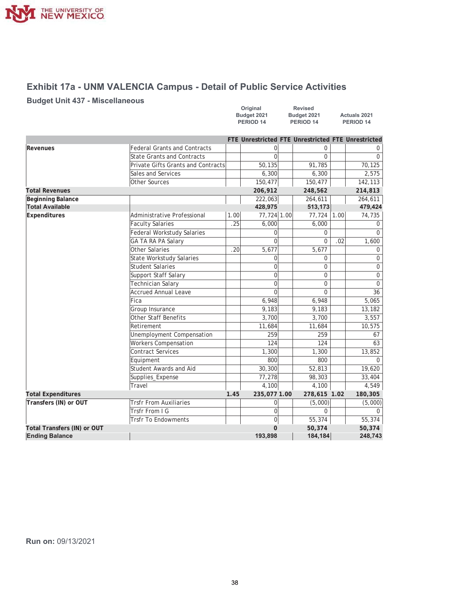

# **Exhibit 17a - UNM VALENCIA Campus - Detail of Public Service Activities**

### **Budget Unit 437 - Miscellaneous**

| Original    | <b>Revised</b> |                      |
|-------------|----------------|----------------------|
| Budget 2021 | Budget 2021    | <b>Actuals 2021</b>  |
| PERIOD 14   | PERIOD 14      | PERIOD <sub>14</sub> |

|                             |                                           |      | FTE Unrestricted FTE Unrestricted FTE Unrestricted |                |      |          |
|-----------------------------|-------------------------------------------|------|----------------------------------------------------|----------------|------|----------|
| Revenues                    | <b>Federal Grants and Contracts</b>       |      | 0                                                  | 0              |      |          |
|                             | <b>State Grants and Contracts</b>         |      | $\Omega$                                           | 0              |      | $\Omega$ |
|                             | <b>Private Gifts Grants and Contracts</b> |      | 50, 135                                            | 91,785         |      | 70,125   |
|                             | Sales and Services                        |      | 6,300                                              | 6,300          |      | 2,575    |
|                             | Other Sources                             |      | 150,477                                            | 150,477        |      | 142,113  |
| <b>Total Revenues</b>       |                                           |      | 206,912                                            | 248,562        |      | 214,813  |
| <b>Beginning Balance</b>    |                                           |      | 222,063                                            | 264,611        |      | 264,611  |
| <b>Total Available</b>      |                                           |      | 428,975                                            | 513,173        |      | 479,424  |
| Expenditures                | Administrative Professional               | 1.00 | 77,724 1.00                                        | 77,724         | 1.00 | 74,735   |
|                             | <b>Faculty Salaries</b>                   | .25  | 6,000                                              | 6,000          |      | 0        |
|                             | <b>Federal Workstudy Salaries</b>         |      | $\Omega$                                           | 0              |      | $\Omega$ |
|                             | GA TA RA PA Salary                        |      | $\Omega$                                           | $\Omega$       | .02  | 1,600    |
|                             | <b>Other Salaries</b>                     | .20  | 5,677                                              | 5,677          |      | 0        |
|                             | State Workstudy Salaries                  |      | $\overline{0}$                                     | 0              |      | 0        |
|                             | <b>Student Salaries</b>                   |      | $\Omega$                                           | $\Omega$       |      | 0        |
|                             | Support Staff Salary                      |      | $\overline{0}$                                     | 0              |      | $\Omega$ |
|                             | <b>Technician Salary</b>                  |      | $\overline{0}$                                     | 0              |      | $\Omega$ |
|                             | Accrued Annual Leave                      |      | $\Omega$                                           | $\overline{0}$ |      | 36       |
|                             | Fica                                      |      | 6,948                                              | 6,948          |      | 5,065    |
|                             | Group Insurance                           |      | 9,183                                              | 9,183          |      | 13,182   |
|                             | <b>Other Staff Benefits</b>               |      | 3,700                                              | 3,700          |      | 3,557    |
|                             | Retirement                                |      | 11,684                                             | 11,684         |      | 10,575   |
|                             | Unemployment Compensation                 |      | 259                                                | 259            |      | 67       |
|                             | <b>Workers Compensation</b>               |      | 124                                                | 124            |      | 63       |
|                             | <b>Contract Services</b>                  |      | 1,300                                              | 1,300          |      | 13,852   |
|                             | Equipment                                 |      | 800                                                | 800            |      | 0        |
|                             | Student Awards and Aid                    |      | 30,300                                             | 52,813         |      | 19,620   |
|                             | Supplies_Expense                          |      | 77,278                                             | 98,303         |      | 33,404   |
|                             | Travel                                    |      | 4,100                                              | 4,100          |      | 4,549    |
| <b>Total Expenditures</b>   |                                           | 1.45 | 235,077 1.00                                       | 278,615 1.02   |      | 180,305  |
| Transfers (IN) or OUT       | <b>Trsfr From Auxiliaries</b>             |      | $\overline{0}$                                     | (5,000)        |      | (5,000)  |
|                             | Trsfr From I G                            |      | $\overline{0}$                                     | 0              |      | $\Omega$ |
|                             | <b>Trsfr To Endowments</b>                |      | $\overline{0}$                                     | 55,374         |      | 55,374   |
| Total Transfers (IN) or OUT |                                           |      | 0                                                  | 50,374         |      | 50,374   |
| <b>Ending Balance</b>       |                                           |      | 193,898                                            | 184,184        |      | 248,743  |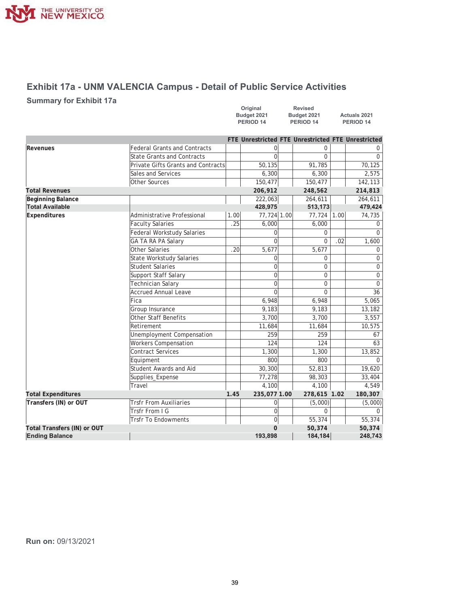

# **Exhibit 17a - UNM VALENCIA Campus - Detail of Public Service Activities**

### **Summary for Exhibit 17a**

| Original    | <b>Revised</b> |                     |
|-------------|----------------|---------------------|
| Budget 2021 | Budget 2021    | <b>Actuals 2021</b> |
| PERIOD 14   | PERIOD 14      | PERIOD 14           |

|                             |                                     |      | FTE Unrestricted FTE Unrestricted FTE Unrestricted |                |      |              |
|-----------------------------|-------------------------------------|------|----------------------------------------------------|----------------|------|--------------|
| Revenues                    | <b>Federal Grants and Contracts</b> |      |                                                    | 0              |      |              |
|                             | <b>State Grants and Contracts</b>   |      | U                                                  | $\Omega$       |      | $\Omega$     |
|                             | Private Gifts Grants and Contracts  |      | 50,135                                             | 91,785         |      | 70,125       |
|                             | Sales and Services                  |      | 6,300                                              | 6,300          |      | 2,575        |
|                             | Other Sources                       |      | 150,477                                            | 150,477        |      | 142,113      |
| <b>Total Revenues</b>       |                                     |      | 206,912                                            | 248,562        |      | 214,813      |
| Beginning Balance           |                                     |      | 222,063                                            | 264,611        |      | 264,611      |
| <b>Total Available</b>      |                                     |      | 428,975                                            | 513,173        |      | 479,424      |
| Expenditures                | Administrative Professional         | 1.00 | 77,724 1.00                                        | 77,724         | 1.00 | 74,735       |
|                             | <b>Faculty Salaries</b>             | .25  | 6,000                                              | 6,000          |      | $\Omega$     |
|                             | Federal Workstudy Salaries          |      | 0                                                  | 0              |      | $\Omega$     |
|                             | <b>GA TA RA PA Salary</b>           |      | U                                                  | $\overline{0}$ | .02  | 1,600        |
|                             | Other Salaries                      | .20  | 5,677                                              | 5,677          |      | $\mathbf 0$  |
|                             | <b>State Workstudy Salaries</b>     |      | $\overline{0}$                                     | $\mathbf 0$    |      | 0            |
|                             | Student Salaries                    |      | 0                                                  | $\overline{0}$ |      | $\Omega$     |
|                             | Support Staff Salary                |      | $\overline{0}$                                     | 0              |      | $\mathbf{0}$ |
|                             | <b>Technician Salary</b>            |      | $\overline{0}$                                     | 0              |      | $\mathbf 0$  |
|                             | Accrued Annual Leave                |      | $\Omega$                                           | $\Omega$       |      | 36           |
|                             | Fica                                |      | 6,948                                              | 6,948          |      | 5,065        |
|                             | Group Insurance                     |      | 9,183                                              | 9,183          |      | 13,182       |
|                             | Other Staff Benefits                |      | 3,700                                              | 3,700          |      | 3,557        |
|                             | Retirement                          |      | 11,684                                             | 11,684         |      | 10,575       |
|                             | Unemployment Compensation           |      | 259                                                | 259            |      | 67           |
|                             | <b>Workers Compensation</b>         |      | 124                                                | 124            |      | 63           |
|                             | Contract Services                   |      | 1,300                                              | 1,300          |      | 13,852       |
|                             | Equipment                           |      | 800                                                | 800            |      | 0            |
|                             | Student Awards and Aid              |      | 30,300                                             | 52,813         |      | 19,620       |
|                             | Supplies_Expense                    |      | 77,278                                             | 98,303         |      | 33,404       |
|                             | Travel                              |      | 4,100                                              | 4,100          |      | 4,549        |
| <b>Total Expenditures</b>   |                                     | 1.45 | 235,077 1.00                                       | 278,615 1.02   |      | 180,307      |
| Transfers (IN) or OUT       | <b>Trsfr From Auxiliaries</b>       |      | 0                                                  | (5,000)        |      | (5,000)      |
|                             | Trsfr From I G                      |      | $\overline{0}$                                     | 0              |      | $\Omega$     |
| <b>Trsfr To Endowments</b>  |                                     |      | 0                                                  | 55,374         |      | 55,374       |
| Total Transfers (IN) or OUT |                                     |      | 0                                                  | 50,374         |      | 50,374       |
| <b>Ending Balance</b>       |                                     |      | 193,898                                            | 184,184        |      | 248,743      |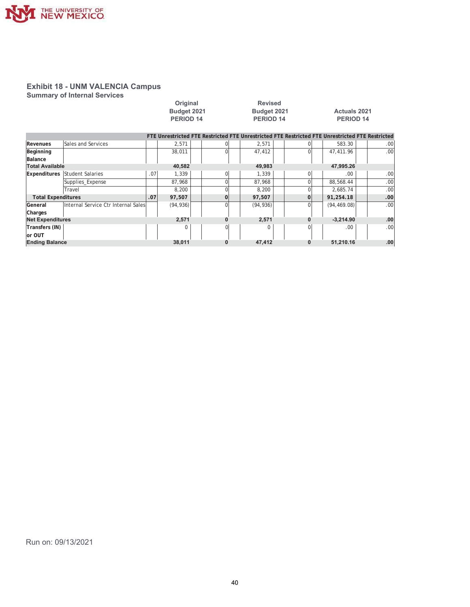

**Summary of Internal Services** 

|                           |                                     |     | Original<br>Budget 2021<br><b>PERIOD 14</b> |  | <b>Revised</b><br>Budget 2021<br>PERIOD 14 |  |                                                                                                 |  |          | <b>Actuals 2021</b><br>PERIOD 14 |              |  |     |
|---------------------------|-------------------------------------|-----|---------------------------------------------|--|--------------------------------------------|--|-------------------------------------------------------------------------------------------------|--|----------|----------------------------------|--------------|--|-----|
|                           |                                     |     |                                             |  |                                            |  | FTE Unrestricted FTE Restricted FTE Unrestricted FTE Restricted FTE Unrestricted FTE Restricted |  |          |                                  |              |  |     |
| Revenues                  | Sales and Services                  |     | 2,571                                       |  |                                            |  | 2,571                                                                                           |  |          |                                  | 583.30       |  | .00 |
| Beginning                 |                                     |     | 38,011                                      |  |                                            |  | 47,412                                                                                          |  | $\Omega$ |                                  | 47,411.96    |  | .00 |
| Balance                   |                                     |     |                                             |  |                                            |  |                                                                                                 |  |          |                                  |              |  |     |
| <b>Total Available</b>    |                                     |     | 40,582                                      |  |                                            |  | 49.983                                                                                          |  |          |                                  | 47,995.26    |  |     |
| Expenditures              | Student Salaries                    | .07 | 1,339                                       |  | $\Omega$                                   |  | 1,339                                                                                           |  | $\Omega$ |                                  | .00.         |  | .00 |
|                           | Supplies_Expense                    |     | 87,968                                      |  |                                            |  | 87,968                                                                                          |  | Ωl       |                                  | 88,568.44    |  | .00 |
|                           | Travel                              |     | 8,200                                       |  |                                            |  | 8,200                                                                                           |  | $\Omega$ |                                  | 2.685.74     |  | .00 |
| <b>Total Expenditures</b> |                                     | .07 | 97,507                                      |  |                                            |  | 97,507                                                                                          |  | 0        |                                  | 91,254.18    |  | .00 |
| General                   | Internal Service Ctr Internal Sales |     | (94, 936)                                   |  |                                            |  | (94, 936)                                                                                       |  | $\Omega$ |                                  | (94, 469.08) |  | .00 |
| Charges                   |                                     |     |                                             |  |                                            |  |                                                                                                 |  |          |                                  |              |  |     |
| <b>Net Expenditures</b>   |                                     |     | 2,571                                       |  |                                            |  | 2,571                                                                                           |  | 0        |                                  | $-3,214.90$  |  | .00 |
| Transfers (IN)            |                                     |     | 0                                           |  |                                            |  | 0                                                                                               |  | ΩI       |                                  | .00          |  | .00 |
| lor OUT                   |                                     |     |                                             |  |                                            |  |                                                                                                 |  |          |                                  |              |  |     |
| <b>Ending Balance</b>     |                                     |     | 38,011                                      |  |                                            |  | 47,412                                                                                          |  | 0        |                                  | 51,210.16    |  | .00 |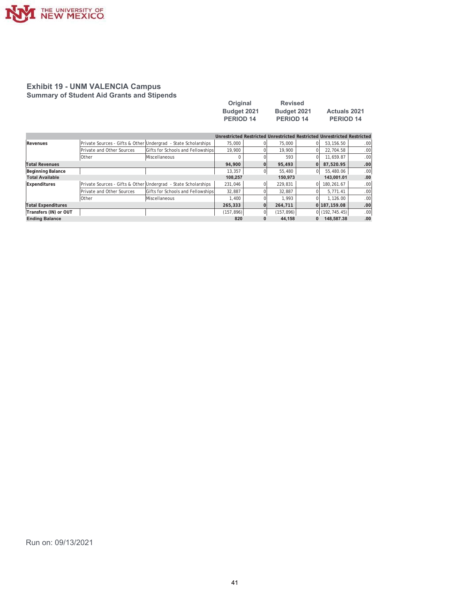

#### **Exhibit 19 - UNM VALENCIA Campus Summary of Student Aid Grants and Stipends**

| Original         | <b>Revised</b>   |                     |
|------------------|------------------|---------------------|
| Budget 2021      | Budget 2021      | <b>Actuals 2021</b> |
| <b>PERIOD 14</b> | <b>PERIOD 14</b> | <b>PERIOD 14</b>    |

|                           |                           |                                                                |            |                | Unrestricted Restricted Unrestricted Restricted Unrestricted Restricted |    |                |                  |
|---------------------------|---------------------------|----------------------------------------------------------------|------------|----------------|-------------------------------------------------------------------------|----|----------------|------------------|
| Revenues                  |                           | Private Sources - Gifts & Other Undergrad - State Scholarships | 75,000     |                | 75,000                                                                  |    | 53.156.50      | .00              |
|                           | Private and Other Sources | Gifts for Schools and Fellowships                              | 19,900     | 0              | 19,900                                                                  |    | 22.704.58      | .00              |
|                           | Other                     | Miscellaneous                                                  | 0          |                | 593                                                                     |    | 11.659.87      | .00              |
| <b>Total Revenues</b>     |                           |                                                                | 94.900     | $\mathbf{0}$   | 95,493                                                                  |    | 87.520.95      | .00              |
| Beginning Balance         |                           |                                                                | 13,357     | $\overline{0}$ | 55,480                                                                  | ΩI | 55,480.06      | .00              |
| <b>Total Available</b>    |                           |                                                                | 108.257    |                | 150.973                                                                 |    | 143.001.01     | .00              |
| Expenditures              |                           | Private Sources - Gifts & Other Undergrad - State Scholarships | 231.046    | 0              | 229.831                                                                 |    | 180.261.67     | .00 <sup>1</sup> |
|                           | Private and Other Sources | Gifts for Schools and Fellowships                              | 32.887     |                | 32.887                                                                  |    | 5.771.41       | .00              |
|                           | Other                     | Miscellaneous                                                  | 1.400      |                | 1.993                                                                   |    | 1.126.00       | .00              |
| <b>Total Expenditures</b> |                           |                                                                | 265,333    | $\overline{0}$ | 264.711                                                                 |    | 0 187.159.08   | .00              |
| Transfers (IN) or OUT     |                           |                                                                | (157, 896) | 0              | (157, 896)                                                              |    | 0(192, 745.45) | .00              |
| <b>Ending Balance</b>     |                           |                                                                | 820        | $\bf{0}$       | 44.158                                                                  | 0  | 148.587.38     | .00              |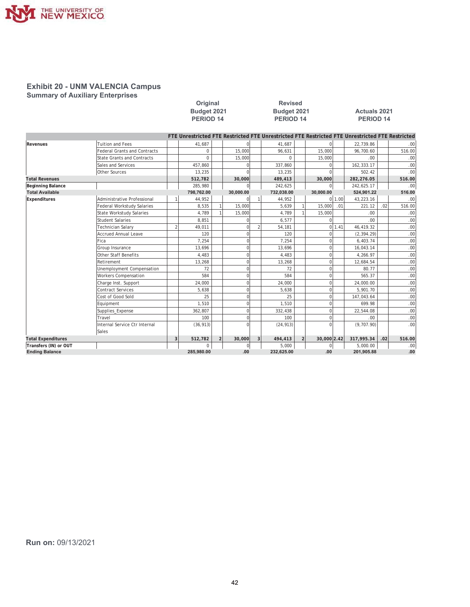

#### **Exhibit 20 - UNM VALENCIA Campus Summary of Auxiliary Enterprises**

**2Driginal 2006** Revised

#### Budget 2021 **8 March 10 Studget 2021 12 Actuals 2021 3(5,2' 3(5,2' 3(5,2'**

|                           |                                     |                |             |                |              |   | FTE Unrestricted FTE Restricted FTE Unrestricted FTE Restricted FTE Unrestricted FTE Restricted |                |                |        |             |     |                  |
|---------------------------|-------------------------------------|----------------|-------------|----------------|--------------|---|-------------------------------------------------------------------------------------------------|----------------|----------------|--------|-------------|-----|------------------|
| Revenues                  | <b>Tuition and Fees</b>             |                | 41,687      |                |              |   | 41,687                                                                                          |                |                |        | 22,739.86   |     | .00 <sub>1</sub> |
|                           | <b>Federal Grants and Contracts</b> |                | $\mathbf 0$ |                | 15,000       |   | 96,631                                                                                          |                | 15,000         |        | 96.700.60   |     | 516.00           |
|                           | <b>State Grants and Contracts</b>   |                | $\Omega$    |                | 15,000       |   | $\Omega$                                                                                        |                | 15,000         |        | .00         |     | .00 <sub>1</sub> |
|                           | Sales and Services                  |                | 457,860     |                |              |   | 337,860                                                                                         |                |                |        | 162,333.17  |     | .00 <sub>1</sub> |
|                           | Other Sources                       |                | 13,235      |                |              |   | 13,235                                                                                          |                |                |        | 502.42      |     | .00 <sub>l</sub> |
| <b>Total Revenues</b>     |                                     |                | 512,782     |                | 30,000       |   | 489,413                                                                                         |                | 30,000         |        | 282,276.05  |     | 516.00           |
| <b>Beginning Balance</b>  |                                     |                | 285.980     |                | U            |   | 242,625                                                                                         |                | $\Omega$       |        | 242,625.17  |     | .00 <sub>l</sub> |
| <b>Total Available</b>    |                                     |                | 798,762.00  |                | 30,000.00    |   | 732,038.00                                                                                      |                | 30,000.00      |        | 524,901.22  |     | 516.00           |
| Expenditures              | Administrative Professional         |                | 44,952      |                |              |   | 44,952                                                                                          |                |                | 0 1.00 | 43,223.16   |     | .00 <sub>1</sub> |
|                           | <b>Federal Workstudy Salaries</b>   |                | 8,535       |                | 15,000       |   | 5,639                                                                                           |                | 15,000         | .01    | 221.12      | .02 | 516.00           |
|                           | <b>State Workstudy Salaries</b>     |                | 4.789       |                | 15,000       |   | 4.789                                                                                           |                | 15,000         |        | .00         |     | .00 <sub>1</sub> |
|                           | Student Salaries                    |                | 8,851       |                | O            |   | 6,577                                                                                           |                | $\Omega$       |        | .00         |     | .00 <sub>1</sub> |
|                           | <b>Technician Salary</b>            | $\overline{2}$ | 49,011      |                | $\Omega$     |   | 54,181                                                                                          |                |                | 011.41 | 46,419.32   |     | .00 <sub>1</sub> |
|                           | <b>Accrued Annual Leave</b>         |                | 120         |                | $\Omega$     |   | 120                                                                                             |                | $\Omega$       |        | (2, 394.29) |     | .00 <sub>1</sub> |
|                           | Fica                                |                | 7,254       |                | O            |   | 7.254                                                                                           |                | $\Omega$       |        | 6,403.74    |     | .00 <sub>1</sub> |
|                           | Group Insurance                     |                | 13,696      |                | $\Omega$     |   | 13,696                                                                                          |                | $\overline{0}$ |        | 16,043.14   |     | .00 <sub>1</sub> |
|                           | <b>Other Staff Benefits</b>         |                | 4,483       |                | $\Omega$     |   | 4,483                                                                                           |                | $\Omega$       |        | 4,266.97    |     | .00 <sub>1</sub> |
|                           | Retirement                          |                | 13,268      |                | $\Omega$     |   | 13,268                                                                                          |                | $\Omega$       |        | 12,684.54   |     | .00 <sub>1</sub> |
|                           | Unemployment Compensation           |                | 72          |                | $\Omega$     |   | 72                                                                                              |                | $\overline{0}$ |        | 80.77       |     | .00 <sub>1</sub> |
|                           | <b>Workers Compensation</b>         |                | 584         |                | $\Omega$     |   | 584                                                                                             |                | $\Omega$       |        | 565.37      |     | .00 <sub>1</sub> |
|                           | Charge Inst. Support                |                | 24,000      |                | $\Omega$     |   | 24.000                                                                                          |                | $\Omega$       |        | 24,000.00   |     | .00 <sub>1</sub> |
|                           | <b>Contract Services</b>            |                | 5,638       |                | $\Omega$     |   | 5,638                                                                                           |                | $\Omega$       |        | 5,901.70    |     | .00 <sub>1</sub> |
|                           | Cost of Good Sold                   |                | 25          |                | $\Omega$     |   | 25                                                                                              |                | $\overline{0}$ |        | 147,043.64  |     | .00 <sub>1</sub> |
|                           | Equipment                           |                | 1,510       |                | $\Omega$     |   | 1,510                                                                                           |                | $\Omega$       |        | 699.98      |     | .00 <sub>1</sub> |
|                           | Supplies Expense                    |                | 362,807     |                | $\Omega$     |   | 332,438                                                                                         |                | $\Omega$       |        | 22,544.08   |     | .00 <sub>1</sub> |
|                           | Travel                              |                | 100         |                | $\Omega$     |   | 100                                                                                             |                | $\Omega$       |        | .00.        |     | .00 <sub>l</sub> |
|                           | Internal Service Ctr Internal       |                | (36, 913)   |                | $\Omega$     |   | (24, 913)                                                                                       |                | $\Omega$       |        | (9,707.90)  |     | .00 <sub>l</sub> |
|                           | Sales                               |                |             |                |              |   |                                                                                                 |                |                |        |             |     |                  |
| <b>Total Expenditures</b> |                                     | 3              | 512,782     | $\overline{2}$ | 30,000       | 3 | 494,413                                                                                         | 2 <sup>1</sup> | 30,000 2.42    |        | 317,995.34  | .02 | 516.00           |
| Transfers (IN) or OUT     |                                     |                | $\mathbf 0$ |                | $\mathbf{0}$ |   | 5,000                                                                                           |                | $\overline{0}$ |        | 5,000.00    |     | .00 <sub>1</sub> |
| <b>Ending Balance</b>     |                                     |                | 285,980.00  |                | .00          |   | 232,625.00                                                                                      |                | .00            |        | 201,905.88  |     | .00              |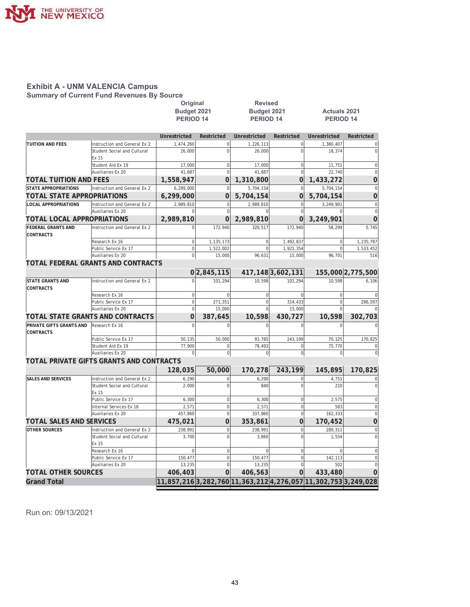

**Summary of Current Fund Revenues By Source** 

| Budget 2021<br>Budget 2021<br><b>Actuals 2021</b><br><b>PERIOD 14</b><br>PERIOD <sub>14</sub><br>PERIOD <sub>14</sub><br>Unrestricted<br>Restricted<br><b>Unrestricted</b><br>Restricted<br>Unrestricted<br>Restricted<br><b>TUITION AND FEES</b><br>1,474,260<br>$\mathbf 0$<br>1,226,113<br>$\overline{0}$<br>1,380,407<br>Instruction and General Ex 2<br>$\mathbf 0$<br>$\overline{0}$<br>Student Social and Cultural<br>26,000<br>26,000<br>18,374<br>Ex 15<br>Student Aid Ex 19<br>17,000<br>$\mathbf 0$<br>17,000<br>$\mathbf 0$<br>11,751<br>$\overline{0}$<br>$\overline{0}$<br><b>Auxiliaries Ex 20</b><br>41.687<br>41.687<br>22.740<br><b>TOTAL TUITION AND FEES</b><br>1,558,947<br>0<br>0<br>1,433,272<br>1,310,800<br>Instruction and General Ex 2<br>6,299,000<br>5,704,154<br>$\overline{0}$<br>5,704,154<br>$\mathbf 0$<br>TOTAL STATE APPROPRIATIONS<br>6,299,000<br>$\overline{0}$<br>$\overline{0}$<br>5,704,154<br>5,704,154<br><b>LOCAL APPROPRIATIONS</b><br>2,989,810<br>$\mathbf 0$<br>Instruction and General Ex 2<br>$\mathbf 0$<br>2,989,810<br>3,249,901<br>$\mathbf 0$<br>$\overline{0}$<br>Auxiliaries Ex 20<br>$\Omega$<br>TOTAL LOCAL APPROPRIATIONS<br>2,989,810<br>2,989,810<br>$\Omega$<br>$\Omega$<br>3,249,901<br><b>FEDERAL GRANTS AND</b><br>172,940<br>172,940<br>5,745<br>Instruction and General Ex 2<br>320,517<br>58,299<br>1,492,837<br>1,235,787<br>Research Ex 16<br>$\mathbf{0}$<br>1,135,173<br>$\mathbf 0$<br>$\mathbf 0$<br>$\mathbf 0$<br>Public Service Ex 17<br>1,522,002<br>$\mathbf{0}$<br>1,921,354<br>$\mathbf 0$<br>96,631<br><b>Auxiliaries Ex 20</b><br>$\bf 0$<br>15,000<br>15,000<br>96,701<br>TOTAL FEDERAL GRANTS AND CONTRACTS<br>417, 148 3, 602, 131<br>0 2,845,115<br>155,000 2,775,500<br>101.294<br><b>STATE GRANTS AND</b><br>Instruction and General Ex 2<br>$\Omega$<br>10.598<br>101.294<br>10.598<br>6.106<br>Research Ex 16<br>$\mathbf 0$<br>$\overline{0}$<br>$\mathbf 0$<br>$\Omega$<br>$\Omega$<br>$\mathbf 0$<br>$\mathbf{0}$<br>Public Service Ex 17<br>271,351<br>314,433<br>$\overline{0}$<br>Auxiliaries Ex 20<br>$\mathbf{0}$<br>15,000<br>$\Omega$<br>15,000<br>$\Omega$<br>$\Omega$<br>10,598<br>TOTAL STATE GRANTS AND CONTRACTS<br>387,645<br>430,727<br>10,598<br>Research Ex 16<br>$\sqrt{2}$<br><b>CONTRACTS</b><br>50,000<br>91,785<br>243,199<br>170,825<br>Public Service Ex 17<br>50,135<br>70,125<br>Student Aid Ex 19<br>77,900<br>$\mathbf 0$<br>78,493<br>$\overline{0}$<br>75,770<br>Auxiliaries Ex 20<br>$\overline{0}$<br>$\Omega$<br>$\Omega$<br>$\Omega$<br>$\Omega$<br>TOTAL PRIVATE GIFTS GRANTS AND CONTRACTS<br>243.199<br>145,895<br>128,035<br>50,000<br>170,278<br>170,825<br><b>SALES AND SERVICES</b><br>6,290<br>$\mathbf 0$<br>6,290<br>$\overline{0}$<br>4,751<br>Instruction and General Ex 2<br>$\overline{0}$<br>2,000<br>$\Omega$<br>840<br>Student Social and Cultural<br>210<br>Ex 15<br>$\mathbf 0$<br>Public Service Ex 17<br>6,300<br>6,300<br>$\mathbf 0$<br>2,575<br>$\mathbf 0$<br>$\mathbf 0$<br>Internal Services Ex 18<br>2,571<br>2,571<br>583<br>$\overline{0}$<br>$\mathbf 0$<br>162,333<br>Auxiliaries Ex 20<br>457,860<br>337,860<br>$\overline{0}$<br>0<br><b>TOTAL SALES AND SERVICES</b><br>353,861<br>170,452<br>475,021<br><b>OTHER SOURCES</b><br>Instruction and General Ex 2<br>238,991<br>238.991<br>$\overline{0}$<br>289,311<br>$\mathbf 0$<br>$\overline{0}$<br>Student Social and Cultural<br>3,700<br>3,860<br>1,554<br>Ex 15<br>$\Omega$<br>$\bf{0}$<br>$\Omega$<br>$\mathbf 0$<br>$\Omega$<br>Research Ex 16<br>$\mathbf 0$<br>150.477<br>150.477<br>$\overline{0}$<br>142,113<br>Public Service Ex 17<br>$\mathbf 0$<br>$\overline{0}$<br><b>Auxiliaries Ex 20</b><br>13,235<br>13,235<br>502<br><b>TOTAL OTHER SOURCES</b><br>$\Omega$<br>0<br>433,480<br>406,403<br>406,563<br>11,857,216 3,282,760 11,363,212 4,276,057 11,302,753 3,249,028 |                             | Original | <b>Revised</b> |  |                                    |
|---------------------------------------------------------------------------------------------------------------------------------------------------------------------------------------------------------------------------------------------------------------------------------------------------------------------------------------------------------------------------------------------------------------------------------------------------------------------------------------------------------------------------------------------------------------------------------------------------------------------------------------------------------------------------------------------------------------------------------------------------------------------------------------------------------------------------------------------------------------------------------------------------------------------------------------------------------------------------------------------------------------------------------------------------------------------------------------------------------------------------------------------------------------------------------------------------------------------------------------------------------------------------------------------------------------------------------------------------------------------------------------------------------------------------------------------------------------------------------------------------------------------------------------------------------------------------------------------------------------------------------------------------------------------------------------------------------------------------------------------------------------------------------------------------------------------------------------------------------------------------------------------------------------------------------------------------------------------------------------------------------------------------------------------------------------------------------------------------------------------------------------------------------------------------------------------------------------------------------------------------------------------------------------------------------------------------------------------------------------------------------------------------------------------------------------------------------------------------------------------------------------------------------------------------------------------------------------------------------------------------------------------------------------------------------------------------------------------------------------------------------------------------------------------------------------------------------------------------------------------------------------------------------------------------------------------------------------------------------------------------------------------------------------------------------------------------------------------------------------------------------------------------------------------------------------------------------------------------------------------------------------------------------------------------------------------------------------------------------------------------------------------------------------------------------------------------------------------------------------------------------------------------------------------------------------------------------------------------------------------------------------------------------------------------------------------------------------------------------------------------------------------------------------------------------------------------------------------------------------------------------------------------------------|-----------------------------|----------|----------------|--|------------------------------------|
|                                                                                                                                                                                                                                                                                                                                                                                                                                                                                                                                                                                                                                                                                                                                                                                                                                                                                                                                                                                                                                                                                                                                                                                                                                                                                                                                                                                                                                                                                                                                                                                                                                                                                                                                                                                                                                                                                                                                                                                                                                                                                                                                                                                                                                                                                                                                                                                                                                                                                                                                                                                                                                                                                                                                                                                                                                                                                                                                                                                                                                                                                                                                                                                                                                                                                                                                                                                                                                                                                                                                                                                                                                                                                                                                                                                                                                                                                                               |                             |          |                |  |                                    |
|                                                                                                                                                                                                                                                                                                                                                                                                                                                                                                                                                                                                                                                                                                                                                                                                                                                                                                                                                                                                                                                                                                                                                                                                                                                                                                                                                                                                                                                                                                                                                                                                                                                                                                                                                                                                                                                                                                                                                                                                                                                                                                                                                                                                                                                                                                                                                                                                                                                                                                                                                                                                                                                                                                                                                                                                                                                                                                                                                                                                                                                                                                                                                                                                                                                                                                                                                                                                                                                                                                                                                                                                                                                                                                                                                                                                                                                                                                               |                             |          |                |  |                                    |
|                                                                                                                                                                                                                                                                                                                                                                                                                                                                                                                                                                                                                                                                                                                                                                                                                                                                                                                                                                                                                                                                                                                                                                                                                                                                                                                                                                                                                                                                                                                                                                                                                                                                                                                                                                                                                                                                                                                                                                                                                                                                                                                                                                                                                                                                                                                                                                                                                                                                                                                                                                                                                                                                                                                                                                                                                                                                                                                                                                                                                                                                                                                                                                                                                                                                                                                                                                                                                                                                                                                                                                                                                                                                                                                                                                                                                                                                                                               |                             |          |                |  |                                    |
|                                                                                                                                                                                                                                                                                                                                                                                                                                                                                                                                                                                                                                                                                                                                                                                                                                                                                                                                                                                                                                                                                                                                                                                                                                                                                                                                                                                                                                                                                                                                                                                                                                                                                                                                                                                                                                                                                                                                                                                                                                                                                                                                                                                                                                                                                                                                                                                                                                                                                                                                                                                                                                                                                                                                                                                                                                                                                                                                                                                                                                                                                                                                                                                                                                                                                                                                                                                                                                                                                                                                                                                                                                                                                                                                                                                                                                                                                                               |                             |          |                |  |                                    |
|                                                                                                                                                                                                                                                                                                                                                                                                                                                                                                                                                                                                                                                                                                                                                                                                                                                                                                                                                                                                                                                                                                                                                                                                                                                                                                                                                                                                                                                                                                                                                                                                                                                                                                                                                                                                                                                                                                                                                                                                                                                                                                                                                                                                                                                                                                                                                                                                                                                                                                                                                                                                                                                                                                                                                                                                                                                                                                                                                                                                                                                                                                                                                                                                                                                                                                                                                                                                                                                                                                                                                                                                                                                                                                                                                                                                                                                                                                               |                             |          |                |  | $\mathbf 0$                        |
|                                                                                                                                                                                                                                                                                                                                                                                                                                                                                                                                                                                                                                                                                                                                                                                                                                                                                                                                                                                                                                                                                                                                                                                                                                                                                                                                                                                                                                                                                                                                                                                                                                                                                                                                                                                                                                                                                                                                                                                                                                                                                                                                                                                                                                                                                                                                                                                                                                                                                                                                                                                                                                                                                                                                                                                                                                                                                                                                                                                                                                                                                                                                                                                                                                                                                                                                                                                                                                                                                                                                                                                                                                                                                                                                                                                                                                                                                                               |                             |          |                |  | $\overline{0}$                     |
|                                                                                                                                                                                                                                                                                                                                                                                                                                                                                                                                                                                                                                                                                                                                                                                                                                                                                                                                                                                                                                                                                                                                                                                                                                                                                                                                                                                                                                                                                                                                                                                                                                                                                                                                                                                                                                                                                                                                                                                                                                                                                                                                                                                                                                                                                                                                                                                                                                                                                                                                                                                                                                                                                                                                                                                                                                                                                                                                                                                                                                                                                                                                                                                                                                                                                                                                                                                                                                                                                                                                                                                                                                                                                                                                                                                                                                                                                                               |                             |          |                |  |                                    |
|                                                                                                                                                                                                                                                                                                                                                                                                                                                                                                                                                                                                                                                                                                                                                                                                                                                                                                                                                                                                                                                                                                                                                                                                                                                                                                                                                                                                                                                                                                                                                                                                                                                                                                                                                                                                                                                                                                                                                                                                                                                                                                                                                                                                                                                                                                                                                                                                                                                                                                                                                                                                                                                                                                                                                                                                                                                                                                                                                                                                                                                                                                                                                                                                                                                                                                                                                                                                                                                                                                                                                                                                                                                                                                                                                                                                                                                                                                               |                             |          |                |  | $\mathsf{C}$                       |
|                                                                                                                                                                                                                                                                                                                                                                                                                                                                                                                                                                                                                                                                                                                                                                                                                                                                                                                                                                                                                                                                                                                                                                                                                                                                                                                                                                                                                                                                                                                                                                                                                                                                                                                                                                                                                                                                                                                                                                                                                                                                                                                                                                                                                                                                                                                                                                                                                                                                                                                                                                                                                                                                                                                                                                                                                                                                                                                                                                                                                                                                                                                                                                                                                                                                                                                                                                                                                                                                                                                                                                                                                                                                                                                                                                                                                                                                                                               |                             |          |                |  | $\overline{0}$                     |
|                                                                                                                                                                                                                                                                                                                                                                                                                                                                                                                                                                                                                                                                                                                                                                                                                                                                                                                                                                                                                                                                                                                                                                                                                                                                                                                                                                                                                                                                                                                                                                                                                                                                                                                                                                                                                                                                                                                                                                                                                                                                                                                                                                                                                                                                                                                                                                                                                                                                                                                                                                                                                                                                                                                                                                                                                                                                                                                                                                                                                                                                                                                                                                                                                                                                                                                                                                                                                                                                                                                                                                                                                                                                                                                                                                                                                                                                                                               |                             |          |                |  | $\overline{0}$                     |
|                                                                                                                                                                                                                                                                                                                                                                                                                                                                                                                                                                                                                                                                                                                                                                                                                                                                                                                                                                                                                                                                                                                                                                                                                                                                                                                                                                                                                                                                                                                                                                                                                                                                                                                                                                                                                                                                                                                                                                                                                                                                                                                                                                                                                                                                                                                                                                                                                                                                                                                                                                                                                                                                                                                                                                                                                                                                                                                                                                                                                                                                                                                                                                                                                                                                                                                                                                                                                                                                                                                                                                                                                                                                                                                                                                                                                                                                                                               | <b>STATE APPROPRIATIONS</b> |          |                |  | $\overline{0}$                     |
|                                                                                                                                                                                                                                                                                                                                                                                                                                                                                                                                                                                                                                                                                                                                                                                                                                                                                                                                                                                                                                                                                                                                                                                                                                                                                                                                                                                                                                                                                                                                                                                                                                                                                                                                                                                                                                                                                                                                                                                                                                                                                                                                                                                                                                                                                                                                                                                                                                                                                                                                                                                                                                                                                                                                                                                                                                                                                                                                                                                                                                                                                                                                                                                                                                                                                                                                                                                                                                                                                                                                                                                                                                                                                                                                                                                                                                                                                                               |                             |          |                |  | $\overline{0}$                     |
|                                                                                                                                                                                                                                                                                                                                                                                                                                                                                                                                                                                                                                                                                                                                                                                                                                                                                                                                                                                                                                                                                                                                                                                                                                                                                                                                                                                                                                                                                                                                                                                                                                                                                                                                                                                                                                                                                                                                                                                                                                                                                                                                                                                                                                                                                                                                                                                                                                                                                                                                                                                                                                                                                                                                                                                                                                                                                                                                                                                                                                                                                                                                                                                                                                                                                                                                                                                                                                                                                                                                                                                                                                                                                                                                                                                                                                                                                                               |                             |          |                |  | $\boldsymbol{0}$                   |
|                                                                                                                                                                                                                                                                                                                                                                                                                                                                                                                                                                                                                                                                                                                                                                                                                                                                                                                                                                                                                                                                                                                                                                                                                                                                                                                                                                                                                                                                                                                                                                                                                                                                                                                                                                                                                                                                                                                                                                                                                                                                                                                                                                                                                                                                                                                                                                                                                                                                                                                                                                                                                                                                                                                                                                                                                                                                                                                                                                                                                                                                                                                                                                                                                                                                                                                                                                                                                                                                                                                                                                                                                                                                                                                                                                                                                                                                                                               |                             |          |                |  | $\overline{0}$                     |
|                                                                                                                                                                                                                                                                                                                                                                                                                                                                                                                                                                                                                                                                                                                                                                                                                                                                                                                                                                                                                                                                                                                                                                                                                                                                                                                                                                                                                                                                                                                                                                                                                                                                                                                                                                                                                                                                                                                                                                                                                                                                                                                                                                                                                                                                                                                                                                                                                                                                                                                                                                                                                                                                                                                                                                                                                                                                                                                                                                                                                                                                                                                                                                                                                                                                                                                                                                                                                                                                                                                                                                                                                                                                                                                                                                                                                                                                                                               |                             |          |                |  | 0                                  |
|                                                                                                                                                                                                                                                                                                                                                                                                                                                                                                                                                                                                                                                                                                                                                                                                                                                                                                                                                                                                                                                                                                                                                                                                                                                                                                                                                                                                                                                                                                                                                                                                                                                                                                                                                                                                                                                                                                                                                                                                                                                                                                                                                                                                                                                                                                                                                                                                                                                                                                                                                                                                                                                                                                                                                                                                                                                                                                                                                                                                                                                                                                                                                                                                                                                                                                                                                                                                                                                                                                                                                                                                                                                                                                                                                                                                                                                                                                               |                             |          |                |  |                                    |
|                                                                                                                                                                                                                                                                                                                                                                                                                                                                                                                                                                                                                                                                                                                                                                                                                                                                                                                                                                                                                                                                                                                                                                                                                                                                                                                                                                                                                                                                                                                                                                                                                                                                                                                                                                                                                                                                                                                                                                                                                                                                                                                                                                                                                                                                                                                                                                                                                                                                                                                                                                                                                                                                                                                                                                                                                                                                                                                                                                                                                                                                                                                                                                                                                                                                                                                                                                                                                                                                                                                                                                                                                                                                                                                                                                                                                                                                                                               | <b>CONTRACTS</b>            |          |                |  |                                    |
|                                                                                                                                                                                                                                                                                                                                                                                                                                                                                                                                                                                                                                                                                                                                                                                                                                                                                                                                                                                                                                                                                                                                                                                                                                                                                                                                                                                                                                                                                                                                                                                                                                                                                                                                                                                                                                                                                                                                                                                                                                                                                                                                                                                                                                                                                                                                                                                                                                                                                                                                                                                                                                                                                                                                                                                                                                                                                                                                                                                                                                                                                                                                                                                                                                                                                                                                                                                                                                                                                                                                                                                                                                                                                                                                                                                                                                                                                                               |                             |          |                |  |                                    |
|                                                                                                                                                                                                                                                                                                                                                                                                                                                                                                                                                                                                                                                                                                                                                                                                                                                                                                                                                                                                                                                                                                                                                                                                                                                                                                                                                                                                                                                                                                                                                                                                                                                                                                                                                                                                                                                                                                                                                                                                                                                                                                                                                                                                                                                                                                                                                                                                                                                                                                                                                                                                                                                                                                                                                                                                                                                                                                                                                                                                                                                                                                                                                                                                                                                                                                                                                                                                                                                                                                                                                                                                                                                                                                                                                                                                                                                                                                               |                             |          |                |  | 1,533,452                          |
|                                                                                                                                                                                                                                                                                                                                                                                                                                                                                                                                                                                                                                                                                                                                                                                                                                                                                                                                                                                                                                                                                                                                                                                                                                                                                                                                                                                                                                                                                                                                                                                                                                                                                                                                                                                                                                                                                                                                                                                                                                                                                                                                                                                                                                                                                                                                                                                                                                                                                                                                                                                                                                                                                                                                                                                                                                                                                                                                                                                                                                                                                                                                                                                                                                                                                                                                                                                                                                                                                                                                                                                                                                                                                                                                                                                                                                                                                                               |                             |          |                |  | 516                                |
|                                                                                                                                                                                                                                                                                                                                                                                                                                                                                                                                                                                                                                                                                                                                                                                                                                                                                                                                                                                                                                                                                                                                                                                                                                                                                                                                                                                                                                                                                                                                                                                                                                                                                                                                                                                                                                                                                                                                                                                                                                                                                                                                                                                                                                                                                                                                                                                                                                                                                                                                                                                                                                                                                                                                                                                                                                                                                                                                                                                                                                                                                                                                                                                                                                                                                                                                                                                                                                                                                                                                                                                                                                                                                                                                                                                                                                                                                                               |                             |          |                |  |                                    |
|                                                                                                                                                                                                                                                                                                                                                                                                                                                                                                                                                                                                                                                                                                                                                                                                                                                                                                                                                                                                                                                                                                                                                                                                                                                                                                                                                                                                                                                                                                                                                                                                                                                                                                                                                                                                                                                                                                                                                                                                                                                                                                                                                                                                                                                                                                                                                                                                                                                                                                                                                                                                                                                                                                                                                                                                                                                                                                                                                                                                                                                                                                                                                                                                                                                                                                                                                                                                                                                                                                                                                                                                                                                                                                                                                                                                                                                                                                               |                             |          |                |  |                                    |
|                                                                                                                                                                                                                                                                                                                                                                                                                                                                                                                                                                                                                                                                                                                                                                                                                                                                                                                                                                                                                                                                                                                                                                                                                                                                                                                                                                                                                                                                                                                                                                                                                                                                                                                                                                                                                                                                                                                                                                                                                                                                                                                                                                                                                                                                                                                                                                                                                                                                                                                                                                                                                                                                                                                                                                                                                                                                                                                                                                                                                                                                                                                                                                                                                                                                                                                                                                                                                                                                                                                                                                                                                                                                                                                                                                                                                                                                                                               |                             |          |                |  |                                    |
|                                                                                                                                                                                                                                                                                                                                                                                                                                                                                                                                                                                                                                                                                                                                                                                                                                                                                                                                                                                                                                                                                                                                                                                                                                                                                                                                                                                                                                                                                                                                                                                                                                                                                                                                                                                                                                                                                                                                                                                                                                                                                                                                                                                                                                                                                                                                                                                                                                                                                                                                                                                                                                                                                                                                                                                                                                                                                                                                                                                                                                                                                                                                                                                                                                                                                                                                                                                                                                                                                                                                                                                                                                                                                                                                                                                                                                                                                                               | <b>CONTRACTS</b>            |          |                |  |                                    |
|                                                                                                                                                                                                                                                                                                                                                                                                                                                                                                                                                                                                                                                                                                                                                                                                                                                                                                                                                                                                                                                                                                                                                                                                                                                                                                                                                                                                                                                                                                                                                                                                                                                                                                                                                                                                                                                                                                                                                                                                                                                                                                                                                                                                                                                                                                                                                                                                                                                                                                                                                                                                                                                                                                                                                                                                                                                                                                                                                                                                                                                                                                                                                                                                                                                                                                                                                                                                                                                                                                                                                                                                                                                                                                                                                                                                                                                                                                               |                             |          |                |  | $\mathbf 0$                        |
|                                                                                                                                                                                                                                                                                                                                                                                                                                                                                                                                                                                                                                                                                                                                                                                                                                                                                                                                                                                                                                                                                                                                                                                                                                                                                                                                                                                                                                                                                                                                                                                                                                                                                                                                                                                                                                                                                                                                                                                                                                                                                                                                                                                                                                                                                                                                                                                                                                                                                                                                                                                                                                                                                                                                                                                                                                                                                                                                                                                                                                                                                                                                                                                                                                                                                                                                                                                                                                                                                                                                                                                                                                                                                                                                                                                                                                                                                                               |                             |          |                |  | 296,597                            |
|                                                                                                                                                                                                                                                                                                                                                                                                                                                                                                                                                                                                                                                                                                                                                                                                                                                                                                                                                                                                                                                                                                                                                                                                                                                                                                                                                                                                                                                                                                                                                                                                                                                                                                                                                                                                                                                                                                                                                                                                                                                                                                                                                                                                                                                                                                                                                                                                                                                                                                                                                                                                                                                                                                                                                                                                                                                                                                                                                                                                                                                                                                                                                                                                                                                                                                                                                                                                                                                                                                                                                                                                                                                                                                                                                                                                                                                                                                               |                             |          |                |  |                                    |
|                                                                                                                                                                                                                                                                                                                                                                                                                                                                                                                                                                                                                                                                                                                                                                                                                                                                                                                                                                                                                                                                                                                                                                                                                                                                                                                                                                                                                                                                                                                                                                                                                                                                                                                                                                                                                                                                                                                                                                                                                                                                                                                                                                                                                                                                                                                                                                                                                                                                                                                                                                                                                                                                                                                                                                                                                                                                                                                                                                                                                                                                                                                                                                                                                                                                                                                                                                                                                                                                                                                                                                                                                                                                                                                                                                                                                                                                                                               |                             |          |                |  | 302,703                            |
|                                                                                                                                                                                                                                                                                                                                                                                                                                                                                                                                                                                                                                                                                                                                                                                                                                                                                                                                                                                                                                                                                                                                                                                                                                                                                                                                                                                                                                                                                                                                                                                                                                                                                                                                                                                                                                                                                                                                                                                                                                                                                                                                                                                                                                                                                                                                                                                                                                                                                                                                                                                                                                                                                                                                                                                                                                                                                                                                                                                                                                                                                                                                                                                                                                                                                                                                                                                                                                                                                                                                                                                                                                                                                                                                                                                                                                                                                                               | PRIVATE GIFTS GRANTS AND    |          |                |  |                                    |
|                                                                                                                                                                                                                                                                                                                                                                                                                                                                                                                                                                                                                                                                                                                                                                                                                                                                                                                                                                                                                                                                                                                                                                                                                                                                                                                                                                                                                                                                                                                                                                                                                                                                                                                                                                                                                                                                                                                                                                                                                                                                                                                                                                                                                                                                                                                                                                                                                                                                                                                                                                                                                                                                                                                                                                                                                                                                                                                                                                                                                                                                                                                                                                                                                                                                                                                                                                                                                                                                                                                                                                                                                                                                                                                                                                                                                                                                                                               |                             |          |                |  |                                    |
|                                                                                                                                                                                                                                                                                                                                                                                                                                                                                                                                                                                                                                                                                                                                                                                                                                                                                                                                                                                                                                                                                                                                                                                                                                                                                                                                                                                                                                                                                                                                                                                                                                                                                                                                                                                                                                                                                                                                                                                                                                                                                                                                                                                                                                                                                                                                                                                                                                                                                                                                                                                                                                                                                                                                                                                                                                                                                                                                                                                                                                                                                                                                                                                                                                                                                                                                                                                                                                                                                                                                                                                                                                                                                                                                                                                                                                                                                                               |                             |          |                |  | $\mathbf 0$                        |
|                                                                                                                                                                                                                                                                                                                                                                                                                                                                                                                                                                                                                                                                                                                                                                                                                                                                                                                                                                                                                                                                                                                                                                                                                                                                                                                                                                                                                                                                                                                                                                                                                                                                                                                                                                                                                                                                                                                                                                                                                                                                                                                                                                                                                                                                                                                                                                                                                                                                                                                                                                                                                                                                                                                                                                                                                                                                                                                                                                                                                                                                                                                                                                                                                                                                                                                                                                                                                                                                                                                                                                                                                                                                                                                                                                                                                                                                                                               |                             |          |                |  | $\Omega$                           |
|                                                                                                                                                                                                                                                                                                                                                                                                                                                                                                                                                                                                                                                                                                                                                                                                                                                                                                                                                                                                                                                                                                                                                                                                                                                                                                                                                                                                                                                                                                                                                                                                                                                                                                                                                                                                                                                                                                                                                                                                                                                                                                                                                                                                                                                                                                                                                                                                                                                                                                                                                                                                                                                                                                                                                                                                                                                                                                                                                                                                                                                                                                                                                                                                                                                                                                                                                                                                                                                                                                                                                                                                                                                                                                                                                                                                                                                                                                               |                             |          |                |  |                                    |
|                                                                                                                                                                                                                                                                                                                                                                                                                                                                                                                                                                                                                                                                                                                                                                                                                                                                                                                                                                                                                                                                                                                                                                                                                                                                                                                                                                                                                                                                                                                                                                                                                                                                                                                                                                                                                                                                                                                                                                                                                                                                                                                                                                                                                                                                                                                                                                                                                                                                                                                                                                                                                                                                                                                                                                                                                                                                                                                                                                                                                                                                                                                                                                                                                                                                                                                                                                                                                                                                                                                                                                                                                                                                                                                                                                                                                                                                                                               |                             |          |                |  |                                    |
|                                                                                                                                                                                                                                                                                                                                                                                                                                                                                                                                                                                                                                                                                                                                                                                                                                                                                                                                                                                                                                                                                                                                                                                                                                                                                                                                                                                                                                                                                                                                                                                                                                                                                                                                                                                                                                                                                                                                                                                                                                                                                                                                                                                                                                                                                                                                                                                                                                                                                                                                                                                                                                                                                                                                                                                                                                                                                                                                                                                                                                                                                                                                                                                                                                                                                                                                                                                                                                                                                                                                                                                                                                                                                                                                                                                                                                                                                                               |                             |          |                |  |                                    |
|                                                                                                                                                                                                                                                                                                                                                                                                                                                                                                                                                                                                                                                                                                                                                                                                                                                                                                                                                                                                                                                                                                                                                                                                                                                                                                                                                                                                                                                                                                                                                                                                                                                                                                                                                                                                                                                                                                                                                                                                                                                                                                                                                                                                                                                                                                                                                                                                                                                                                                                                                                                                                                                                                                                                                                                                                                                                                                                                                                                                                                                                                                                                                                                                                                                                                                                                                                                                                                                                                                                                                                                                                                                                                                                                                                                                                                                                                                               |                             |          |                |  | $\boldsymbol{0}$<br>$\overline{0}$ |
|                                                                                                                                                                                                                                                                                                                                                                                                                                                                                                                                                                                                                                                                                                                                                                                                                                                                                                                                                                                                                                                                                                                                                                                                                                                                                                                                                                                                                                                                                                                                                                                                                                                                                                                                                                                                                                                                                                                                                                                                                                                                                                                                                                                                                                                                                                                                                                                                                                                                                                                                                                                                                                                                                                                                                                                                                                                                                                                                                                                                                                                                                                                                                                                                                                                                                                                                                                                                                                                                                                                                                                                                                                                                                                                                                                                                                                                                                                               |                             |          |                |  |                                    |
|                                                                                                                                                                                                                                                                                                                                                                                                                                                                                                                                                                                                                                                                                                                                                                                                                                                                                                                                                                                                                                                                                                                                                                                                                                                                                                                                                                                                                                                                                                                                                                                                                                                                                                                                                                                                                                                                                                                                                                                                                                                                                                                                                                                                                                                                                                                                                                                                                                                                                                                                                                                                                                                                                                                                                                                                                                                                                                                                                                                                                                                                                                                                                                                                                                                                                                                                                                                                                                                                                                                                                                                                                                                                                                                                                                                                                                                                                                               |                             |          |                |  | $\mathbf 0$                        |
|                                                                                                                                                                                                                                                                                                                                                                                                                                                                                                                                                                                                                                                                                                                                                                                                                                                                                                                                                                                                                                                                                                                                                                                                                                                                                                                                                                                                                                                                                                                                                                                                                                                                                                                                                                                                                                                                                                                                                                                                                                                                                                                                                                                                                                                                                                                                                                                                                                                                                                                                                                                                                                                                                                                                                                                                                                                                                                                                                                                                                                                                                                                                                                                                                                                                                                                                                                                                                                                                                                                                                                                                                                                                                                                                                                                                                                                                                                               |                             |          |                |  | $\mathbf 0$                        |
|                                                                                                                                                                                                                                                                                                                                                                                                                                                                                                                                                                                                                                                                                                                                                                                                                                                                                                                                                                                                                                                                                                                                                                                                                                                                                                                                                                                                                                                                                                                                                                                                                                                                                                                                                                                                                                                                                                                                                                                                                                                                                                                                                                                                                                                                                                                                                                                                                                                                                                                                                                                                                                                                                                                                                                                                                                                                                                                                                                                                                                                                                                                                                                                                                                                                                                                                                                                                                                                                                                                                                                                                                                                                                                                                                                                                                                                                                                               |                             |          |                |  | $\overline{0}$                     |
|                                                                                                                                                                                                                                                                                                                                                                                                                                                                                                                                                                                                                                                                                                                                                                                                                                                                                                                                                                                                                                                                                                                                                                                                                                                                                                                                                                                                                                                                                                                                                                                                                                                                                                                                                                                                                                                                                                                                                                                                                                                                                                                                                                                                                                                                                                                                                                                                                                                                                                                                                                                                                                                                                                                                                                                                                                                                                                                                                                                                                                                                                                                                                                                                                                                                                                                                                                                                                                                                                                                                                                                                                                                                                                                                                                                                                                                                                                               |                             |          |                |  | $\overline{0}$                     |
|                                                                                                                                                                                                                                                                                                                                                                                                                                                                                                                                                                                                                                                                                                                                                                                                                                                                                                                                                                                                                                                                                                                                                                                                                                                                                                                                                                                                                                                                                                                                                                                                                                                                                                                                                                                                                                                                                                                                                                                                                                                                                                                                                                                                                                                                                                                                                                                                                                                                                                                                                                                                                                                                                                                                                                                                                                                                                                                                                                                                                                                                                                                                                                                                                                                                                                                                                                                                                                                                                                                                                                                                                                                                                                                                                                                                                                                                                                               |                             |          |                |  | $\mathbf 0$                        |
|                                                                                                                                                                                                                                                                                                                                                                                                                                                                                                                                                                                                                                                                                                                                                                                                                                                                                                                                                                                                                                                                                                                                                                                                                                                                                                                                                                                                                                                                                                                                                                                                                                                                                                                                                                                                                                                                                                                                                                                                                                                                                                                                                                                                                                                                                                                                                                                                                                                                                                                                                                                                                                                                                                                                                                                                                                                                                                                                                                                                                                                                                                                                                                                                                                                                                                                                                                                                                                                                                                                                                                                                                                                                                                                                                                                                                                                                                                               |                             |          |                |  | $\overline{0}$                     |
|                                                                                                                                                                                                                                                                                                                                                                                                                                                                                                                                                                                                                                                                                                                                                                                                                                                                                                                                                                                                                                                                                                                                                                                                                                                                                                                                                                                                                                                                                                                                                                                                                                                                                                                                                                                                                                                                                                                                                                                                                                                                                                                                                                                                                                                                                                                                                                                                                                                                                                                                                                                                                                                                                                                                                                                                                                                                                                                                                                                                                                                                                                                                                                                                                                                                                                                                                                                                                                                                                                                                                                                                                                                                                                                                                                                                                                                                                                               |                             |          |                |  |                                    |
|                                                                                                                                                                                                                                                                                                                                                                                                                                                                                                                                                                                                                                                                                                                                                                                                                                                                                                                                                                                                                                                                                                                                                                                                                                                                                                                                                                                                                                                                                                                                                                                                                                                                                                                                                                                                                                                                                                                                                                                                                                                                                                                                                                                                                                                                                                                                                                                                                                                                                                                                                                                                                                                                                                                                                                                                                                                                                                                                                                                                                                                                                                                                                                                                                                                                                                                                                                                                                                                                                                                                                                                                                                                                                                                                                                                                                                                                                                               |                             |          |                |  | $\bf{0}$                           |
|                                                                                                                                                                                                                                                                                                                                                                                                                                                                                                                                                                                                                                                                                                                                                                                                                                                                                                                                                                                                                                                                                                                                                                                                                                                                                                                                                                                                                                                                                                                                                                                                                                                                                                                                                                                                                                                                                                                                                                                                                                                                                                                                                                                                                                                                                                                                                                                                                                                                                                                                                                                                                                                                                                                                                                                                                                                                                                                                                                                                                                                                                                                                                                                                                                                                                                                                                                                                                                                                                                                                                                                                                                                                                                                                                                                                                                                                                                               |                             |          |                |  | $\mathbf{0}$                       |
|                                                                                                                                                                                                                                                                                                                                                                                                                                                                                                                                                                                                                                                                                                                                                                                                                                                                                                                                                                                                                                                                                                                                                                                                                                                                                                                                                                                                                                                                                                                                                                                                                                                                                                                                                                                                                                                                                                                                                                                                                                                                                                                                                                                                                                                                                                                                                                                                                                                                                                                                                                                                                                                                                                                                                                                                                                                                                                                                                                                                                                                                                                                                                                                                                                                                                                                                                                                                                                                                                                                                                                                                                                                                                                                                                                                                                                                                                                               |                             |          |                |  | $\mathbf 0$                        |
|                                                                                                                                                                                                                                                                                                                                                                                                                                                                                                                                                                                                                                                                                                                                                                                                                                                                                                                                                                                                                                                                                                                                                                                                                                                                                                                                                                                                                                                                                                                                                                                                                                                                                                                                                                                                                                                                                                                                                                                                                                                                                                                                                                                                                                                                                                                                                                                                                                                                                                                                                                                                                                                                                                                                                                                                                                                                                                                                                                                                                                                                                                                                                                                                                                                                                                                                                                                                                                                                                                                                                                                                                                                                                                                                                                                                                                                                                                               |                             |          |                |  | $\overline{0}$                     |
|                                                                                                                                                                                                                                                                                                                                                                                                                                                                                                                                                                                                                                                                                                                                                                                                                                                                                                                                                                                                                                                                                                                                                                                                                                                                                                                                                                                                                                                                                                                                                                                                                                                                                                                                                                                                                                                                                                                                                                                                                                                                                                                                                                                                                                                                                                                                                                                                                                                                                                                                                                                                                                                                                                                                                                                                                                                                                                                                                                                                                                                                                                                                                                                                                                                                                                                                                                                                                                                                                                                                                                                                                                                                                                                                                                                                                                                                                                               | <b>Grand Total</b>          |          |                |  |                                    |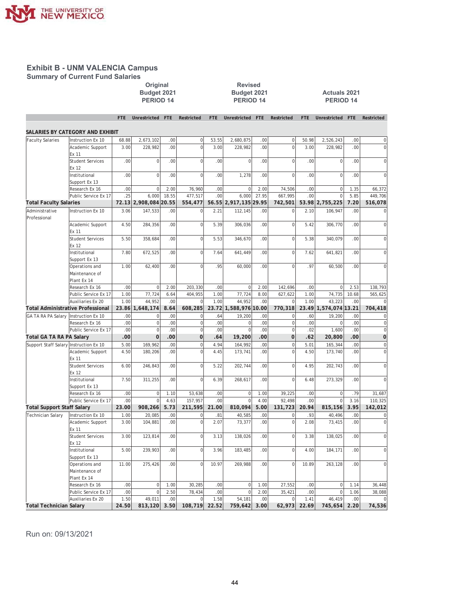

**Summary of Current Fund Salaries** 

# Budget 2021<br>**PERIOD 14**

# **2021** 2021<br>
2021 2021 2021 Budget 2021 **%XGJHW %XGJHW \$FWXDOV**

|                                   |                                                 | <b>FTE</b> | Unrestricted    | FTE   | Restricted     | <b>FTE</b> | Unrestricted     | <b>FTE</b> | Restricted     | <b>FTE</b> | Unrestricted FTE      |       | Restricted     |
|-----------------------------------|-------------------------------------------------|------------|-----------------|-------|----------------|------------|------------------|------------|----------------|------------|-----------------------|-------|----------------|
|                                   | SALARIES BY CATEGORY AND EXHIBIT                |            |                 |       |                |            |                  |            |                |            |                       |       |                |
| <b>Faculty Salaries</b>           | Instruction Ex 10                               | 68.88      | 2,673,102       | .00   | $\mathbf 0$    | 53.55      | 2,680,875        | .00        | $\overline{0}$ | 50.98      | 2,526,243             | .00   | $\mathbf 0$    |
|                                   | Academic Support                                | 3.00       | 228,982         | .00.  | $\overline{0}$ | 3.00       | 228,982          | .00        | $\overline{0}$ | 3.00       | 228,982               | .00   | $\mathbf 0$    |
|                                   | Ex 11<br><b>Student Services</b>                | .00        | $\mathbf{0}$    | .00   | $\mathbf 0$    | .00        | $\overline{0}$   | .00        | $\overline{0}$ | .00        | $\mathbf{0}$          | .00   | $\mathbf 0$    |
|                                   | Ex 12<br>Institutional                          | .00        | $\mathbf 0$     | .00   | $\overline{0}$ | .00        | 1,278            | .00        | <sub>0</sub>   | .00        | $\mathbf{0}$          | .00   | $\mathbf 0$    |
|                                   | Support Ex 13                                   |            |                 |       |                |            |                  |            |                |            |                       |       |                |
|                                   | Research Ex 16                                  | .00        | $\mathbf 0$     | 2.00  | 76,960         | .00        | $\Omega$         | 2.00       | 74,506         | .00        | $\mathbf 0$           | 1.35  | 66,372         |
|                                   | Public Service Ex 17                            | .25        | 6,000           | 18.55 | 477,517        | .00        | 6,000            | 27.95      | 667,995        | .00        | $\Omega$              | 5.85  | 449,706        |
| <b>Total Faculty Salaries</b>     |                                                 | 72.13      | 2,908,084 20.55 |       | 554,477        | 56.55      | 2,917,135 29.95  |            | 742,501        |            | 53.98 2,755,225       | 7.20  | 516,078        |
| Administrative<br>Professional    | Instruction Ex 10                               | 3.06       | 147,533         | .00   | $\mathbf 0$    | 2.21       | 112,145          | .00        | $\overline{0}$ | 2.10       | 106,947               | .00   | $\mathbf 0$    |
|                                   | Academic Support<br>Ex 11                       | 4.50       | 284,356         | .00   | $\mathsf 0$    | 5.39       | 306,036          | .00        | $\Omega$       | 5.42       | 306,770               | .00   | $\mathbf 0$    |
|                                   | <b>Student Services</b><br>Ex 12                | 5.50       | 358,684         | .00   | $\overline{0}$ | 5.53       | 346,670          | .00        | $\overline{0}$ | 5.38       | 340,079               | .00   | $\mathbf 0$    |
|                                   | Institutional                                   | 7.80       | 672,525         | .00   | $\mathbf 0$    | 7.64       | 641,449          | .00        | $\overline{0}$ | 7.62       | 641,821               | .00.  | $\overline{0}$ |
|                                   | Support Ex 13<br>Operations and                 | 1.00       | 62,400          | .00   | $\overline{0}$ | .95        | 60,000           | .00        | $\Omega$       | .97        | 60,500                | .00   | $\Omega$       |
|                                   | Maintenance of<br>Plant Ex 14                   |            |                 |       |                |            |                  |            |                |            |                       |       |                |
|                                   | Research Ex 16                                  | .00        | $\mathbf{0}$    | 2.00  | 203,330        | .00        | $\overline{0}$   | 2.00       | 142,696        | .00        | $\mathbf 0$           | 2.53  | 138,793        |
|                                   | Public Service Ex 17                            | 1.00       | 77,724          | 6.64  | 404,955        | 1.00       | 77,724           | 8.00       | 627,622        | 1.00       | 74,735                | 10.68 | 565,625        |
|                                   | Auxiliaries Ex 20                               | 1.00       | 44.952          | .00   | $\Omega$       | 1.00       | 44.952           | .00        | $\Omega$       | 1.00       | 43.223                | .00   |                |
|                                   | <b>Total Administrative Professional</b>        | 23.86      | 1,648,174       | 8.64  | 608,285        | 23.72      | 1,588,976 10.00  |            | 770,318        |            | 23.49 1,574,074 13.21 |       | 704,418        |
| GA TA RA PA Salary                | Instruction Ex 10                               | .00        | $\mathbf 0$     | .00   | $\mathbf 0$    | .64        | 19,200           | .00        | $\overline{0}$ | .60        | 19,200                | .00   | $\mathbf 0$    |
|                                   | Research Ex 16                                  | .00        | $\mathbf 0$     | .00   | $\overline{0}$ | .00        | $\overline{0}$   | .00        | $\overline{0}$ | .00        | $\mathbf 0$           | .00   | $\mathbf 0$    |
|                                   | Public Service Ex 17                            | .00        | $\mathbf{0}$    | .00   | $\overline{0}$ | .00        | $\Omega$         | .00        | $\circ$        | .02        | 1.600                 | .00.  | $\mathbf 0$    |
| Total GA TA RA PA Salary          |                                                 | .00        | $\Omega$        | .00   | $\mathbf 0$    | .64        | 19,200           | .00        | $\Omega$       | .62        | 20,800                | .00   | $\mathbf 0$    |
| Support Staff Salary              | Instruction Ex 10                               | 5.00       | 169,962         | .00   | $\mathbf 0$    | 4.94       | 164,992          | .00        | $\overline{0}$ | 5.01       | 165,344               | .00   | $\bf{0}$       |
|                                   | Academic Support<br>Ex 11                       | 4.50       | 180,206         | .00   | $\overline{0}$ | 4.45       | 173,741          | .00        | $\Omega$       | 4.50       | 173,740               | .00.  | $\overline{0}$ |
|                                   | <b>Student Services</b><br>Ex 12                | 6.00       | 246,843         | .00   | $\mathsf 0$    | 5.22       | 202,744          | .00        | $\Omega$       | 4.95       | 202,743               | .00   | $\mathbf 0$    |
|                                   | Institutional<br>Support Ex 13                  | 7.50       | 311,255         | .00   | $\mathbf 0$    | 6.39       | 268,617          | .00        | $\overline{0}$ | 6.48       | 273,329               | .00.  | $\overline{0}$ |
|                                   | Research Ex 16                                  | .00        | $\mathbf{0}$    | 1.10  | 53,638         | .00        | $\overline{0}$   | 1.00       | 39,225         | .00        | $\mathbf 0$           | .79   | 31,687         |
|                                   | Public Service Ex 17                            | .00        | $\Omega$        | 4.63  | 157,957        | .00        | $\Omega$         | 4.00       | 92,498         | .00        | $\Omega$              | 3.16  | 110,325        |
| <b>Total Support Staff Salary</b> |                                                 | 23.00      | 908,266         | 5.73  | 211,595        | 21.00      | 810,094          | 5.00       | 131,723        | 20.94      | 815,156               | 3.95  | 142,012        |
| <b>Technician Salary</b>          | Instruction Ex 10                               | 1.00       | 20,085          | .00   | $\Omega$       | .81        | 40,585           | .00        | $\mathbf 0$    | .93        | 40,496                | .00   | $\bf{0}$       |
|                                   | Academic Support                                | 3.00       | 104,881         | .00   | $\mathbf 0$    | 2.07       | 73,377           | .00        | $\overline{0}$ | 2.08       | 73,415                | .00.  | $\mathbf 0$    |
|                                   | Ex 11                                           |            |                 |       |                |            |                  |            |                |            |                       |       |                |
|                                   | <b>Student Services</b><br>Ex 12                | 3.00       | 123,814         | .00   | $\mathsf 0$    | 3.13       | 138,026          | .00        | $\Omega$       | 3.38       | 138,025               | .00   | $\mathbf 0$    |
|                                   | Institutional<br>Support Ex 13                  | 5.00       | 239,903         | .00   | $\overline{0}$ | 3.96       | 183,485          | .00        | $\overline{0}$ | 4.00       | 184,171               | .00   | $\mathbf 0$    |
|                                   | Operations and<br>Maintenance of<br>Plant Ex 14 | 11.00      | 275,426         | .00   | $\Omega$       | 10.97      | 269,988          | .00        | $\overline{0}$ | 10.89      | 263,128               | .00   | $\Omega$       |
|                                   | Research Ex 16                                  | .00        | $\mathbf 0$     | 1.00  | 30,285         | .00        | $\boldsymbol{0}$ | 1.00       | 27,552         | .00        | $\mathbf 0$           | 1.14  | 36,448         |
|                                   | Public Service Ex 17                            | .00        | $\mathbf 0$     | 2.50  | 78,434         | .00        | $\mathbf 0$      | 2.00       | 35,421         | .00        | $\mathbf{0}$          | 1.06  | 38,088         |
|                                   | Auxiliaries Ex 20                               | 1.50       | 49,011          | .00   | $\mathbf 0$    | 1.58       | 54,181           | .00        | $\overline{0}$ | 1.41       | 46,419                | .00.  | $\mathbf 0$    |
| <b>Total Technician Salary</b>    |                                                 | 24.50      | 813,120         | 3.50  | 108,719        | 22.52      | 759,642          | 3.00       | 62,973         | 22.69      | 745,654               | 2.20  | 74,536         |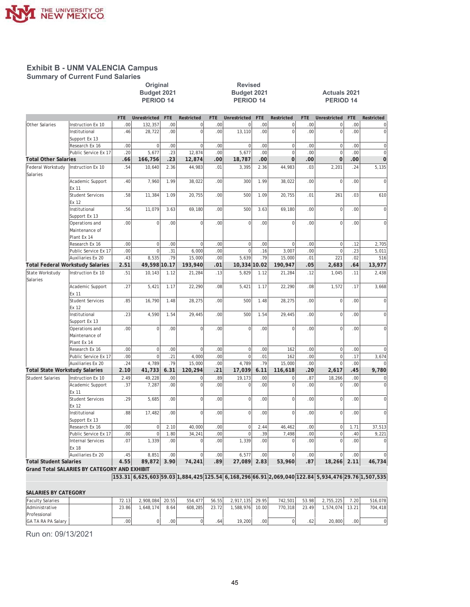

**Summary of Current Fund Salaries** 

# **2013** 2021<br>Budget 2021 2021<br>Budget 2021

Pudget 2021<br> **XGJHTM & Budget 2021**<br> **XGJHTM & PERIOD 14**<br> **XGJHTM & PERIOD 14**<br> **XGJHTM & PERIOD 14**<br> **XGJHTM & PERIOD 14 PERIOD 14** 

|                                       |                                                      | <b>FTE</b> | Unrestricted   | <b>FTE</b> | Restricted     | <b>FTE</b> | <b>Unrestricted</b> | <b>FTE</b> | Restricted           | <b>FTE</b> | Unrestricted         | <b>FTE</b> | Restricted                       |
|---------------------------------------|------------------------------------------------------|------------|----------------|------------|----------------|------------|---------------------|------------|----------------------|------------|----------------------|------------|----------------------------------|
| Other Salaries                        | Instruction Ex 10                                    | .00        | 132,357        | .00        | $\mathbf 0$    | .00        | $\mathbf 0$         | .00        | $\mathbf 0$          | .00        | $\mathbf 0$          | .00        | $\mathbf 0$                      |
|                                       | Institutional                                        | .46        | 28,722         | .00        | $\Omega$       | .00        | 13,110              | .00        | $\Omega$             | .00        | $\Omega$             | .00        | $\mathbf 0$                      |
|                                       | Support Ex 13                                        |            |                |            |                |            |                     |            |                      |            |                      |            |                                  |
|                                       | Research Ex 16                                       | .00        | $\mathbf 0$    | .00        | $\overline{0}$ | .00        | $\mathbf 0$         | .00        | $\mathbf 0$          | .00        | $\mathbf{0}$         | .00        | $\mathbf{0}$                     |
|                                       | Public Service Ex 17                                 | .20        | 5,677          | .23        | 12,874         | .00        | 5,677               | .00        | $\Omega$<br>$\Omega$ | .00<br>.00 | $\Omega$<br>$\Omega$ | .00        | $\overline{0}$<br>$\overline{0}$ |
| <b>Total Other Salaries</b>           |                                                      | .66        | 166,756        | .23        | 12,874         | .00        | 18,787              | .00        |                      |            |                      | .00        |                                  |
| Federal Workstudy<br>Salaries         | Instruction Ex 10                                    | .54        | 10,640         | 2.36       | 44,983         | .01        | 3,395               | 2.36       | 44,983               | .03        | 2,201                | .24        | 5,135                            |
|                                       | Academic Support<br>Ex 11                            | .40        | 7,960          | 1.99       | 38,022         | .00        | 300                 | 1.99       | 38,022               | .00        | $\mathbf 0$          | .00        | $\overline{0}$                   |
|                                       | <b>Student Services</b><br>Ex 12                     | .58        | 11,384         | 1.09       | 20.755         | .00        | 500                 | 1.09       | 20,755               | .01        | 261                  | .03        | 610                              |
|                                       | Institutional<br>Support Ex 13                       | .56        | 11,079         | 3.63       | 69,180         | .00        | 500                 | 3.63       | 69,180               | .00        | $\mathbf{0}$         | .00        | $\overline{0}$                   |
|                                       | Operations and<br>Maintenance of                     | .00        | $\Omega$       | .00        | $\Omega$       | .00        | $\mathbf 0$         | .00        | $\Omega$             | .00        | $\Omega$             | .00        | $\Omega$                         |
|                                       | Plant Ex 14<br>Research Ex 16                        | .00        | $\mathbf{0}$   | .00        | $\mathbf 0$    | .00        | $\mathbf 0$         | .00        | $\mathbf 0$          | .00        | $\mathbf 0$          | .12        | 2,705                            |
|                                       | Public Service Ex 17                                 | .00        | $\overline{0}$ | .31        | 6,000          | .00        | $\overline{0}$      | .16        | 3,007                | .00        | $\mathbf 0$          | .23        | 5,011                            |
|                                       | Auxiliaries Ex 20                                    | .43        | 8,535          | .79        | 15,000         | .00        | 5,639               | .79        | 15,000               | .01        | 221                  | .02        | 516                              |
|                                       | <b>Total Federal Workstudy Salaries</b>              | 2.51       | 49,598 10.17   |            | 193,940        | .01        | 10,334 10.02        |            | 190,947              | .05        | 2,683                | .64        | 13,977                           |
| State Workstudy                       | Instruction Ex 10                                    | .51        | 10,143         | 1.12       | 21,284         | .13        | 5,829               | 1.12       | 21,284               | .12        | 1,045                | .11        | 2,438                            |
| Salaries                              |                                                      |            |                |            |                |            |                     |            |                      |            |                      |            |                                  |
|                                       | Academic Support<br>Ex 11                            | .27        | 5,421          | 1.17       | 22,290         | .08        | 5,421               | 1.17       | 22,290               | .08        | 1,572                | .17        | 3,668                            |
|                                       | <b>Student Services</b><br>Ex 12                     | .85        | 16,790         | 1.48       | 28,275         | .00        | 500                 | 1.48       | 28,275               | .00        | $\mathbf{0}$         | .00        | $\overline{0}$                   |
|                                       | Institutional<br>Support Ex 13                       | .23        | 4,590          | 1.54       | 29,445         | .00        | 500                 | 1.54       | 29,445               | .00        | $\mathbf 0$          | .00        | $\mathbf 0$                      |
|                                       | Operations and<br>Maintenance of<br>Plant Ex 14      | .00        | $\Omega$       | .00        | $\Omega$       | .00        | $\Omega$            | .00        | $\Omega$             | .00        | $\Omega$             | .00        | $\mathbf 0$                      |
|                                       | Research Ex 16                                       | .00        | $\overline{0}$ | .00        | $\mathbf 0$    | .00.       | $\mathbf 0$         | .00        | 162                  | .00        | $\mathbf{0}$         | .00        | $\overline{0}$                   |
|                                       | Public Service Ex 17                                 | .00        | $\overline{0}$ | .21        | 4,000          | .00        | $\overline{0}$      | .01        | 162                  | .00        | $\mathbf 0$          | .17        | 3,674                            |
|                                       | Auxiliaries Ex 20                                    | .24        | 4,789          | .79        | 15,000         | .00        | 4,789               | .79        | 15,000               | .00        | $\mathbf 0$          | .00        | $\mathbf 0$                      |
| <b>Total State Workstudy Salaries</b> |                                                      | 2.10       | 41,733         | 6.31       | 120,294        | .21        | 17,039              | 6.11       | 116,618              | .20        | 2,617                | .45        | 9,780                            |
| <b>Student Salaries</b>               | Instruction Ex 10                                    | 2.49       | 49,228         | .00        | $\mathbf 0$    | .89        | 19,173              | .00        | $\mathbf 0$          | .87        | 18,266               | .00        | $\mathbf 0$                      |
|                                       | Academic Support<br>Ex 11                            | .37        | 7,287          | .00        | $\mathbf 0$    | .00        | $\mathbf 0$         | .00        | $\overline{0}$       | .00        | $\mathbf 0$          | .00        | $\mathbf 0$                      |
|                                       | <b>Student Services</b><br>Ex 12                     | .29        | 5,685          | .00.       | $\mathbf 0$    | .00        | $\mathbf 0$         | .00        | $\mathbf 0$          | .00        | $\mathbf 0$          | .00        | $\mathbf 0$                      |
|                                       | Institutional<br>Support Ex 13                       | .88        | 17,482         | .00.       | $\Omega$       | .00        | $\mathbf 0$         | .00        | $\Omega$             | .00        | $\Omega$             | .00        | $\overline{0}$                   |
|                                       | Research Ex 16                                       | .00        | $\mathbf 0$    | 2.10       | 40,000         | .00        | $\mathbf 0$         | 2.44       | 46,462               | .00        | $\mathbf 0$          | 1.71       | 37,513                           |
|                                       | Public Service Ex 17                                 | .00        | $\Omega$       | 1.80       | 34,241         | .00        | $\mathbf 0$         | .39        | 7,498                | .00        | $\mathbf 0$          | .40        | 9,221                            |
|                                       | <b>Internal Services</b><br>Ex 18                    | .07        | 1,339          | .00        | $\mathbf 0$    | .00        | 1,339               | .00        | $\mathbf 0$          | .00        | $\mathbf 0$          | .00        | $\Omega$                         |
|                                       | Auxiliaries Ex 20                                    | .45        | 8.851          | .00        | $\Omega$       | .00        | 6.577               | .00        | $\Omega$             | .00        | $\Omega$             | .00        | $\overline{0}$                   |
| <b>Total Student Salaries</b>         |                                                      | 4.55       | 89,872 3.90    |            | 74,241         | .89        | 27,089 2.83         |            | 53,960               | .87        | 18,266               | 2.11       | 46,734                           |
| 17.1101100170                         | $D_{1}$ $\wedge$ $\wedge$ $\wedge$ $\wedge$ $\wedge$ |            |                |            |                |            |                     |            |                      |            |                      |            |                                  |

**Grand Total SALARIES BY CATEGORY AND EXHIBIT**

**153.31 6,625,603 59.03 1,884,425 125.54 6,168,296 66.91 2,069,040 122.84 5,934,476 29.76 1,507,535**

| <b>SALARIES BY CATEGORY</b> |       |           |                  |         |                  |           |                  |         |       |           |                  |         |
|-----------------------------|-------|-----------|------------------|---------|------------------|-----------|------------------|---------|-------|-----------|------------------|---------|
| <b>Faculty Salaries</b>     | 72.13 | 2.908.084 | 20.55            | 554,477 | 56.55            | 2.917.135 | 29.95            | 742.501 | 53.98 | 2.755.225 | 7.20             | 516.078 |
| <b>Administrative</b>       | 23.86 | .648.174  | 8.64             | 608.285 | 23.72            | .588.976  | 10.00            | 770.318 | 23.49 | 1.574.074 | 13.21            | 704.418 |
| Professional                |       |           |                  |         |                  |           |                  |         |       |           |                  |         |
| IGA TA RA PA Salary         | .00   |           | .00 <sup>1</sup> |         | .64 <sup>1</sup> | 19.200    | .00 <sub>1</sub> |         | .62   | 20,800    | .00 <sup>1</sup> | 0       |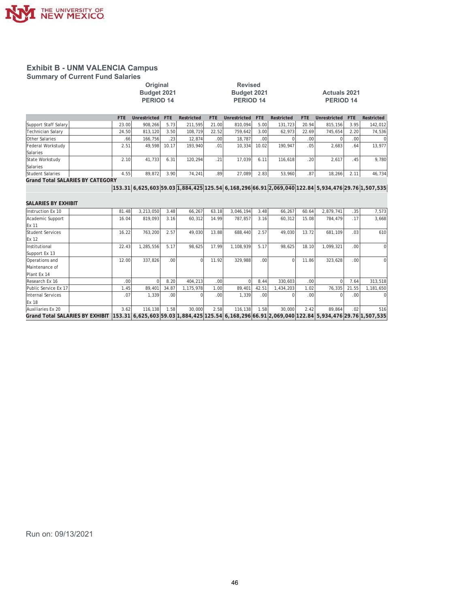

**Summary of Current Fund Salaries** 

#### **2013** 2021<br>
2021 2021 2021 2021 2021 Pudget 2021 **31 Example 31 Budget 2021**<br>PERIOD 14 **BRIOD 14** PERIOD 14 **PERIOD** 14 **PERIOD 14**

| <b>FTE</b> | Unrestricted | <b>FTE</b>                             | Restricted | <b>FTE</b>                            | Unrestricted                        | <b>FTE</b>                                             | Restricted | <b>FTE</b>       |         | <b>FTE</b>                                                       | Restricted               |
|------------|--------------|----------------------------------------|------------|---------------------------------------|-------------------------------------|--------------------------------------------------------|------------|------------------|---------|------------------------------------------------------------------|--------------------------|
|            | 908.266      |                                        | 211.595    |                                       | 810.094                             | 5.00                                                   | 131.723    |                  | 815.156 | 3.95                                                             | 142,012                  |
|            | 813,120      |                                        | 108.719    |                                       | 759.642                             | 3.00                                                   | 62.973     |                  | 745.654 |                                                                  | 74,536                   |
|            |              |                                        |            |                                       | 18,787                              |                                                        |            |                  |         |                                                                  | $\Omega$                 |
| 2.51       | 49.598       |                                        |            | .01                                   | 10.334                              | 10.02                                                  | 190.947    |                  | 2.683   | .64                                                              | 13,977                   |
|            |              |                                        |            |                                       |                                     |                                                        |            |                  |         |                                                                  |                          |
|            | 41.733       | 6.31                                   |            |                                       | 17.039                              | 6.11                                                   |            |                  | 2.617   | .45                                                              | 9,780                    |
|            |              |                                        |            |                                       |                                     |                                                        |            |                  |         |                                                                  |                          |
|            | 89,872       |                                        | 74,241     |                                       | 27,089                              | 2.83                                                   | 53,960     | .87              | 18,266  | 2.11                                                             | 46,734                   |
|            |              | 23.00<br>24.50<br>.661<br>2.10<br>4.55 | 166.756    | 5.73<br>3.50<br>.23'<br>10.17<br>3.90 | 12,874<br>193.940<br>120.294<br>.21 | 21.00<br>22.52<br>.00 <sub>1</sub><br>.89 <sup>1</sup> |            | .00 <sub>1</sub> | 116.618 | Unrestricted<br>20.94<br>22.69<br>.00 <sup>1</sup><br>.05<br>.20 | 2.20<br>.00 <sup>1</sup> |

**Grand Total SALARIES BY CATEGORY**

**153.31 6,625,603 59.03 1,884,425 125.54 6,168,296 66.91 2,069,040 122.84 5,934,476 29.76 1,507,535**

| SALARIES BY EXHIBIT                                                                                                                    |                  |           |                  |           |                  |           |                  |           |       |           |       |                |
|----------------------------------------------------------------------------------------------------------------------------------------|------------------|-----------|------------------|-----------|------------------|-----------|------------------|-----------|-------|-----------|-------|----------------|
| Instruction Ex 10                                                                                                                      | 81.48            | 3,213,050 | 3.48             | 66,267    | 63.18            | 3.046.194 | 3.48             | 66,267    | 60.64 | 2,879,741 | .35   | 7,573          |
| Academic Support                                                                                                                       | 16.04            | 819.093   | 3.16             | 60,312    | 14.99            | 787.857   | 3.16             | 60,312    | 15.08 | 784.479   | .17   | 3,668          |
| Ex 11                                                                                                                                  |                  |           |                  |           |                  |           |                  |           |       |           |       |                |
| <b>Student Services</b>                                                                                                                | 16.22            | 763,200   | 2.57             | 49,030    | 13.88            | 688,440   | 2.57             | 49.030    | 13.72 | 681,109   | .03   | 610            |
| Ex 12                                                                                                                                  |                  |           |                  |           |                  |           |                  |           |       |           |       |                |
| Institutional                                                                                                                          | 22.43            | 1,285,556 | 5.17             | 98,625    | 17.99            | 1,108,939 | 5.17             | 98,625    | 18.10 | 1,099,321 | .00   | $\overline{0}$ |
| Support Ex 13                                                                                                                          |                  |           |                  |           |                  |           |                  |           |       |           |       |                |
| Operations and                                                                                                                         | 12.00            | 337.826   | .00 <sub>1</sub> | $\Omega$  | 11.92            | 329,988   | .00.             | $\Omega$  | 11.86 | 323,628   | .00   | $\Omega$       |
| Maintenance of                                                                                                                         |                  |           |                  |           |                  |           |                  |           |       |           |       |                |
| Plant Ex 14                                                                                                                            |                  |           |                  |           |                  |           |                  |           |       |           |       |                |
| Research Ex 16                                                                                                                         | .00 <sub>1</sub> |           | 8.20             | 404.213   | .00 <sub>1</sub> |           | 8.44             | 330.603   | .00.  |           | 7.64  | 313,518        |
| Public Service Ex 17                                                                                                                   | 1.45             | 89,401    | 34.87            | 1,175,978 | 1.00             | 89,401    | 42.51            | 1,434,203 | 1.02  | 76,335    | 21.55 | 1,181,650      |
| Internal Services                                                                                                                      | .07              | 1,339     | .001             |           | .00 <sub>1</sub> | 1,339     | .00 <sub>1</sub> |           | .00.  |           | .00   |                |
| Ex 18                                                                                                                                  |                  |           |                  |           |                  |           |                  |           |       |           |       |                |
| Auxiliaries Ex 20                                                                                                                      | 3.62             | 116,138   | 1.58             | 30,000    | 2.58             | 116,138   | 1.58             | 30,000    | 2.42  | 89,864    | .02   | 516            |
| Grand Total SALARIES BY EXHIBIT  153.31  6,625,603 59.03 1,884,425 125.54  6,168,296 66.91 2,069,040 122.84  5,934,476 29.76 1,507,535 |                  |           |                  |           |                  |           |                  |           |       |           |       |                |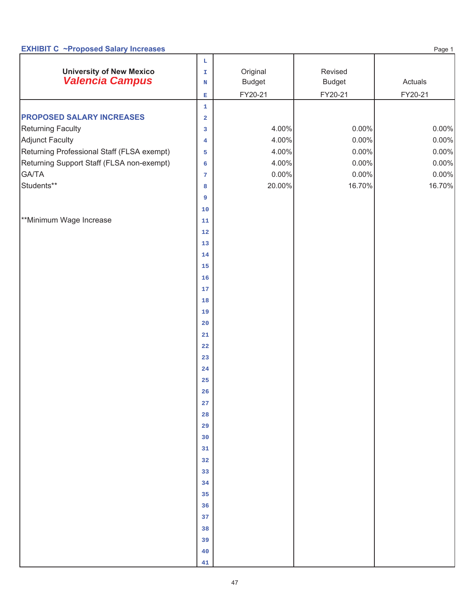# **EXHIBIT C** ~Proposed Salary Increases

| <b>University of New Mexico</b>            | $\mathbf{L}$<br>T.      | Original      | Revised       |         |
|--------------------------------------------|-------------------------|---------------|---------------|---------|
| <b>Valencia Campus</b>                     | $\mathbf N$             | <b>Budget</b> | <b>Budget</b> | Actuals |
|                                            | $\mathbf{E}$            | FY20-21       | FY20-21       | FY20-21 |
|                                            | $\mathbf 1$             |               |               |         |
| <b>PROPOSED SALARY INCREASES</b>           | $\overline{\mathbf{2}}$ |               |               |         |
| <b>Returning Faculty</b>                   | 3                       | 4.00%         | $0.00\%$      | 0.00%   |
| Adjunct Faculty                            | $\overline{\mathbf{4}}$ | 4.00%         | 0.00%         | 0.00%   |
| Returning Professional Staff (FLSA exempt) | 5                       | 4.00%         | $0.00\%$      | 0.00%   |
| Returning Support Staff (FLSA non-exempt)  | 6                       | 4.00%         | $0.00\%$      | 0.00%   |
| GA/TA                                      | 7                       | $0.00\%$      | $0.00\%$      | 0.00%   |
| Students**                                 | 8                       | 20.00%        | 16.70%        | 16.70%  |
|                                            | 9                       |               |               |         |
|                                            | 10                      |               |               |         |
| **Minimum Wage Increase                    | ${\bf 11}$              |               |               |         |
|                                            | ${\bf 12}$              |               |               |         |
|                                            | 13                      |               |               |         |
|                                            | 14                      |               |               |         |
|                                            | 15                      |               |               |         |
|                                            | ${\bf 16}$              |               |               |         |
|                                            | 17                      |               |               |         |
|                                            | 18                      |               |               |         |
|                                            | 19                      |               |               |         |
|                                            | 20                      |               |               |         |
|                                            | 21                      |               |               |         |
|                                            | ${\bf 22}$              |               |               |         |
|                                            | 23                      |               |               |         |
|                                            | 24                      |               |               |         |
|                                            | 25                      |               |               |         |
|                                            | ${\bf 26}$              |               |               |         |
|                                            | ${\bf 27}$              |               |               |         |
|                                            | 28                      |               |               |         |
|                                            | 29                      |               |               |         |
|                                            | 30                      |               |               |         |
|                                            | 31                      |               |               |         |
|                                            | 32                      |               |               |         |
|                                            | 33                      |               |               |         |
|                                            | 34                      |               |               |         |
|                                            | 35                      |               |               |         |
|                                            | 36                      |               |               |         |
|                                            | 37                      |               |               |         |
|                                            | 38                      |               |               |         |
|                                            | 39                      |               |               |         |
|                                            | 40                      |               |               |         |
|                                            | 41                      |               |               |         |

Page 1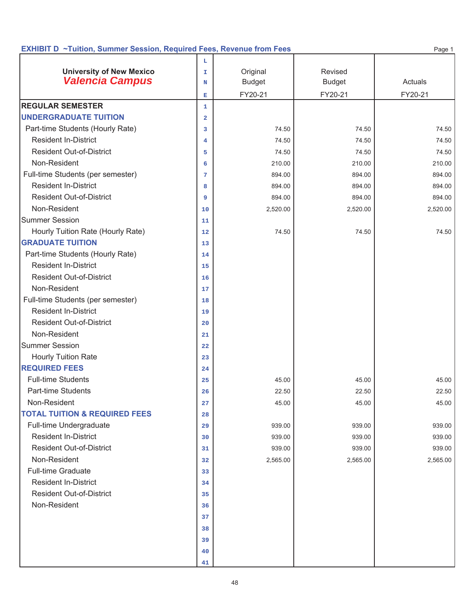### **EXHIBIT D ~Tuition, Summer Session, Required Fees, Revenue from Fees**

|                                          | L              |               |               |          |
|------------------------------------------|----------------|---------------|---------------|----------|
| <b>University of New Mexico</b>          | T.             | Original      | Revised       |          |
| <b>Valencia Campus</b>                   | N              | <b>Budget</b> | <b>Budget</b> | Actuals  |
|                                          | Е              | FY20-21       | FY20-21       | FY20-21  |
| <b>REGULAR SEMESTER</b>                  | $\mathbf{1}$   |               |               |          |
| <b>UNDERGRADUATE TUITION</b>             | $\overline{a}$ |               |               |          |
| Part-time Students (Hourly Rate)         | 3              | 74.50         | 74.50         | 74.50    |
| <b>Resident In-District</b>              | 4              | 74.50         | 74.50         | 74.50    |
| <b>Resident Out-of-District</b>          | 5              | 74.50         | 74.50         | 74.50    |
| Non-Resident                             | 6              | 210.00        | 210.00        | 210.00   |
| Full-time Students (per semester)        | 7              | 894.00        | 894.00        | 894.00   |
| <b>Resident In-District</b>              | 8              | 894.00        | 894.00        | 894.00   |
| <b>Resident Out-of-District</b>          | 9              | 894.00        | 894.00        | 894.00   |
| Non-Resident                             | 10             | 2,520.00      | 2,520.00      | 2,520.00 |
| <b>Summer Session</b>                    | 11             |               |               |          |
| Hourly Tuition Rate (Hourly Rate)        | 12             | 74.50         | 74.50         | 74.50    |
| <b>GRADUATE TUITION</b>                  | 13             |               |               |          |
| Part-time Students (Hourly Rate)         | 14             |               |               |          |
| <b>Resident In-District</b>              | 15             |               |               |          |
| <b>Resident Out-of-District</b>          | 16             |               |               |          |
| Non-Resident                             | 17             |               |               |          |
| Full-time Students (per semester)        | 18             |               |               |          |
| <b>Resident In-District</b>              | 19             |               |               |          |
| <b>Resident Out-of-District</b>          | 20             |               |               |          |
| Non-Resident                             | 21             |               |               |          |
| <b>Summer Session</b>                    | 22             |               |               |          |
| <b>Hourly Tuition Rate</b>               | 23             |               |               |          |
| <b>REQUIRED FEES</b>                     | 24             |               |               |          |
| <b>Full-time Students</b>                | 25             | 45.00         | 45.00         | 45.00    |
| <b>Part-time Students</b>                | 26             | 22.50         | 22.50         | 22.50    |
| Non-Resident                             | 27             | 45.00         | 45.00         | 45.00    |
| <b>TOTAL TUITION &amp; REQUIRED FEES</b> | 28             |               |               |          |
| Full-time Undergraduate                  | 29             | 939.00        | 939.00        | 939.00   |
| <b>Resident In-District</b>              | 30             | 939.00        | 939.00        | 939.00   |
| <b>Resident Out-of-District</b>          | 31             | 939.00        | 939.00        | 939.00   |
| Non-Resident                             | 32             | 2,565.00      | 2,565.00      | 2,565.00 |
| <b>Full-time Graduate</b>                | 33             |               |               |          |
| <b>Resident In-District</b>              | 34             |               |               |          |
| <b>Resident Out-of-District</b>          | 35             |               |               |          |
| Non-Resident                             | 36             |               |               |          |
|                                          | 37             |               |               |          |
|                                          | 38             |               |               |          |
|                                          | 39             |               |               |          |
|                                          | 40             |               |               |          |
|                                          | 41             |               |               |          |

Page 1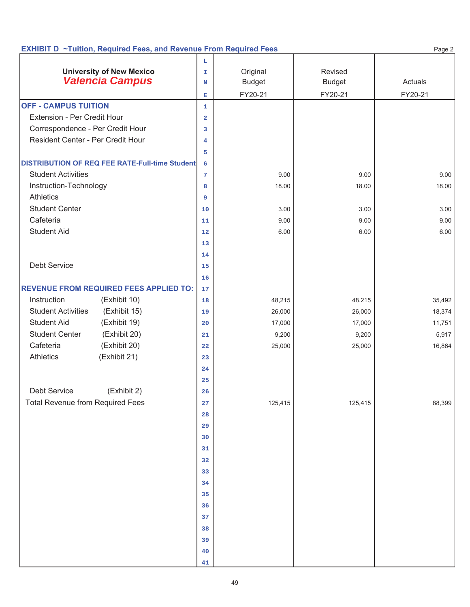|                                         | <b>EXHIBIT D</b> ~Tuition, Required Fees, and Revenue From Required Fees |                         |               |               | Page 2  |
|-----------------------------------------|--------------------------------------------------------------------------|-------------------------|---------------|---------------|---------|
|                                         |                                                                          | L                       |               |               |         |
|                                         | <b>University of New Mexico</b>                                          | $\mathbbm{I}$           | Original      | Revised       |         |
|                                         | <b>Valencia Campus</b>                                                   | N                       | <b>Budget</b> | <b>Budget</b> | Actuals |
|                                         |                                                                          | $\mathbf{E}$            | FY20-21       | FY20-21       | FY20-21 |
| <b>OFF - CAMPUS TUITION</b>             |                                                                          | $\mathbf{1}$            |               |               |         |
| Extension - Per Credit Hour             |                                                                          | $\overline{\mathbf{2}}$ |               |               |         |
| Correspondence - Per Credit Hour        |                                                                          | 3                       |               |               |         |
| Resident Center - Per Credit Hour       |                                                                          | 4                       |               |               |         |
|                                         |                                                                          | 5                       |               |               |         |
|                                         | <b>DISTRIBUTION OF REQ FEE RATE-Full-time Student</b>                    | 6                       |               |               |         |
| <b>Student Activities</b>               |                                                                          | $7\phantom{.0}$         | 9.00          | 9.00          | 9.00    |
| Instruction-Technology                  |                                                                          | 8                       | 18.00         | 18.00         | 18.00   |
| <b>Athletics</b>                        |                                                                          | 9                       |               |               |         |
| <b>Student Center</b>                   |                                                                          | 10                      | 3.00          | 3.00          | 3.00    |
| Cafeteria                               |                                                                          | 11                      | 9.00          | 9.00          | 9.00    |
| <b>Student Aid</b>                      |                                                                          | 12                      | 6.00          | 6.00          | 6.00    |
|                                         |                                                                          | 13                      |               |               |         |
|                                         |                                                                          | 14                      |               |               |         |
| <b>Debt Service</b>                     |                                                                          | 15                      |               |               |         |
|                                         |                                                                          | 16                      |               |               |         |
|                                         | <b>REVENUE FROM REQUIRED FEES APPLIED TO:</b>                            | 17                      |               |               |         |
| Instruction                             | (Exhibit 10)                                                             | 18                      | 48,215        | 48,215        | 35,492  |
| <b>Student Activities</b>               | (Exhibit 15)                                                             | 19                      | 26,000        | 26,000        | 18,374  |
| <b>Student Aid</b>                      | (Exhibit 19)                                                             | 20                      | 17,000        | 17,000        | 11,751  |
| <b>Student Center</b>                   | (Exhibit 20)                                                             | 21                      | 9,200         | 9,200         | 5,917   |
| Cafeteria                               | (Exhibit 20)                                                             | 22                      | 25,000        | 25,000        | 16,864  |
| <b>Athletics</b>                        | (Exhibit 21)                                                             | 23                      |               |               |         |
|                                         |                                                                          | 24                      |               |               |         |
|                                         |                                                                          | 25                      |               |               |         |
| Debt Service                            | (Exhibit 2)                                                              | 26                      |               |               |         |
| <b>Total Revenue from Required Fees</b> |                                                                          | 27                      | 125,415       | 125,415       | 88,399  |
|                                         |                                                                          | 28                      |               |               |         |
|                                         |                                                                          | 29                      |               |               |         |
|                                         |                                                                          | 30                      |               |               |         |
|                                         |                                                                          | 31                      |               |               |         |
|                                         |                                                                          | 32                      |               |               |         |
|                                         |                                                                          | 33                      |               |               |         |
|                                         |                                                                          | 34                      |               |               |         |
|                                         |                                                                          | 35                      |               |               |         |
|                                         |                                                                          | 36                      |               |               |         |
|                                         |                                                                          | 37                      |               |               |         |
|                                         |                                                                          | 38                      |               |               |         |
|                                         |                                                                          | 39                      |               |               |         |
|                                         |                                                                          | $40$                    |               |               |         |
|                                         |                                                                          | 41                      |               |               |         |